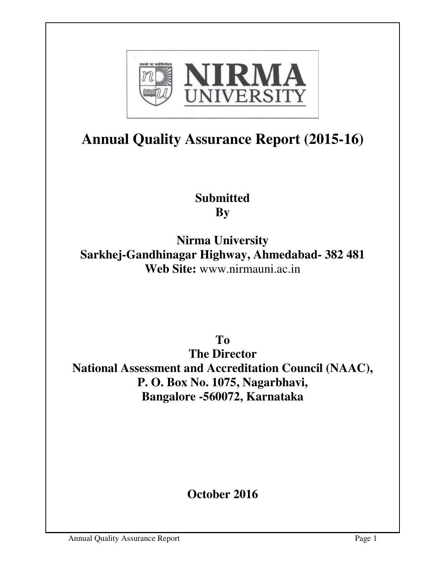

# **Annual Quality Assurance Report (2015-16)**

## **Submitted By**

**Nirma University Sarkhej-Gandhinagar Highway, Ahmedabad- 382 481 Web Site:** www.nirmauni.ac.in

**To** 

**The Director National Assessment and Accreditation Council (NAAC), P. O. Box No. 1075, Nagarbhavi, Bangalore -560072, Karnataka** 

**October 2016**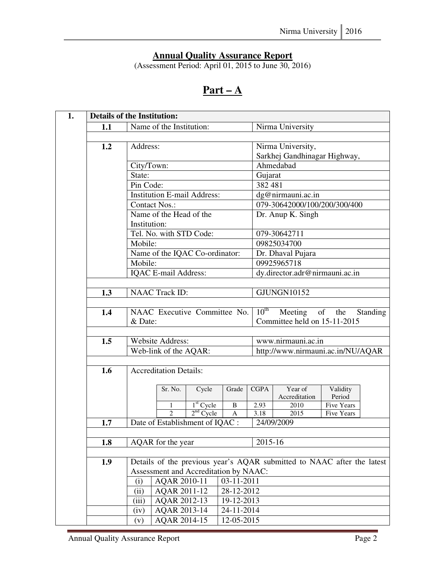#### **Annual Quality Assurance Report**

(Assessment Period: April 01, 2015 to June 30, 2016)

## **Part – A**

|     |                      | <b>Details of the Institution:</b> |                                       |            |                                             |                                                                        |                      |  |  |
|-----|----------------------|------------------------------------|---------------------------------------|------------|---------------------------------------------|------------------------------------------------------------------------|----------------------|--|--|
| 1.1 |                      | Name of the Institution:           |                                       |            | Nirma University                            |                                                                        |                      |  |  |
|     |                      |                                    |                                       |            |                                             |                                                                        |                      |  |  |
| 1.2 | Address:             |                                    |                                       |            |                                             | Nirma University,                                                      |                      |  |  |
|     |                      |                                    |                                       |            |                                             | Sarkhej Gandhinagar Highway,                                           |                      |  |  |
|     | City/Town:           |                                    |                                       |            |                                             | Ahmedabad                                                              |                      |  |  |
|     | State:               |                                    |                                       |            |                                             | Gujarat                                                                |                      |  |  |
|     | Pin Code:            |                                    |                                       |            | 382 481                                     |                                                                        |                      |  |  |
|     |                      |                                    | <b>Institution E-mail Address:</b>    |            |                                             | dg@nirmauni.ac.in                                                      |                      |  |  |
|     | <b>Contact Nos.:</b> |                                    |                                       |            |                                             | 079-30642000/100/200/300/400                                           |                      |  |  |
|     |                      | Name of the Head of the            |                                       |            |                                             | Dr. Anup K. Singh                                                      |                      |  |  |
|     | Institution:         |                                    |                                       |            |                                             |                                                                        |                      |  |  |
|     |                      | Tel. No. with STD Code:            |                                       |            |                                             | 079-30642711                                                           |                      |  |  |
|     | Mobile:              |                                    |                                       |            |                                             | 09825034700                                                            |                      |  |  |
|     |                      | Name of the IQAC Co-ordinator:     |                                       |            |                                             | Dr. Dhaval Pujara                                                      |                      |  |  |
|     | Mobile:              |                                    |                                       |            |                                             | 09925965718                                                            |                      |  |  |
|     |                      | IQAC E-mail Address:               |                                       |            |                                             | dy.director.adr@nirmauni.ac.in                                         |                      |  |  |
|     |                      |                                    |                                       |            |                                             |                                                                        |                      |  |  |
| 1.3 |                      | <b>NAAC Track ID:</b>              |                                       |            |                                             | $\overline{GJ}$ UNGN $10152$                                           |                      |  |  |
| 1.4 |                      |                                    | NAAC Executive Committee No.          |            | $10^{\text{th}}$<br>Meeting of the Standing |                                                                        |                      |  |  |
|     | & Date:              |                                    |                                       |            | Committee held on 15-11-2015                |                                                                        |                      |  |  |
|     |                      |                                    |                                       |            |                                             |                                                                        |                      |  |  |
| 1.5 |                      | <b>Website Address:</b>            |                                       |            |                                             | www.nirmauni.ac.in                                                     |                      |  |  |
|     |                      | Web-link of the AQAR:              |                                       |            |                                             | http://www.nirmauni.ac.in/NU/AQAR                                      |                      |  |  |
|     |                      |                                    |                                       |            |                                             |                                                                        |                      |  |  |
| 1.6 |                      | <b>Accreditation Details:</b>      |                                       |            |                                             |                                                                        |                      |  |  |
|     |                      |                                    |                                       |            |                                             |                                                                        |                      |  |  |
|     |                      | Sr. No.                            | Cycle                                 | Grade      | <b>CGPA</b>                                 | Year of                                                                | Validity             |  |  |
|     |                      | 1                                  | $1st$ Cycle                           | B          | 2.93                                        | Accreditation<br>2010                                                  | Period<br>Five Years |  |  |
|     |                      | $\overline{2}$                     | $2nd$ Cycle                           | A          | 3.18                                        | 2015                                                                   | Five Years           |  |  |
| 1.7 |                      |                                    | Date of Establishment of IQAC :       |            |                                             | 24/09/2009                                                             |                      |  |  |
|     |                      |                                    |                                       |            |                                             |                                                                        |                      |  |  |
| 1.8 |                      | AQAR for the year                  |                                       |            | 2015-16                                     |                                                                        |                      |  |  |
|     |                      |                                    |                                       |            |                                             |                                                                        |                      |  |  |
| 1.9 |                      |                                    |                                       |            |                                             | Details of the previous year's AQAR submitted to NAAC after the latest |                      |  |  |
|     |                      |                                    | Assessment and Accreditation by NAAC: |            |                                             |                                                                        |                      |  |  |
|     | (i)                  | AQAR 2010-11                       |                                       | 03-11-2011 |                                             |                                                                        |                      |  |  |
|     | (ii)                 | AQAR 2011-12                       |                                       | 28-12-2012 |                                             |                                                                        |                      |  |  |
|     | (iii)                | AQAR 2012-13                       |                                       | 19-12-2013 |                                             |                                                                        |                      |  |  |
|     | (iv)                 | AQAR 2013-14                       |                                       | 24-11-2014 |                                             |                                                                        |                      |  |  |
|     | (v)                  | AQAR 2014-15                       |                                       | 12-05-2015 |                                             |                                                                        |                      |  |  |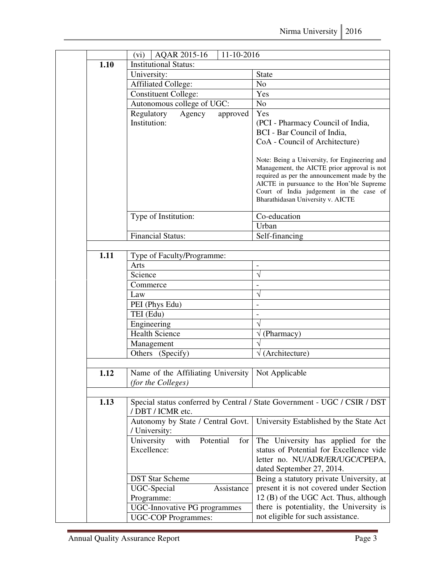| 1.10 | AQAR 2015-16<br>11-10-2016<br>(vi)<br><b>Institutional Status:</b>        |                                                                                              |  |  |  |
|------|---------------------------------------------------------------------------|----------------------------------------------------------------------------------------------|--|--|--|
|      | University:                                                               | <b>State</b>                                                                                 |  |  |  |
|      | <b>Affiliated College:</b>                                                | N <sub>o</sub>                                                                               |  |  |  |
|      | <b>Constituent College:</b>                                               | Yes                                                                                          |  |  |  |
|      | Autonomous college of UGC:                                                | N <sub>o</sub>                                                                               |  |  |  |
|      | Regulatory<br>Agency<br>approved                                          | Yes                                                                                          |  |  |  |
|      | Institution:                                                              | (PCI - Pharmacy Council of India,                                                            |  |  |  |
|      |                                                                           | BCI - Bar Council of India,                                                                  |  |  |  |
|      |                                                                           | CoA - Council of Architecture)                                                               |  |  |  |
|      |                                                                           |                                                                                              |  |  |  |
|      |                                                                           | Note: Being a University, for Engineering and<br>Management, the AICTE prior approval is not |  |  |  |
|      |                                                                           | required as per the announcement made by the                                                 |  |  |  |
|      |                                                                           | AICTE in pursuance to the Hon'ble Supreme                                                    |  |  |  |
|      |                                                                           | Court of India judgement in the case of                                                      |  |  |  |
|      |                                                                           | Bharathidasan University v. AICTE                                                            |  |  |  |
|      | Type of Institution:                                                      | Co-education                                                                                 |  |  |  |
|      |                                                                           | Urban                                                                                        |  |  |  |
|      | <b>Financial Status:</b>                                                  | Self-financing                                                                               |  |  |  |
|      |                                                                           |                                                                                              |  |  |  |
| 1.11 | Type of Faculty/Programme:                                                |                                                                                              |  |  |  |
|      | Arts                                                                      | $\overline{a}$                                                                               |  |  |  |
|      | Science                                                                   | $\sqrt{}$                                                                                    |  |  |  |
|      | Commerce                                                                  | $\overline{\phantom{0}}$                                                                     |  |  |  |
|      | Law                                                                       | V                                                                                            |  |  |  |
|      | PEI (Phys Edu)                                                            | $\overline{a}$                                                                               |  |  |  |
|      | TEI (Edu)                                                                 |                                                                                              |  |  |  |
|      | Engineering                                                               | V                                                                                            |  |  |  |
|      | <b>Health Science</b>                                                     | $\sqrt{(Pharmacy)}$                                                                          |  |  |  |
|      | Management                                                                | $\sqrt{}$                                                                                    |  |  |  |
|      | Others (Specify)                                                          | $\sqrt{(Architecture)}$                                                                      |  |  |  |
|      |                                                                           |                                                                                              |  |  |  |
| 1.12 | Name of the Affiliating University   Not Applicable<br>(for the Colleges) |                                                                                              |  |  |  |
|      |                                                                           |                                                                                              |  |  |  |
| 1.13 |                                                                           | Special status conferred by Central / State Government - UGC / CSIR / DST                    |  |  |  |
|      | / DBT / ICMR etc.                                                         |                                                                                              |  |  |  |
|      | Autonomy by State / Central Govt.                                         | University Established by the State Act                                                      |  |  |  |
|      | / University:                                                             |                                                                                              |  |  |  |
|      | Potential<br>with<br>University<br>for                                    | The University has applied for the                                                           |  |  |  |
|      | Excellence:                                                               | status of Potential for Excellence vide                                                      |  |  |  |
|      |                                                                           | letter no. NU/ADR/ER/UGC/CPEPA,                                                              |  |  |  |
|      |                                                                           | dated September 27, 2014.                                                                    |  |  |  |
|      | <b>DST Star Scheme</b>                                                    | Being a statutory private University, at                                                     |  |  |  |
|      | UGC-Special<br>Assistance                                                 | present it is not covered under Section                                                      |  |  |  |
|      | Programme:                                                                | 12 (B) of the UGC Act. Thus, although                                                        |  |  |  |
|      | <b>UGC-Innovative PG programmes</b>                                       | there is potentiality, the University is                                                     |  |  |  |
|      | <b>UGC-COP Programmes:</b>                                                | not eligible for such assistance.                                                            |  |  |  |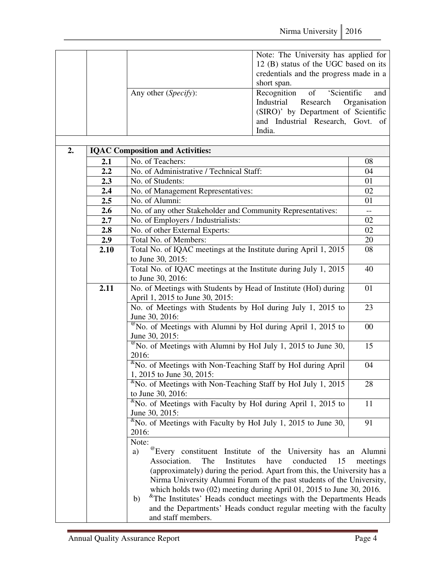|  |                               | Note: The University has applied for   |
|--|-------------------------------|----------------------------------------|
|  |                               | 12 (B) status of the UGC based on its  |
|  |                               | credentials and the progress made in a |
|  |                               | short span.                            |
|  | Any other ( <i>Specify</i> ): | Recognition of 'Scientific<br>and      |
|  |                               | Industrial Research Organisation       |
|  |                               | (SIRO)' by Department of Scientific    |
|  |                               | and Industrial Research, Govt. of      |
|  |                               | India.                                 |

|      | <b>IQAC Composition and Activities:</b>                                                                                                                                                                                                                                                                                                                                                                                                                                                                                                                                         |                 |  |  |  |  |  |
|------|---------------------------------------------------------------------------------------------------------------------------------------------------------------------------------------------------------------------------------------------------------------------------------------------------------------------------------------------------------------------------------------------------------------------------------------------------------------------------------------------------------------------------------------------------------------------------------|-----------------|--|--|--|--|--|
| 2.1  | No. of Teachers:                                                                                                                                                                                                                                                                                                                                                                                                                                                                                                                                                                | 08              |  |  |  |  |  |
| 2.2  | No. of Administrative / Technical Staff:                                                                                                                                                                                                                                                                                                                                                                                                                                                                                                                                        | 04              |  |  |  |  |  |
| 2.3  | No. of Students:                                                                                                                                                                                                                                                                                                                                                                                                                                                                                                                                                                |                 |  |  |  |  |  |
| 2.4  | No. of Management Representatives:                                                                                                                                                                                                                                                                                                                                                                                                                                                                                                                                              | 02              |  |  |  |  |  |
| 2.5  | No. of Alumni:                                                                                                                                                                                                                                                                                                                                                                                                                                                                                                                                                                  |                 |  |  |  |  |  |
| 2.6  | No. of any other Stakeholder and Community Representatives:                                                                                                                                                                                                                                                                                                                                                                                                                                                                                                                     | $\frac{1}{2}$   |  |  |  |  |  |
| 2.7  | No. of Employers / Industrialists:                                                                                                                                                                                                                                                                                                                                                                                                                                                                                                                                              | 02              |  |  |  |  |  |
| 2.8  | No. of other External Experts:                                                                                                                                                                                                                                                                                                                                                                                                                                                                                                                                                  | 02              |  |  |  |  |  |
| 2.9  | Total No. of Members:                                                                                                                                                                                                                                                                                                                                                                                                                                                                                                                                                           | 20              |  |  |  |  |  |
| 2.10 | Total No. of IQAC meetings at the Institute during April 1, 2015<br>to June 30, 2015:                                                                                                                                                                                                                                                                                                                                                                                                                                                                                           | 08              |  |  |  |  |  |
|      | Total No. of IQAC meetings at the Institute during July 1, 2015<br>to June 30, 2016:                                                                                                                                                                                                                                                                                                                                                                                                                                                                                            | 40              |  |  |  |  |  |
| 2.11 | No. of Meetings with Students by Head of Institute (HoI) during<br>April 1, 2015 to June 30, 2015:                                                                                                                                                                                                                                                                                                                                                                                                                                                                              | 01              |  |  |  |  |  |
|      | No. of Meetings with Students by HoI during July 1, 2015 to<br>June 30, 2016:                                                                                                                                                                                                                                                                                                                                                                                                                                                                                                   | 23              |  |  |  |  |  |
|      | $^{\omega}$ No. of Meetings with Alumni by HoI during April 1, 2015 to<br>June 30, 2015:                                                                                                                                                                                                                                                                                                                                                                                                                                                                                        | 00              |  |  |  |  |  |
|      | $^{\circ\circ}$ No. of Meetings with Alumni by HoI July 1, 2015 to June 30,<br>2016:                                                                                                                                                                                                                                                                                                                                                                                                                                                                                            | 15              |  |  |  |  |  |
|      | <sup>&amp;</sup> No. of Meetings with Non-Teaching Staff by HoI during April<br>1, 2015 to June 30, 2015:                                                                                                                                                                                                                                                                                                                                                                                                                                                                       | 04              |  |  |  |  |  |
|      | <sup>&amp;</sup> No. of Meetings with Non-Teaching Staff by HoI July 1, 2015<br>to June 30, 2016:                                                                                                                                                                                                                                                                                                                                                                                                                                                                               | $\overline{28}$ |  |  |  |  |  |
|      | <sup>&amp;</sup> No. of Meetings with Faculty by HoI during April 1, 2015 to<br>June 30, 2015:                                                                                                                                                                                                                                                                                                                                                                                                                                                                                  | 11              |  |  |  |  |  |
|      | $\text{K}$ No. of Meetings with Faculty by HoI July 1, 2015 to June 30,<br>2016:                                                                                                                                                                                                                                                                                                                                                                                                                                                                                                | 91              |  |  |  |  |  |
|      | Note:<br><sup>@</sup> Every constituent Institute of the University has an Alumni<br>a)<br>Association.<br>The<br>Institutes<br>have<br>conducted<br>15<br>(approximately) during the period. Apart from this, the University has a<br>Nirma University Alumni Forum of the past students of the University,<br>which holds two $(02)$ meeting during April 01, 2015 to June 30, 2016.<br><sup>&amp;</sup> The Institutes' Heads conduct meetings with the Departments Heads<br>b)<br>and the Departments' Heads conduct regular meeting with the faculty<br>and staff members. | meetings        |  |  |  |  |  |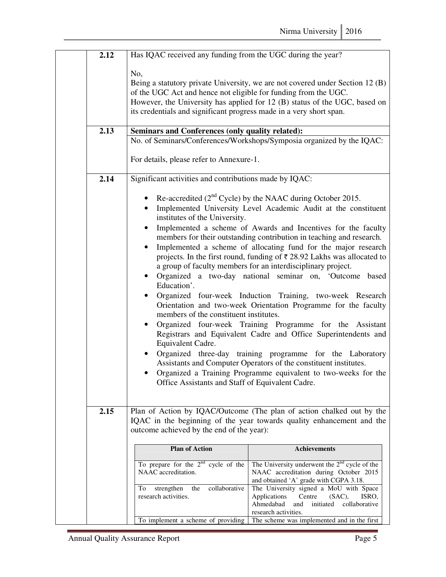| 2.12 | Has IQAC received any funding from the UGC during the year?                                                                                                                                                                                   |                                                                                                                                                                                                                                                                                                                                                                                                                                                                                                                                                                                                                                                                                                                                                                                                                                                                                                                                                                                                                    |  |  |  |  |
|------|-----------------------------------------------------------------------------------------------------------------------------------------------------------------------------------------------------------------------------------------------|--------------------------------------------------------------------------------------------------------------------------------------------------------------------------------------------------------------------------------------------------------------------------------------------------------------------------------------------------------------------------------------------------------------------------------------------------------------------------------------------------------------------------------------------------------------------------------------------------------------------------------------------------------------------------------------------------------------------------------------------------------------------------------------------------------------------------------------------------------------------------------------------------------------------------------------------------------------------------------------------------------------------|--|--|--|--|
| 2.13 | No,<br>of the UGC Act and hence not eligible for funding from the UGC.<br>its credentials and significant progress made in a very short span.<br>Seminars and Conferences (only quality related):                                             | Being a statutory private University, we are not covered under Section 12 (B)<br>However, the University has applied for 12 (B) status of the UGC, based on                                                                                                                                                                                                                                                                                                                                                                                                                                                                                                                                                                                                                                                                                                                                                                                                                                                        |  |  |  |  |
|      |                                                                                                                                                                                                                                               | No. of Seminars/Conferences/Workshops/Symposia organized by the IQAC:                                                                                                                                                                                                                                                                                                                                                                                                                                                                                                                                                                                                                                                                                                                                                                                                                                                                                                                                              |  |  |  |  |
|      | For details, please refer to Annexure-1.                                                                                                                                                                                                      |                                                                                                                                                                                                                                                                                                                                                                                                                                                                                                                                                                                                                                                                                                                                                                                                                                                                                                                                                                                                                    |  |  |  |  |
| 2.14 | Significant activities and contributions made by IQAC:                                                                                                                                                                                        |                                                                                                                                                                                                                                                                                                                                                                                                                                                                                                                                                                                                                                                                                                                                                                                                                                                                                                                                                                                                                    |  |  |  |  |
|      | $\bullet$<br>institutes of the University.<br>$\bullet$<br>$\bullet$<br>$\bullet$<br>Education'.<br>$\bullet$<br>members of the constituent institutes.<br>Equivalent Cadre.<br>$\bullet$<br>Office Assistants and Staff of Equivalent Cadre. | • Re-accredited ( $2nd$ Cycle) by the NAAC during October 2015.<br>Implemented University Level Academic Audit at the constituent<br>Implemented a scheme of Awards and Incentives for the faculty<br>members for their outstanding contribution in teaching and research.<br>Implemented a scheme of allocating fund for the major research<br>projects. In the first round, funding of ₹ 28.92 Lakhs was allocated to<br>a group of faculty members for an interdisciplinary project.<br>Organized a two-day national seminar on, 'Outcome based<br>Organized four-week Induction Training, two-week Research<br>Orientation and two-week Orientation Programme for the faculty<br>Organized four-week Training Programme for the Assistant<br>Registrars and Equivalent Cadre and Office Superintendents and<br>Organized three-day training programme for the Laboratory<br>Assistants and Computer Operators of the constituent institutes.<br>Organized a Training Programme equivalent to two-weeks for the |  |  |  |  |
| 2.15 |                                                                                                                                                                                                                                               | Plan of Action by IQAC/Outcome (The plan of action chalked out by the                                                                                                                                                                                                                                                                                                                                                                                                                                                                                                                                                                                                                                                                                                                                                                                                                                                                                                                                              |  |  |  |  |
|      |                                                                                                                                                                                                                                               | IQAC in the beginning of the year towards quality enhancement and the                                                                                                                                                                                                                                                                                                                                                                                                                                                                                                                                                                                                                                                                                                                                                                                                                                                                                                                                              |  |  |  |  |
|      | outcome achieved by the end of the year):                                                                                                                                                                                                     |                                                                                                                                                                                                                                                                                                                                                                                                                                                                                                                                                                                                                                                                                                                                                                                                                                                                                                                                                                                                                    |  |  |  |  |
|      |                                                                                                                                                                                                                                               |                                                                                                                                                                                                                                                                                                                                                                                                                                                                                                                                                                                                                                                                                                                                                                                                                                                                                                                                                                                                                    |  |  |  |  |
|      | <b>Plan of Action</b>                                                                                                                                                                                                                         | <b>Achievements</b>                                                                                                                                                                                                                                                                                                                                                                                                                                                                                                                                                                                                                                                                                                                                                                                                                                                                                                                                                                                                |  |  |  |  |
|      | To prepare for the $2nd$ cycle of the<br>NAAC accreditation.<br>collaborative<br>strengthen<br>the<br>To<br>research activities.                                                                                                              | The University underwent the $2nd$ cycle of the<br>NAAC accreditation during October 2015<br>and obtained 'A' grade with CGPA 3.18.<br>The University signed a MoU with Space<br>Applications<br>Centre<br>(SAC),<br>ISRO,<br>Ahmedabad<br>initiated<br>collaborative<br>and<br>research activities.                                                                                                                                                                                                                                                                                                                                                                                                                                                                                                                                                                                                                                                                                                               |  |  |  |  |
|      | To implement a scheme of providing                                                                                                                                                                                                            | The scheme was implemented and in the first                                                                                                                                                                                                                                                                                                                                                                                                                                                                                                                                                                                                                                                                                                                                                                                                                                                                                                                                                                        |  |  |  |  |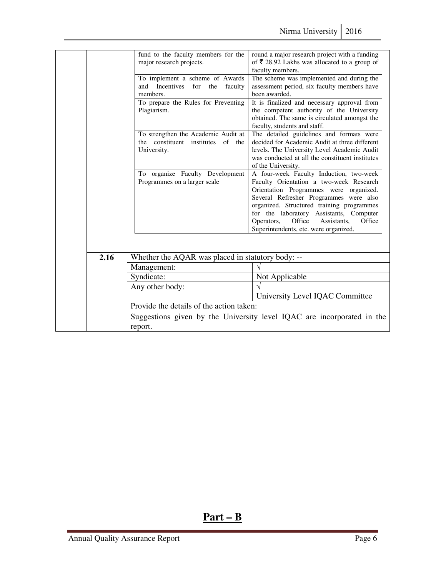|      | fund to the faculty members for the<br>major research projects. | round a major research project with a funding<br>of $\overline{\xi}$ 28.92 Lakhs was allocated to a group of |
|------|-----------------------------------------------------------------|--------------------------------------------------------------------------------------------------------------|
|      |                                                                 | faculty members.                                                                                             |
|      | To implement a scheme of Awards                                 | The scheme was implemented and during the                                                                    |
|      | and<br><b>Incentives</b><br>for<br>the<br>faculty               | assessment period, six faculty members have                                                                  |
|      | members.                                                        | been awarded.                                                                                                |
|      | To prepare the Rules for Preventing                             | It is finalized and necessary approval from                                                                  |
|      | Plagiarism.                                                     | the competent authority of the University                                                                    |
|      |                                                                 | obtained. The same is circulated amongst the                                                                 |
|      |                                                                 | faculty, students and staff.                                                                                 |
|      | To strengthen the Academic Audit at                             | The detailed guidelines and formats were                                                                     |
|      | the constituent institutes<br>of the                            | decided for Academic Audit at three different                                                                |
|      | University.                                                     | levels. The University Level Academic Audit                                                                  |
|      |                                                                 | was conducted at all the constituent institutes                                                              |
|      |                                                                 | of the University.                                                                                           |
|      | To organize Faculty Development                                 | A four-week Faculty Induction, two-week                                                                      |
|      | Programmes on a larger scale                                    | Faculty Orientation a two-week Research                                                                      |
|      |                                                                 | Orientation Programmes were organized.                                                                       |
|      |                                                                 | Several Refresher Programmes were also                                                                       |
|      |                                                                 | organized. Structured training programmes                                                                    |
|      |                                                                 | for the laboratory Assistants, Computer                                                                      |
|      |                                                                 | Office<br>Operators,<br>Assistants.<br>Office                                                                |
|      |                                                                 | Superintendents, etc. were organized.                                                                        |
|      |                                                                 |                                                                                                              |
|      |                                                                 |                                                                                                              |
| 2.16 | Whether the AQAR was placed in statutory body: --               |                                                                                                              |
|      | Management:                                                     | $\sqrt{}$                                                                                                    |
|      | Syndicate:                                                      | Not Applicable                                                                                               |
|      | Any other body:                                                 |                                                                                                              |
|      |                                                                 | University Level IQAC Committee                                                                              |
|      | Provide the details of the action taken:                        |                                                                                                              |
|      |                                                                 | Suggestions given by the University level IQAC are incorporated in the                                       |
|      | report.                                                         |                                                                                                              |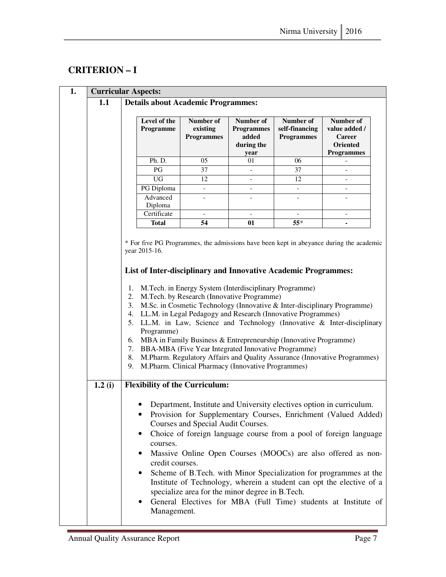## **CRITERION – I**

| 1. |        | <b>Curricular Aspects:</b>                                                                                                                                                                                                                                                                                                                                                                                                                                                                                                                                                                                                                               |                                            |                                                                                       |                              |                                                                       |                                                                                                                                                                                                                                                                                                                                                                                                                                                                                            |  |  |  |
|----|--------|----------------------------------------------------------------------------------------------------------------------------------------------------------------------------------------------------------------------------------------------------------------------------------------------------------------------------------------------------------------------------------------------------------------------------------------------------------------------------------------------------------------------------------------------------------------------------------------------------------------------------------------------------------|--------------------------------------------|---------------------------------------------------------------------------------------|------------------------------|-----------------------------------------------------------------------|--------------------------------------------------------------------------------------------------------------------------------------------------------------------------------------------------------------------------------------------------------------------------------------------------------------------------------------------------------------------------------------------------------------------------------------------------------------------------------------------|--|--|--|
|    | 1.1    | <b>Details about Academic Programmes:</b>                                                                                                                                                                                                                                                                                                                                                                                                                                                                                                                                                                                                                |                                            |                                                                                       |                              |                                                                       |                                                                                                                                                                                                                                                                                                                                                                                                                                                                                            |  |  |  |
|    |        |                                                                                                                                                                                                                                                                                                                                                                                                                                                                                                                                                                                                                                                          | Level of the                               | Number of                                                                             | Number of                    | Number of                                                             | Number of                                                                                                                                                                                                                                                                                                                                                                                                                                                                                  |  |  |  |
|    |        |                                                                                                                                                                                                                                                                                                                                                                                                                                                                                                                                                                                                                                                          | Programme                                  | existing                                                                              | <b>Programmes</b>            | self-financing                                                        | value added /                                                                                                                                                                                                                                                                                                                                                                                                                                                                              |  |  |  |
|    |        |                                                                                                                                                                                                                                                                                                                                                                                                                                                                                                                                                                                                                                                          |                                            | <b>Programmes</b>                                                                     | added                        | <b>Programmes</b>                                                     | <b>Career</b>                                                                                                                                                                                                                                                                                                                                                                                                                                                                              |  |  |  |
|    |        |                                                                                                                                                                                                                                                                                                                                                                                                                                                                                                                                                                                                                                                          |                                            |                                                                                       | during the                   |                                                                       | Oriented                                                                                                                                                                                                                                                                                                                                                                                                                                                                                   |  |  |  |
|    |        |                                                                                                                                                                                                                                                                                                                                                                                                                                                                                                                                                                                                                                                          |                                            |                                                                                       | year                         |                                                                       | <b>Programmes</b>                                                                                                                                                                                                                                                                                                                                                                                                                                                                          |  |  |  |
|    |        |                                                                                                                                                                                                                                                                                                                                                                                                                                                                                                                                                                                                                                                          | Ph. D.                                     | 05                                                                                    | 01                           | 06                                                                    |                                                                                                                                                                                                                                                                                                                                                                                                                                                                                            |  |  |  |
|    |        |                                                                                                                                                                                                                                                                                                                                                                                                                                                                                                                                                                                                                                                          | PG                                         | 37                                                                                    | $\overline{a}$               | 37                                                                    |                                                                                                                                                                                                                                                                                                                                                                                                                                                                                            |  |  |  |
|    |        |                                                                                                                                                                                                                                                                                                                                                                                                                                                                                                                                                                                                                                                          | <b>UG</b>                                  | 12                                                                                    | $\qquad \qquad \blacksquare$ | 12                                                                    | $\overline{\phantom{0}}$                                                                                                                                                                                                                                                                                                                                                                                                                                                                   |  |  |  |
|    |        |                                                                                                                                                                                                                                                                                                                                                                                                                                                                                                                                                                                                                                                          | PG Diploma<br>Advanced                     | $\overline{\phantom{0}}$                                                              | $\qquad \qquad -$            | $\overline{\phantom{a}}$                                              | $\overline{\phantom{0}}$                                                                                                                                                                                                                                                                                                                                                                                                                                                                   |  |  |  |
|    |        |                                                                                                                                                                                                                                                                                                                                                                                                                                                                                                                                                                                                                                                          | Diploma                                    |                                                                                       |                              |                                                                       |                                                                                                                                                                                                                                                                                                                                                                                                                                                                                            |  |  |  |
|    |        |                                                                                                                                                                                                                                                                                                                                                                                                                                                                                                                                                                                                                                                          | Certificate                                |                                                                                       | $\qquad \qquad \blacksquare$ | $\qquad \qquad -$                                                     | $\qquad \qquad -$                                                                                                                                                                                                                                                                                                                                                                                                                                                                          |  |  |  |
|    |        |                                                                                                                                                                                                                                                                                                                                                                                                                                                                                                                                                                                                                                                          | <b>Total</b>                               | 54                                                                                    | 01                           | $55*$                                                                 |                                                                                                                                                                                                                                                                                                                                                                                                                                                                                            |  |  |  |
|    |        |                                                                                                                                                                                                                                                                                                                                                                                                                                                                                                                                                                                                                                                          |                                            |                                                                                       |                              |                                                                       |                                                                                                                                                                                                                                                                                                                                                                                                                                                                                            |  |  |  |
|    |        |                                                                                                                                                                                                                                                                                                                                                                                                                                                                                                                                                                                                                                                          | year 2015-16.                              |                                                                                       |                              |                                                                       | * For five PG Programmes, the admissions have been kept in abeyance during the academic                                                                                                                                                                                                                                                                                                                                                                                                    |  |  |  |
|    |        |                                                                                                                                                                                                                                                                                                                                                                                                                                                                                                                                                                                                                                                          |                                            |                                                                                       |                              | <b>List of Inter-disciplinary and Innovative Academic Programmes:</b> |                                                                                                                                                                                                                                                                                                                                                                                                                                                                                            |  |  |  |
|    |        | M.Tech. in Energy System (Interdisciplinary Programme)<br>1.<br>M.Tech. by Research (Innovative Programme)<br>2.<br>M.Sc. in Cosmetic Technology (Innovative & Inter-disciplinary Programme)<br>3.<br>LL.M. in Legal Pedagogy and Research (Innovative Programmes)<br>4.<br>5. LL.M. in Law, Science and Technology (Innovative & Inter-disciplinary<br>Programme)<br>MBA in Family Business & Entrepreneurship (Innovative Programme)<br>6.<br>BBA-MBA (Five Year Integrated Innovative Programme)<br>7.<br>M.Pharm. Regulatory Affairs and Quality Assurance (Innovative Programmes)<br>8.<br>M.Pharm. Clinical Pharmacy (Innovative Programmes)<br>9. |                                            |                                                                                       |                              |                                                                       |                                                                                                                                                                                                                                                                                                                                                                                                                                                                                            |  |  |  |
|    | 1.2(i) |                                                                                                                                                                                                                                                                                                                                                                                                                                                                                                                                                                                                                                                          |                                            | <b>Flexibility of the Curriculum:</b>                                                 |                              |                                                                       |                                                                                                                                                                                                                                                                                                                                                                                                                                                                                            |  |  |  |
|    |        |                                                                                                                                                                                                                                                                                                                                                                                                                                                                                                                                                                                                                                                          | courses.<br>credit courses.<br>Management. | Courses and Special Audit Courses.<br>specialize area for the minor degree in B.Tech. |                              |                                                                       | Department, Institute and University electives option in curriculum.<br>Provision for Supplementary Courses, Enrichment (Valued Added)<br>Choice of foreign language course from a pool of foreign language<br>Massive Online Open Courses (MOOCs) are also offered as non-<br>Scheme of B.Tech. with Minor Specialization for programmes at the<br>Institute of Technology, wherein a student can opt the elective of a<br>General Electives for MBA (Full Time) students at Institute of |  |  |  |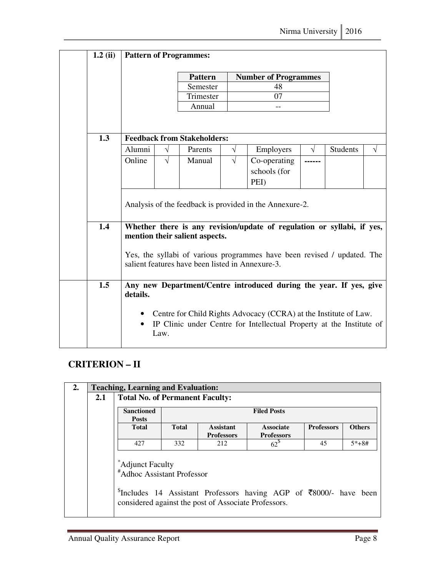| $1.2$ (ii) | <b>Pattern of Programmes:</b>                                                                                               |            |                                    |            |                                                                                                                                            |            |                 |            |
|------------|-----------------------------------------------------------------------------------------------------------------------------|------------|------------------------------------|------------|--------------------------------------------------------------------------------------------------------------------------------------------|------------|-----------------|------------|
|            |                                                                                                                             |            | <b>Pattern</b>                     |            | <b>Number of Programmes</b>                                                                                                                |            |                 |            |
|            |                                                                                                                             |            | Semester                           |            | 48                                                                                                                                         |            |                 |            |
|            |                                                                                                                             |            | Trimester                          |            | 07                                                                                                                                         |            |                 |            |
|            |                                                                                                                             |            | Annual                             |            |                                                                                                                                            |            |                 |            |
|            |                                                                                                                             |            |                                    |            |                                                                                                                                            |            |                 |            |
| 1.3        |                                                                                                                             |            | <b>Feedback from Stakeholders:</b> |            |                                                                                                                                            |            |                 |            |
|            | Alumni                                                                                                                      | $\sqrt{ }$ | Parents                            | $\sqrt{ }$ | Employers                                                                                                                                  | $\sqrt{ }$ | <b>Students</b> | $\sqrt{ }$ |
|            | Online                                                                                                                      | $\sqrt{}$  | Manual                             | $\sqrt{ }$ | Co-operating                                                                                                                               |            |                 |            |
|            |                                                                                                                             |            |                                    |            | schools (for                                                                                                                               |            |                 |            |
|            |                                                                                                                             |            |                                    |            | PEI)                                                                                                                                       |            |                 |            |
|            | Analysis of the feedback is provided in the Annexure-2.                                                                     |            |                                    |            |                                                                                                                                            |            |                 |            |
| 1.4        |                                                                                                                             |            | mention their salient aspects.     |            | Whether there is any revision/update of regulation or syllabi, if yes,                                                                     |            |                 |            |
|            | Yes, the syllabi of various programmes have been revised / updated. The<br>salient features have been listed in Annexure-3. |            |                                    |            |                                                                                                                                            |            |                 |            |
| 1.5        | details.                                                                                                                    |            |                                    |            | Any new Department/Centre introduced during the year. If yes, give                                                                         |            |                 |            |
|            | $\bullet$                                                                                                                   | Law.       |                                    |            | • Centre for Child Rights Advocacy (CCRA) at the Institute of Law.<br>IP Clinic under Centre for Intellectual Property at the Institute of |            |                 |            |

#### **CRITERION – II**

| 2. |     | <b>Teaching, Learning and Evaluation:</b>                              |                    |                                                      |                                                                                                |                   |               |  |  |  |
|----|-----|------------------------------------------------------------------------|--------------------|------------------------------------------------------|------------------------------------------------------------------------------------------------|-------------------|---------------|--|--|--|
|    | 2.1 | <b>Total No. of Permanent Faculty:</b>                                 |                    |                                                      |                                                                                                |                   |               |  |  |  |
|    |     | <b>Sanctioned</b><br><b>Posts</b>                                      | <b>Filed Posts</b> |                                                      |                                                                                                |                   |               |  |  |  |
|    |     | <b>Total</b>                                                           | <b>Total</b>       | <b>Assistant</b><br><b>Professors</b>                | <b>Associate</b><br><b>Professors</b>                                                          | <b>Professors</b> | <b>Others</b> |  |  |  |
|    |     | 427                                                                    | 332                | 212                                                  | $62^{\circ}$                                                                                   | 45                | $5*+8#$       |  |  |  |
|    |     | Adjunct Faculty <sup>*</sup><br><sup>#</sup> Adhoc Assistant Professor |                    | considered against the post of Associate Professors. | $\frac{1}{2}$ Includes 14 Assistant Professors having AGP of $\overline{\xi}8000$ /- have been |                   |               |  |  |  |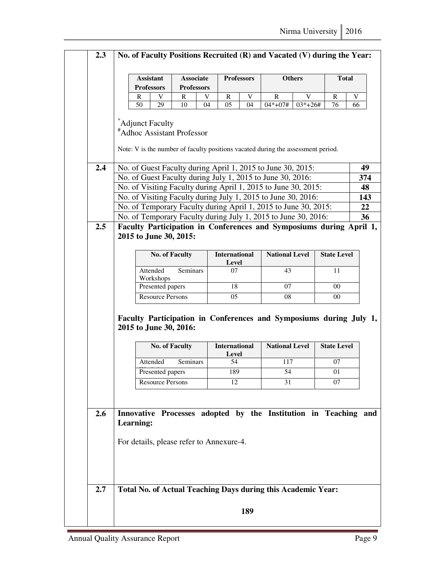|            | <b>Assistant</b>                                                                                                                  | <b>Associate</b>            | <b>Professors</b>             | <b>Others</b>          | <b>Total</b>       |           |  |  |  |
|------------|-----------------------------------------------------------------------------------------------------------------------------------|-----------------------------|-------------------------------|------------------------|--------------------|-----------|--|--|--|
|            | <b>Professors</b><br>R<br>V                                                                                                       | <b>Professors</b><br>R<br>V | R<br>V                        | R<br>V                 | R                  | V         |  |  |  |
|            | 50<br>29                                                                                                                          | 10<br>04                    | 05<br>04                      | $04*+07#$<br>$03*+26#$ | 76                 | 66        |  |  |  |
|            | *Adjunct Faculty<br><sup>#</sup> Adhoc Assistant Professor                                                                        |                             |                               |                        |                    |           |  |  |  |
|            | Note: V is the number of faculty positions vacated during the assessment period.                                                  |                             |                               |                        |                    |           |  |  |  |
| 2.4        | No. of Guest Faculty during April 1, 2015 to June 30, 2015:                                                                       |                             |                               |                        |                    | 49        |  |  |  |
|            | No. of Guest Faculty during July 1, 2015 to June 30, 2016:                                                                        |                             |                               |                        |                    | 374<br>48 |  |  |  |
|            | No. of Visiting Faculty during April 1, 2015 to June 30, 2015:                                                                    |                             |                               |                        |                    |           |  |  |  |
|            | No. of Visiting Faculty during July 1, 2015 to June 30, 2016:                                                                     |                             |                               |                        |                    | 143       |  |  |  |
|            | No. of Temporary Faculty during April 1, 2015 to June 30, 2015:<br>No. of Temporary Faculty during July 1, 2015 to June 30, 2016: |                             |                               |                        |                    |           |  |  |  |
| 2.5        | Faculty Participation in Conferences and Symposiums during April 1,                                                               |                             |                               |                        |                    |           |  |  |  |
|            | <b>No. of Faculty</b>                                                                                                             |                             | <b>International</b><br>Level | <b>National Level</b>  | <b>State Level</b> |           |  |  |  |
|            | Attended<br>Workshops                                                                                                             | Seminars                    | 07                            | 43                     | 11                 |           |  |  |  |
|            | Presented papers                                                                                                                  |                             | 18                            | 07                     | $00\,$             |           |  |  |  |
|            |                                                                                                                                   |                             |                               |                        |                    |           |  |  |  |
|            | <b>Resource Persons</b>                                                                                                           |                             | 05                            | 08                     | $00\,$             |           |  |  |  |
|            | Faculty Participation in Conferences and Symposiums during July 1,<br>2015 to June 30, 2016:<br><b>No. of Faculty</b>             |                             | <b>International</b>          | <b>National Level</b>  | <b>State Level</b> |           |  |  |  |
|            | Attended                                                                                                                          | Seminars                    | <b>Level</b><br>54            | 117                    | 07                 |           |  |  |  |
|            | Presented papers                                                                                                                  |                             | 189                           | 54                     | 01                 |           |  |  |  |
|            | <b>Resource Persons</b>                                                                                                           |                             | 12                            | 31                     | 07                 |           |  |  |  |
|            | Innovative Processes adopted by the Institution in Teaching and<br>Learning:                                                      |                             |                               |                        |                    |           |  |  |  |
| 2.6<br>2.7 | For details, please refer to Annexure-4.<br>Total No. of Actual Teaching Days during this Academic Year:                          |                             |                               |                        |                    |           |  |  |  |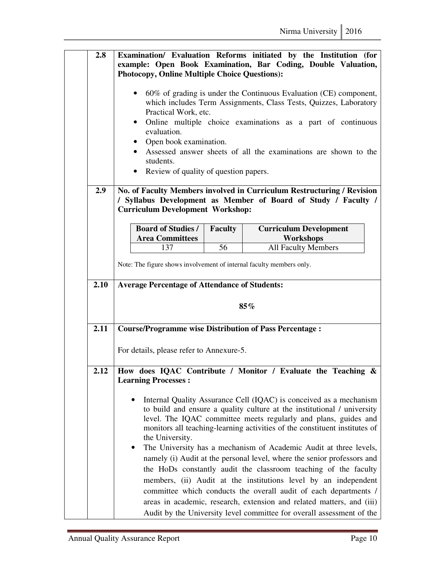| Examination/ Evaluation Reforms initiated by the Institution (for<br>example: Open Book Examination, Bar Coding, Double Valuation,<br><b>Photocopy, Online Multiple Choice Questions):</b><br>60% of grading is under the Continuous Evaluation (CE) component,<br>which includes Term Assignments, Class Tests, Quizzes, Laboratory<br>Practical Work, etc.<br>Online multiple choice examinations as a part of continuous<br>$\bullet$<br>evaluation.<br>• Open book examination.<br>Assessed answer sheets of all the examinations are shown to the<br>students.                                                                                                                                                                                  |                                    |                                                                                                                                                          |  |  |  |  |                                                                                                                                                                                     |
|------------------------------------------------------------------------------------------------------------------------------------------------------------------------------------------------------------------------------------------------------------------------------------------------------------------------------------------------------------------------------------------------------------------------------------------------------------------------------------------------------------------------------------------------------------------------------------------------------------------------------------------------------------------------------------------------------------------------------------------------------|------------------------------------|----------------------------------------------------------------------------------------------------------------------------------------------------------|--|--|--|--|-------------------------------------------------------------------------------------------------------------------------------------------------------------------------------------|
|                                                                                                                                                                                                                                                                                                                                                                                                                                                                                                                                                                                                                                                                                                                                                      |                                    |                                                                                                                                                          |  |  |  |  | No. of Faculty Members involved in Curriculum Restructuring / Revision<br>/ Syllabus Development as Member of Board of Study / Faculty /<br><b>Curriculum Development Workshop:</b> |
| <b>Board of Studies /</b>                                                                                                                                                                                                                                                                                                                                                                                                                                                                                                                                                                                                                                                                                                                            | <b>Faculty</b>                     | <b>Curriculum Development</b>                                                                                                                            |  |  |  |  |                                                                                                                                                                                     |
|                                                                                                                                                                                                                                                                                                                                                                                                                                                                                                                                                                                                                                                                                                                                                      |                                    | <b>Workshops</b><br><b>All Faculty Members</b>                                                                                                           |  |  |  |  |                                                                                                                                                                                     |
| Note: The figure shows involvement of internal faculty members only.                                                                                                                                                                                                                                                                                                                                                                                                                                                                                                                                                                                                                                                                                 |                                    |                                                                                                                                                          |  |  |  |  |                                                                                                                                                                                     |
| 2.10<br><b>Average Percentage of Attendance of Students:</b>                                                                                                                                                                                                                                                                                                                                                                                                                                                                                                                                                                                                                                                                                         |                                    |                                                                                                                                                          |  |  |  |  |                                                                                                                                                                                     |
|                                                                                                                                                                                                                                                                                                                                                                                                                                                                                                                                                                                                                                                                                                                                                      |                                    | 85%                                                                                                                                                      |  |  |  |  |                                                                                                                                                                                     |
|                                                                                                                                                                                                                                                                                                                                                                                                                                                                                                                                                                                                                                                                                                                                                      |                                    |                                                                                                                                                          |  |  |  |  |                                                                                                                                                                                     |
|                                                                                                                                                                                                                                                                                                                                                                                                                                                                                                                                                                                                                                                                                                                                                      |                                    |                                                                                                                                                          |  |  |  |  |                                                                                                                                                                                     |
| How does IQAC Contribute / Monitor / Evaluate the Teaching &<br><b>Learning Processes:</b>                                                                                                                                                                                                                                                                                                                                                                                                                                                                                                                                                                                                                                                           |                                    |                                                                                                                                                          |  |  |  |  |                                                                                                                                                                                     |
| Internal Quality Assurance Cell (IQAC) is conceived as a mechanism<br>to build and ensure a quality culture at the institutional / university<br>level. The IQAC committee meets regularly and plans, guides and<br>monitors all teaching-learning activities of the constituent institutes of<br>the University.<br>The University has a mechanism of Academic Audit at three levels,<br>namely (i) Audit at the personal level, where the senior professors and<br>the HoDs constantly audit the classroom teaching of the faculty<br>members, (ii) Audit at the institutions level by an independent<br>committee which conducts the overall audit of each departments /<br>areas in academic, research, extension and related matters, and (iii) |                                    |                                                                                                                                                          |  |  |  |  |                                                                                                                                                                                     |
|                                                                                                                                                                                                                                                                                                                                                                                                                                                                                                                                                                                                                                                                                                                                                      | ٠<br><b>Area Committees</b><br>137 | Review of quality of question papers.<br>56<br><b>Course/Programme wise Distribution of Pass Percentage:</b><br>For details, please refer to Annexure-5. |  |  |  |  |                                                                                                                                                                                     |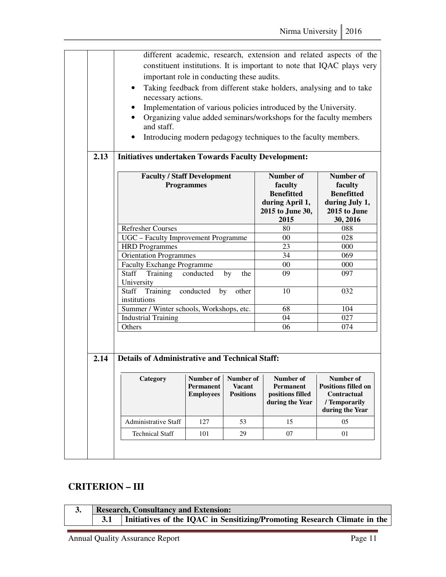|      | $\bullet$<br>and staff.                                        | different academic, research, extension and related aspects of the<br>constituent institutions. It is important to note that IQAC plays very<br>important role in conducting these audits.<br>Taking feedback from different stake holders, analysing and to take<br>necessary actions.<br>Implementation of various policies introduced by the University.<br>Organizing value added seminars/workshops for the faculty members<br>Introducing modern pedagogy techniques to the faculty members.<br><b>Initiatives undertaken Towards Faculty Development:</b> |                                   |                                                                                                |                                                                                                       |  |  |  |  |  |
|------|----------------------------------------------------------------|------------------------------------------------------------------------------------------------------------------------------------------------------------------------------------------------------------------------------------------------------------------------------------------------------------------------------------------------------------------------------------------------------------------------------------------------------------------------------------------------------------------------------------------------------------------|-----------------------------------|------------------------------------------------------------------------------------------------|-------------------------------------------------------------------------------------------------------|--|--|--|--|--|
| 2.13 | <b>Faculty / Staff Development</b><br><b>Refresher Courses</b> | <b>Programmes</b>                                                                                                                                                                                                                                                                                                                                                                                                                                                                                                                                                |                                   | Number of<br>faculty<br><b>Benefitted</b><br>during April 1,<br>2015 to June 30,<br>2015<br>80 | <b>Number of</b><br>faculty<br><b>Benefitted</b><br>during July 1,<br>2015 to June<br>30, 2016<br>088 |  |  |  |  |  |
|      | UGC - Faculty Improvement Programme                            |                                                                                                                                                                                                                                                                                                                                                                                                                                                                                                                                                                  |                                   | 00                                                                                             | 028                                                                                                   |  |  |  |  |  |
|      | <b>HRD</b> Programmes                                          |                                                                                                                                                                                                                                                                                                                                                                                                                                                                                                                                                                  |                                   | 23                                                                                             | 000                                                                                                   |  |  |  |  |  |
|      | Orientation Programmes                                         |                                                                                                                                                                                                                                                                                                                                                                                                                                                                                                                                                                  |                                   | 34                                                                                             | 069                                                                                                   |  |  |  |  |  |
|      | <b>Faculty Exchange Programme</b>                              |                                                                                                                                                                                                                                                                                                                                                                                                                                                                                                                                                                  |                                   | $00\,$                                                                                         | 000                                                                                                   |  |  |  |  |  |
|      | Training<br><b>Staff</b><br>University                         | conducted                                                                                                                                                                                                                                                                                                                                                                                                                                                                                                                                                        | by<br>the                         | 09                                                                                             | 097                                                                                                   |  |  |  |  |  |
|      | Training<br><b>Staff</b><br>institutions                       | conducted<br>by                                                                                                                                                                                                                                                                                                                                                                                                                                                                                                                                                  | other                             | 10                                                                                             | 032                                                                                                   |  |  |  |  |  |
|      | Summer / Winter schools, Workshops, etc.                       |                                                                                                                                                                                                                                                                                                                                                                                                                                                                                                                                                                  |                                   | 68                                                                                             | 104                                                                                                   |  |  |  |  |  |
|      | <b>Industrial Training</b>                                     |                                                                                                                                                                                                                                                                                                                                                                                                                                                                                                                                                                  |                                   | 04                                                                                             | 027                                                                                                   |  |  |  |  |  |
|      | Others                                                         |                                                                                                                                                                                                                                                                                                                                                                                                                                                                                                                                                                  |                                   | 06                                                                                             | 074                                                                                                   |  |  |  |  |  |
| 2.14 | <b>Details of Administrative and Technical Staff:</b>          |                                                                                                                                                                                                                                                                                                                                                                                                                                                                                                                                                                  |                                   |                                                                                                |                                                                                                       |  |  |  |  |  |
|      |                                                                |                                                                                                                                                                                                                                                                                                                                                                                                                                                                                                                                                                  |                                   |                                                                                                |                                                                                                       |  |  |  |  |  |
|      | Category                                                       | Number of   Number of  <br><b>Permanent</b><br><b>Employees</b>                                                                                                                                                                                                                                                                                                                                                                                                                                                                                                  | <b>Vacant</b><br><b>Positions</b> | Number of<br>Permanent<br>positions filled<br>during the Year                                  | Number of<br><b>Positions filled on</b><br>Contractual<br>/ Temporarily<br>during the Year            |  |  |  |  |  |
|      | Administrative Staff                                           | 127                                                                                                                                                                                                                                                                                                                                                                                                                                                                                                                                                              | 53                                | 15                                                                                             | 05                                                                                                    |  |  |  |  |  |
|      | <b>Technical Staff</b>                                         | 101                                                                                                                                                                                                                                                                                                                                                                                                                                                                                                                                                              | 29                                | 07                                                                                             | 01                                                                                                    |  |  |  |  |  |
|      |                                                                |                                                                                                                                                                                                                                                                                                                                                                                                                                                                                                                                                                  |                                   |                                                                                                |                                                                                                       |  |  |  |  |  |

### **CRITERION – III**

|  | <b>Research, Consultancy and Extension:</b>                              |
|--|--------------------------------------------------------------------------|
|  | Initiatives of the IQAC in Sensitizing/Promoting Research Climate in the |
|  |                                                                          |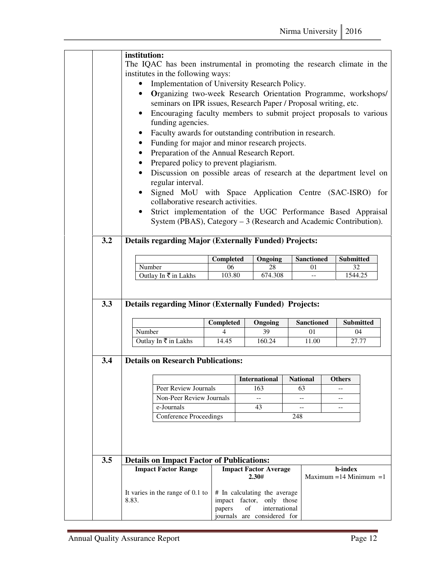|            |                                                                         | institution:                                                                                                                                       |                                                                     |                         |               |                              |  |  |  |
|------------|-------------------------------------------------------------------------|----------------------------------------------------------------------------------------------------------------------------------------------------|---------------------------------------------------------------------|-------------------------|---------------|------------------------------|--|--|--|
|            | The IQAC has been instrumental in promoting the research climate in the |                                                                                                                                                    |                                                                     |                         |               |                              |  |  |  |
|            | institutes in the following ways:                                       |                                                                                                                                                    |                                                                     |                         |               |                              |  |  |  |
|            |                                                                         |                                                                                                                                                    | Implementation of University Research Policy.                       |                         |               |                              |  |  |  |
|            |                                                                         |                                                                                                                                                    | Organizing two-week Research Orientation Programme, workshops/      |                         |               |                              |  |  |  |
|            |                                                                         | seminars on IPR issues, Research Paper / Proposal writing, etc.<br>Encouraging faculty members to submit project proposals to various<br>$\bullet$ |                                                                     |                         |               |                              |  |  |  |
|            |                                                                         |                                                                                                                                                    |                                                                     |                         |               |                              |  |  |  |
|            |                                                                         | funding agencies.                                                                                                                                  |                                                                     |                         |               |                              |  |  |  |
|            |                                                                         | Faculty awards for outstanding contribution in research.                                                                                           |                                                                     |                         |               |                              |  |  |  |
|            |                                                                         | Funding for major and minor research projects.                                                                                                     |                                                                     |                         |               |                              |  |  |  |
|            |                                                                         |                                                                                                                                                    | Preparation of the Annual Research Report.                          |                         |               |                              |  |  |  |
|            | Prepared policy to prevent plagiarism.                                  |                                                                                                                                                    |                                                                     |                         |               |                              |  |  |  |
|            | $\bullet$                                                               |                                                                                                                                                    | Discussion on possible areas of research at the department level on |                         |               |                              |  |  |  |
|            | regular interval.                                                       |                                                                                                                                                    |                                                                     |                         |               |                              |  |  |  |
|            |                                                                         |                                                                                                                                                    | Signed MoU with Space Application Centre (SAC-ISRO) for             |                         |               |                              |  |  |  |
|            | collaborative research activities.                                      |                                                                                                                                                    |                                                                     |                         |               |                              |  |  |  |
|            |                                                                         |                                                                                                                                                    | Strict implementation of the UGC Performance Based Appraisal        |                         |               |                              |  |  |  |
|            |                                                                         |                                                                                                                                                    | System (PBAS), Category – 3 (Research and Academic Contribution).   |                         |               |                              |  |  |  |
|            |                                                                         |                                                                                                                                                    |                                                                     |                         |               |                              |  |  |  |
| 3.2        | <b>Details regarding Major (Externally Funded) Projects:</b>            |                                                                                                                                                    |                                                                     |                         |               |                              |  |  |  |
|            |                                                                         |                                                                                                                                                    |                                                                     |                         |               |                              |  |  |  |
|            | Number                                                                  | <b>Completed</b><br>06                                                                                                                             | Ongoing<br>28                                                       | <b>Sanctioned</b><br>01 |               | <b>Submitted</b><br>32       |  |  |  |
|            | Outlay In ₹ in Lakhs                                                    | 103.80                                                                                                                                             | 674.308                                                             |                         |               | 1544.25                      |  |  |  |
|            |                                                                         |                                                                                                                                                    |                                                                     |                         |               |                              |  |  |  |
|            |                                                                         |                                                                                                                                                    |                                                                     |                         |               |                              |  |  |  |
|            |                                                                         |                                                                                                                                                    |                                                                     |                         |               |                              |  |  |  |
|            | <b>Details regarding Minor (Externally Funded) Projects:</b>            |                                                                                                                                                    |                                                                     |                         |               |                              |  |  |  |
|            |                                                                         |                                                                                                                                                    |                                                                     |                         |               |                              |  |  |  |
|            |                                                                         | Completed                                                                                                                                          | Ongoing                                                             | <b>Sanctioned</b>       |               | <b>Submitted</b>             |  |  |  |
|            | Number                                                                  | 4                                                                                                                                                  | 39                                                                  | 01                      |               | 04                           |  |  |  |
|            | Outlay In ₹ in Lakhs                                                    | 14.45                                                                                                                                              | 160.24                                                              | 11.00                   |               | 27.77                        |  |  |  |
| 3.3        |                                                                         |                                                                                                                                                    |                                                                     |                         |               |                              |  |  |  |
|            | <b>Details on Research Publications:</b>                                |                                                                                                                                                    |                                                                     |                         |               |                              |  |  |  |
|            |                                                                         |                                                                                                                                                    |                                                                     |                         |               |                              |  |  |  |
|            |                                                                         |                                                                                                                                                    | <b>International</b>                                                | <b>National</b>         | <b>Others</b> |                              |  |  |  |
|            | Peer Review Journals                                                    |                                                                                                                                                    | 163<br>$\overline{a}$                                               | 63<br>$\overline{a}$    |               | $-$                          |  |  |  |
|            | Non-Peer Review Journals                                                |                                                                                                                                                    |                                                                     |                         |               |                              |  |  |  |
|            | e-Journals                                                              |                                                                                                                                                    | 43                                                                  | 248                     |               |                              |  |  |  |
|            | <b>Conference Proceedings</b>                                           |                                                                                                                                                    |                                                                     |                         |               |                              |  |  |  |
|            |                                                                         |                                                                                                                                                    |                                                                     |                         |               |                              |  |  |  |
|            |                                                                         |                                                                                                                                                    |                                                                     |                         |               |                              |  |  |  |
|            |                                                                         |                                                                                                                                                    |                                                                     |                         |               |                              |  |  |  |
|            | <b>Details on Impact Factor of Publications:</b>                        |                                                                                                                                                    |                                                                     |                         |               |                              |  |  |  |
|            | <b>Impact Factor Range</b>                                              |                                                                                                                                                    | <b>Impact Factor Average</b>                                        |                         |               | h-index                      |  |  |  |
|            |                                                                         |                                                                                                                                                    | 2.30#                                                               |                         |               | Maximum = $14$ Minimum = $1$ |  |  |  |
| 3.4<br>3.5 | It varies in the range of 0.1 to                                        |                                                                                                                                                    | # In calculating the average                                        |                         |               |                              |  |  |  |
|            | 8.83.                                                                   |                                                                                                                                                    | impact factor, only those                                           |                         |               |                              |  |  |  |
|            |                                                                         | papers                                                                                                                                             | οf<br>international<br>journals are considered for                  |                         |               |                              |  |  |  |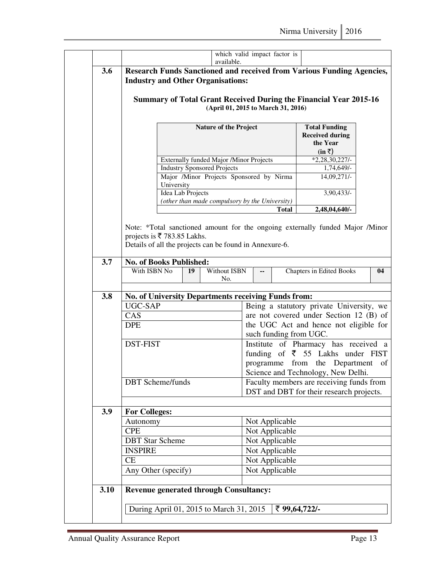| 3.6  | which valid impact factor is<br>available.<br>Research Funds Sanctioned and received from Various Funding Agencies,<br><b>Industry and Other Organisations:</b> |                                                                                                                |                                                                              |                                                                                      |                                                                           |                                          |    |  |  |  |  |
|------|-----------------------------------------------------------------------------------------------------------------------------------------------------------------|----------------------------------------------------------------------------------------------------------------|------------------------------------------------------------------------------|--------------------------------------------------------------------------------------|---------------------------------------------------------------------------|------------------------------------------|----|--|--|--|--|
|      |                                                                                                                                                                 | <b>Summary of Total Grant Received During the Financial Year 2015-16</b><br>(April 01, 2015 to March 31, 2016) |                                                                              |                                                                                      |                                                                           |                                          |    |  |  |  |  |
|      |                                                                                                                                                                 | <b>Nature of the Project</b>                                                                                   | <b>Total Funding</b><br><b>Received during</b><br>the Year<br>$(in \bar{z})$ |                                                                                      |                                                                           |                                          |    |  |  |  |  |
|      |                                                                                                                                                                 |                                                                                                                | Externally funded Major /Minor Projects                                      |                                                                                      |                                                                           | $*2,28,30,227/$                          |    |  |  |  |  |
|      |                                                                                                                                                                 |                                                                                                                | <b>Industry Sponsored Projects</b>                                           |                                                                                      |                                                                           | 1,74,649/-                               |    |  |  |  |  |
|      | University                                                                                                                                                      |                                                                                                                | Major /Minor Projects Sponsored by Nirma                                     |                                                                                      |                                                                           | 14,09,271/-                              |    |  |  |  |  |
|      | Idea Lab Projects                                                                                                                                               |                                                                                                                |                                                                              |                                                                                      |                                                                           | 3,90,433/-                               |    |  |  |  |  |
|      |                                                                                                                                                                 |                                                                                                                | (other than made compulsory by the University)                               |                                                                                      |                                                                           |                                          |    |  |  |  |  |
|      |                                                                                                                                                                 |                                                                                                                |                                                                              |                                                                                      | <b>Total</b>                                                              | 2,48,04,640/-                            |    |  |  |  |  |
| 3.7  | projects is ₹783.85 Lakhs.<br>Details of all the projects can be found in Annexure-6.<br>No. of Books Published:                                                |                                                                                                                |                                                                              |                                                                                      |                                                                           |                                          |    |  |  |  |  |
|      | With ISBN No                                                                                                                                                    | 19                                                                                                             | <b>Without ISBN</b><br>No.                                                   |                                                                                      |                                                                           | Chapters in Edited Books                 | 04 |  |  |  |  |
| 3.8  | <b>No. of University Departments receiving Funds from:</b>                                                                                                      |                                                                                                                |                                                                              |                                                                                      |                                                                           |                                          |    |  |  |  |  |
|      | UGC-SAP                                                                                                                                                         |                                                                                                                |                                                                              |                                                                                      |                                                                           | Being a statutory private University, we |    |  |  |  |  |
|      | CAS                                                                                                                                                             |                                                                                                                |                                                                              | are not covered under Section 12 (B) of                                              |                                                                           |                                          |    |  |  |  |  |
|      | <b>DPE</b>                                                                                                                                                      |                                                                                                                |                                                                              | the UGC Act and hence not eligible for                                               |                                                                           |                                          |    |  |  |  |  |
|      | <b>DST-FIST</b>                                                                                                                                                 |                                                                                                                |                                                                              | such funding from UGC.<br>Institute of Pharmacy has received a                       |                                                                           |                                          |    |  |  |  |  |
|      |                                                                                                                                                                 |                                                                                                                |                                                                              | funding of $\overline{5}$ 55 Lakhs under FIST                                        |                                                                           |                                          |    |  |  |  |  |
|      |                                                                                                                                                                 |                                                                                                                |                                                                              |                                                                                      | programme from the Department<br>of<br>Science and Technology, New Delhi. |                                          |    |  |  |  |  |
|      | <b>DBT</b> Scheme/funds                                                                                                                                         |                                                                                                                |                                                                              | Faculty members are receiving funds from<br>DST and DBT for their research projects. |                                                                           |                                          |    |  |  |  |  |
| 3.9  | <b>For Colleges:</b>                                                                                                                                            |                                                                                                                |                                                                              |                                                                                      |                                                                           |                                          |    |  |  |  |  |
|      | Autonomy                                                                                                                                                        |                                                                                                                |                                                                              | Not Applicable                                                                       |                                                                           |                                          |    |  |  |  |  |
|      | <b>CPE</b>                                                                                                                                                      |                                                                                                                |                                                                              |                                                                                      | Not Applicable                                                            |                                          |    |  |  |  |  |
|      | <b>DBT</b> Star Scheme                                                                                                                                          |                                                                                                                |                                                                              |                                                                                      | Not Applicable                                                            |                                          |    |  |  |  |  |
|      | <b>INSPIRE</b>                                                                                                                                                  |                                                                                                                |                                                                              |                                                                                      | Not Applicable                                                            |                                          |    |  |  |  |  |
|      | CE                                                                                                                                                              |                                                                                                                |                                                                              | Not Applicable                                                                       |                                                                           |                                          |    |  |  |  |  |
|      |                                                                                                                                                                 | Any Other (specify)                                                                                            |                                                                              |                                                                                      |                                                                           |                                          |    |  |  |  |  |
|      |                                                                                                                                                                 | Not Applicable                                                                                                 |                                                                              |                                                                                      |                                                                           |                                          |    |  |  |  |  |
| 3.10 | <b>Revenue generated through Consultancy:</b>                                                                                                                   |                                                                                                                |                                                                              |                                                                                      |                                                                           |                                          |    |  |  |  |  |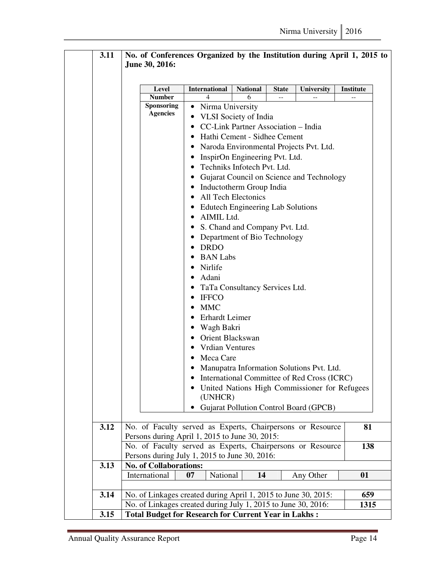| 3.11 | No. of Conferences Organized by the Institution during April 1, 2015 to<br>June 30, 2016:                                    |                                             |                 |                                         |                                               |           |  |  |
|------|------------------------------------------------------------------------------------------------------------------------------|---------------------------------------------|-----------------|-----------------------------------------|-----------------------------------------------|-----------|--|--|
|      | Level                                                                                                                        | <b>International</b>                        | <b>National</b> | <b>State</b>                            | University                                    | Institute |  |  |
|      | <b>Number</b>                                                                                                                | 4                                           | 6               |                                         |                                               |           |  |  |
|      | <b>Sponsoring</b>                                                                                                            | Nirma University                            |                 |                                         |                                               |           |  |  |
|      | <b>Agencies</b>                                                                                                              | <b>VLSI</b> Society of India                |                 |                                         |                                               |           |  |  |
|      |                                                                                                                              | CC-Link Partner Association - India<br>٠    |                 |                                         |                                               |           |  |  |
|      |                                                                                                                              | • Hathi Cement - Sidhee Cement              |                 |                                         |                                               |           |  |  |
|      |                                                                                                                              | $\bullet$                                   |                 | Naroda Environmental Projects Pvt. Ltd. |                                               |           |  |  |
|      |                                                                                                                              | • InspirOn Engineering Pvt. Ltd.            |                 |                                         |                                               |           |  |  |
|      |                                                                                                                              | • Techniks Infotech Pvt. Ltd.               |                 |                                         |                                               |           |  |  |
|      |                                                                                                                              |                                             |                 |                                         |                                               |           |  |  |
|      |                                                                                                                              |                                             |                 |                                         | Gujarat Council on Science and Technology     |           |  |  |
|      |                                                                                                                              | Inductotherm Group India<br>$\bullet$       |                 |                                         |                                               |           |  |  |
|      |                                                                                                                              | • All Tech Electonics                       |                 |                                         |                                               |           |  |  |
|      |                                                                                                                              | • Edutech Engineering Lab Solutions         |                 |                                         |                                               |           |  |  |
|      |                                                                                                                              | AIMIL Ltd.<br>$\bullet$                     |                 |                                         |                                               |           |  |  |
|      |                                                                                                                              | • S. Chand and Company Pvt. Ltd.            |                 |                                         |                                               |           |  |  |
|      | • Department of Bio Technology                                                                                               |                                             |                 |                                         |                                               |           |  |  |
|      |                                                                                                                              |                                             |                 |                                         |                                               |           |  |  |
|      |                                                                                                                              | <b>BAN</b> Labs                             |                 |                                         |                                               |           |  |  |
|      |                                                                                                                              | • Nirlife                                   |                 |                                         |                                               |           |  |  |
|      |                                                                                                                              |                                             |                 |                                         |                                               |           |  |  |
|      |                                                                                                                              | TaTa Consultancy Services Ltd.<br>$\bullet$ |                 |                                         |                                               |           |  |  |
|      |                                                                                                                              | $\bullet$ IFFCO                             |                 |                                         |                                               |           |  |  |
|      |                                                                                                                              | MMC                                         |                 |                                         |                                               |           |  |  |
|      |                                                                                                                              | <b>Erhardt Leimer</b>                       |                 |                                         |                                               |           |  |  |
|      |                                                                                                                              | · Wagh Bakri                                |                 |                                         |                                               |           |  |  |
|      |                                                                                                                              | • Orient Blackswan                          |                 |                                         |                                               |           |  |  |
|      |                                                                                                                              | <b>Vrdian Ventures</b><br>٠                 |                 |                                         |                                               |           |  |  |
|      |                                                                                                                              | Meca Care<br>٠                              |                 |                                         |                                               |           |  |  |
|      |                                                                                                                              | $\bullet$                                   |                 |                                         | Manupatra Information Solutions Pvt. Ltd.     |           |  |  |
|      |                                                                                                                              |                                             |                 |                                         | International Committee of Red Cross (ICRC)   |           |  |  |
|      |                                                                                                                              | ٠                                           |                 |                                         | United Nations High Commissioner for Refugees |           |  |  |
|      |                                                                                                                              | (UNHCR)                                     |                 |                                         |                                               |           |  |  |
|      |                                                                                                                              |                                             |                 |                                         | <b>Gujarat Pollution Control Board (GPCB)</b> |           |  |  |
|      |                                                                                                                              |                                             |                 |                                         |                                               |           |  |  |
| 3.12 | No. of Faculty served as Experts, Chairpersons or Resource                                                                   |                                             |                 |                                         |                                               | 81        |  |  |
|      |                                                                                                                              |                                             |                 |                                         |                                               |           |  |  |
|      | Persons during April 1, 2015 to June 30, 2015:<br>No. of Faculty served as Experts, Chairpersons or Resource                 |                                             |                 |                                         |                                               |           |  |  |
|      | Persons during July 1, 2015 to June 30, 2016:                                                                                |                                             |                 |                                         |                                               | 138       |  |  |
| 3.13 | <b>No. of Collaborations:</b>                                                                                                |                                             |                 |                                         |                                               |           |  |  |
|      | International                                                                                                                | 07<br>National<br>14<br>Any Other<br>01     |                 |                                         |                                               |           |  |  |
|      |                                                                                                                              |                                             |                 |                                         |                                               |           |  |  |
| 3.14 | No. of Linkages created during April 1, 2015 to June 30, 2015:                                                               |                                             |                 |                                         |                                               | 659       |  |  |
|      |                                                                                                                              |                                             |                 |                                         |                                               | 1315      |  |  |
| 3.15 | No. of Linkages created during July 1, 2015 to June 30, 2016:<br><b>Total Budget for Research for Current Year in Lakhs:</b> |                                             |                 |                                         |                                               |           |  |  |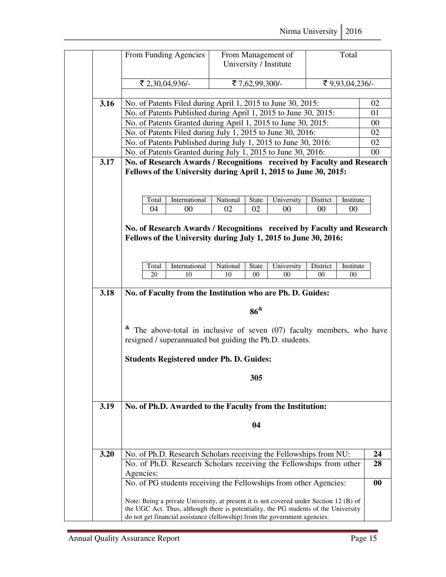|      | From Funding Agencies                                                                                                                                                                                                                                        |                | From Management of<br>University / Institute |                    | Total               |          |  |
|------|--------------------------------------------------------------------------------------------------------------------------------------------------------------------------------------------------------------------------------------------------------------|----------------|----------------------------------------------|--------------------|---------------------|----------|--|
|      | ₹ 2,30,04,936/-                                                                                                                                                                                                                                              |                | ₹7,62,99,300/-                               |                    | ₹ 9,93,04,236/-     |          |  |
|      | No. of Patents Filed during April 1, 2015 to June 30, 2015:                                                                                                                                                                                                  |                |                                              |                    |                     |          |  |
| 3.16 |                                                                                                                                                                                                                                                              |                |                                              |                    |                     | 02       |  |
|      | No. of Patents Published during April 1, 2015 to June 30, 2015:<br>No. of Patents Granted during April 1, 2015 to June 30, 2015:                                                                                                                             |                |                                              |                    |                     | 01<br>00 |  |
|      |                                                                                                                                                                                                                                                              |                |                                              |                    |                     | 02       |  |
|      | No. of Patents Filed during July 1, 2015 to June 30, 2016:<br>No. of Patents Published during July 1, 2015 to June 30, 2016:                                                                                                                                 |                |                                              |                    |                     | 02       |  |
|      | No. of Patents Granted during July 1, 2015 to June 30, 2016:                                                                                                                                                                                                 |                |                                              |                    |                     | $00\,$   |  |
| 3.17 | No. of Research Awards / Recognitions received by Faculty and Research                                                                                                                                                                                       |                |                                              |                    |                     |          |  |
|      | Fellows of the University during April 1, 2015 to June 30, 2015:<br>International<br>Total<br>04<br>$00\,$                                                                                                                                                   | National<br>02 | State<br>University<br>02<br>00              | District<br>$00\,$ | Institute<br>$00\,$ |          |  |
|      | No. of Research Awards / Recognitions received by Faculty and Research<br>Fellows of the University during July 1, 2015 to June 30, 2016:<br>International<br>Total<br>20<br>10                                                                              | National<br>10 | State<br>University<br>$00\,$<br>$^{00}$     | District<br>$00\,$ | Institute<br>$00\,$ |          |  |
|      |                                                                                                                                                                                                                                                              |                |                                              |                    |                     |          |  |
| 3.18 | No. of Faculty from the Institution who are Ph. D. Guides:                                                                                                                                                                                                   |                |                                              |                    |                     |          |  |
|      |                                                                                                                                                                                                                                                              |                | $86^{\&}$                                    |                    |                     |          |  |
|      | $\alpha$ The above-total in inclusive of seven (07) faculty members, who have<br>resigned / superannuated but guiding the Ph.D. students.                                                                                                                    |                |                                              |                    |                     |          |  |
|      | <b>Students Registered under Ph. D. Guides:</b>                                                                                                                                                                                                              |                |                                              |                    |                     |          |  |
|      |                                                                                                                                                                                                                                                              |                | 305                                          |                    |                     |          |  |
| 3.19 | No. of Ph.D. Awarded to the Faculty from the Institution:                                                                                                                                                                                                    |                |                                              |                    |                     |          |  |
|      | 04                                                                                                                                                                                                                                                           |                |                                              |                    |                     |          |  |
| 3.20 | No. of Ph.D. Research Scholars receiving the Fellowships from NU:                                                                                                                                                                                            |                |                                              |                    |                     | 24       |  |
|      | No. of Ph.D. Research Scholars receiving the Fellowships from other                                                                                                                                                                                          |                |                                              |                    |                     | 28       |  |
|      | Agencies:                                                                                                                                                                                                                                                    |                |                                              |                    |                     |          |  |
|      | No. of PG students receiving the Fellowships from other Agencies:                                                                                                                                                                                            |                |                                              |                    |                     | 00       |  |
|      | Note: Being a private University, at present it is not covered under Section 12 (B) of<br>the UGC Act. Thus, although there is potentiality, the PG students of the University<br>do not get financial assistance (fellowship) from the government agencies. |                |                                              |                    |                     |          |  |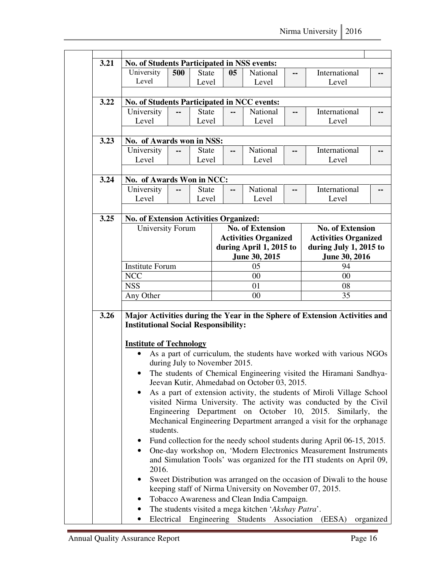| 3.21 | No. of Students Participated in NSS events:                                   |                                                                                                                                     |              |                               |                         |                                              |                          |                                                                                                                                           |     |  |  |
|------|-------------------------------------------------------------------------------|-------------------------------------------------------------------------------------------------------------------------------------|--------------|-------------------------------|-------------------------|----------------------------------------------|--------------------------|-------------------------------------------------------------------------------------------------------------------------------------------|-----|--|--|
|      | University                                                                    | 500<br><b>State</b>                                                                                                                 |              | 05                            |                         | National                                     | --                       | International                                                                                                                             | --  |  |  |
|      | Level                                                                         |                                                                                                                                     | Level        |                               |                         | Level                                        |                          | Level                                                                                                                                     |     |  |  |
|      |                                                                               |                                                                                                                                     |              |                               |                         |                                              |                          |                                                                                                                                           |     |  |  |
| 3.22 | No. of Students Participated in NCC events:                                   |                                                                                                                                     |              |                               |                         |                                              |                          |                                                                                                                                           |     |  |  |
|      | University                                                                    |                                                                                                                                     | <b>State</b> | --                            |                         | National                                     | $\sim$ $\sim$            | International                                                                                                                             |     |  |  |
|      | Level                                                                         |                                                                                                                                     | Level        |                               |                         | Level                                        |                          | Level                                                                                                                                     |     |  |  |
| 3.23 | No. of Awards won in NSS:                                                     |                                                                                                                                     |              |                               |                         |                                              |                          |                                                                                                                                           |     |  |  |
|      | University                                                                    | --                                                                                                                                  | <b>State</b> | --                            |                         | National                                     | $\overline{\phantom{a}}$ | International                                                                                                                             | --  |  |  |
|      | Level                                                                         |                                                                                                                                     | Level        |                               |                         | Level                                        |                          | Level                                                                                                                                     |     |  |  |
| 3.24 | No. of Awards Won in NCC:                                                     |                                                                                                                                     |              |                               |                         |                                              |                          |                                                                                                                                           |     |  |  |
|      | University                                                                    |                                                                                                                                     | <b>State</b> | --                            |                         | National                                     |                          | International                                                                                                                             |     |  |  |
|      | Level                                                                         |                                                                                                                                     | Level        |                               |                         | Level                                        |                          | Level                                                                                                                                     |     |  |  |
|      |                                                                               |                                                                                                                                     |              |                               |                         |                                              |                          |                                                                                                                                           |     |  |  |
| 3.25 | <b>No. of Extension Activities Organized:</b><br>University Forum             |                                                                                                                                     |              |                               |                         | <b>No. of Extension</b>                      |                          | <b>No. of Extension</b>                                                                                                                   |     |  |  |
|      |                                                                               |                                                                                                                                     |              |                               |                         | <b>Activities Organized</b>                  |                          | <b>Activities Organized</b>                                                                                                               |     |  |  |
|      |                                                                               |                                                                                                                                     |              |                               | during April 1, 2015 to |                                              |                          | during July 1, 2015 to                                                                                                                    |     |  |  |
|      |                                                                               |                                                                                                                                     |              |                               |                         | June 30, 2015                                | June 30, 2016            |                                                                                                                                           |     |  |  |
|      | <b>Institute Forum</b>                                                        |                                                                                                                                     |              |                               | 05                      |                                              |                          | 94                                                                                                                                        |     |  |  |
|      | <b>NCC</b>                                                                    |                                                                                                                                     |              | $00\,$                        |                         |                                              |                          | 00                                                                                                                                        |     |  |  |
|      | <b>NSS</b>                                                                    |                                                                                                                                     |              | 01                            |                         |                                              |                          | 08                                                                                                                                        |     |  |  |
|      | Any Other                                                                     |                                                                                                                                     |              |                               |                         | $00\,$                                       |                          | 35                                                                                                                                        |     |  |  |
| 3.26 | <b>Institutional Social Responsibility:</b><br><b>Institute of Technology</b> |                                                                                                                                     |              |                               |                         |                                              |                          | Major Activities during the Year in the Sphere of Extension Activities and                                                                |     |  |  |
|      | $\bullet$                                                                     |                                                                                                                                     |              |                               |                         |                                              |                          | As a part of curriculum, the students have worked with various NGOs                                                                       |     |  |  |
|      |                                                                               |                                                                                                                                     |              | during July to November 2015. |                         |                                              |                          |                                                                                                                                           |     |  |  |
|      |                                                                               |                                                                                                                                     |              |                               |                         | Jeevan Kutir, Ahmedabad on October 03, 2015. |                          | The students of Chemical Engineering visited the Hiramani Sandhya-                                                                        |     |  |  |
|      |                                                                               |                                                                                                                                     |              |                               |                         |                                              |                          | As a part of extension activity, the students of Miroli Village School                                                                    |     |  |  |
|      |                                                                               |                                                                                                                                     |              |                               |                         |                                              |                          | visited Nirma University. The activity was conducted by the Civil                                                                         |     |  |  |
|      |                                                                               |                                                                                                                                     |              |                               |                         |                                              |                          | Engineering Department on October 10, 2015. Similarly,                                                                                    | the |  |  |
|      |                                                                               |                                                                                                                                     |              |                               |                         |                                              |                          | Mechanical Engineering Department arranged a visit for the orphanage                                                                      |     |  |  |
|      | students.                                                                     |                                                                                                                                     |              |                               |                         |                                              |                          |                                                                                                                                           |     |  |  |
|      | $\bullet$                                                                     | Fund collection for the needy school students during April 06-15, 2015.                                                             |              |                               |                         |                                              |                          |                                                                                                                                           |     |  |  |
|      | ٠<br>2016.                                                                    |                                                                                                                                     |              |                               |                         |                                              |                          | One-day workshop on, 'Modern Electronics Measurement Instruments<br>and Simulation Tools' was organized for the ITI students on April 09, |     |  |  |
|      |                                                                               | Sweet Distribution was arranged on the occasion of Diwali to the house<br>keeping staff of Nirma University on November 07, 2015.   |              |                               |                         |                                              |                          |                                                                                                                                           |     |  |  |
|      |                                                                               |                                                                                                                                     |              |                               |                         | Tobacco Awareness and Clean India Campaign.  |                          |                                                                                                                                           |     |  |  |
|      |                                                                               |                                                                                                                                     |              |                               |                         |                                              |                          |                                                                                                                                           |     |  |  |
|      |                                                                               | The students visited a mega kitchen 'Akshay Patra'.<br>Electrical Engineering Students Association (EESA)<br>organized<br>$\bullet$ |              |                               |                         |                                              |                          |                                                                                                                                           |     |  |  |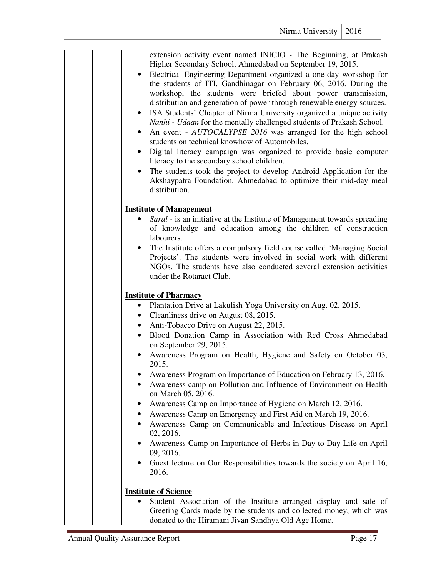| extension activity event named INICIO - The Beginning, at Prakash<br>Higher Secondary School, Ahmedabad on September 19, 2015.<br>Electrical Engineering Department organized a one-day workshop for<br>the students of ITI, Gandhinagar on February 06, 2016. During the<br>workshop, the students were briefed about power transmission,<br>distribution and generation of power through renewable energy sources.<br>ISA Students' Chapter of Nirma University organized a unique activity<br>$\bullet$<br>Nanhi - Udaan for the mentally challenged students of Prakash School.<br>An event - AUTOCALYPSE 2016 was arranged for the high school<br>$\bullet$<br>students on technical knowhow of Automobiles.<br>Digital literacy campaign was organized to provide basic computer<br>literacy to the secondary school children.<br>The students took the project to develop Android Application for the<br>Akshaypatra Foundation, Ahmedabad to optimize their mid-day meal<br>distribution. |
|---------------------------------------------------------------------------------------------------------------------------------------------------------------------------------------------------------------------------------------------------------------------------------------------------------------------------------------------------------------------------------------------------------------------------------------------------------------------------------------------------------------------------------------------------------------------------------------------------------------------------------------------------------------------------------------------------------------------------------------------------------------------------------------------------------------------------------------------------------------------------------------------------------------------------------------------------------------------------------------------------|
| <b>Institute of Management</b>                                                                                                                                                                                                                                                                                                                                                                                                                                                                                                                                                                                                                                                                                                                                                                                                                                                                                                                                                                    |
| Saral - is an initiative at the Institute of Management towards spreading<br>of knowledge and education among the children of construction<br>labourers.                                                                                                                                                                                                                                                                                                                                                                                                                                                                                                                                                                                                                                                                                                                                                                                                                                          |
| The Institute offers a compulsory field course called 'Managing Social<br>Projects'. The students were involved in social work with different<br>NGOs. The students have also conducted several extension activities<br>under the Rotaract Club.                                                                                                                                                                                                                                                                                                                                                                                                                                                                                                                                                                                                                                                                                                                                                  |
| <b>Institute of Pharmacy</b>                                                                                                                                                                                                                                                                                                                                                                                                                                                                                                                                                                                                                                                                                                                                                                                                                                                                                                                                                                      |
| • Plantation Drive at Lakulish Yoga University on Aug. 02, 2015.                                                                                                                                                                                                                                                                                                                                                                                                                                                                                                                                                                                                                                                                                                                                                                                                                                                                                                                                  |
| Cleanliness drive on August 08, 2015.<br>$\bullet$                                                                                                                                                                                                                                                                                                                                                                                                                                                                                                                                                                                                                                                                                                                                                                                                                                                                                                                                                |
| Anti-Tobacco Drive on August 22, 2015.<br>$\bullet$<br>Blood Donation Camp in Association with Red Cross Ahmedabad<br>$\bullet$                                                                                                                                                                                                                                                                                                                                                                                                                                                                                                                                                                                                                                                                                                                                                                                                                                                                   |
| on September 29, 2015.                                                                                                                                                                                                                                                                                                                                                                                                                                                                                                                                                                                                                                                                                                                                                                                                                                                                                                                                                                            |
| Awareness Program on Health, Hygiene and Safety on October 03,<br>2015.                                                                                                                                                                                                                                                                                                                                                                                                                                                                                                                                                                                                                                                                                                                                                                                                                                                                                                                           |
| Awareness Program on Importance of Education on February 13, 2016.<br>Awareness camp on Pollution and Influence of Environment on Health<br>on March 05, 2016.                                                                                                                                                                                                                                                                                                                                                                                                                                                                                                                                                                                                                                                                                                                                                                                                                                    |
| Awareness Camp on Importance of Hygiene on March 12, 2016.                                                                                                                                                                                                                                                                                                                                                                                                                                                                                                                                                                                                                                                                                                                                                                                                                                                                                                                                        |
| Awareness Camp on Emergency and First Aid on March 19, 2016.                                                                                                                                                                                                                                                                                                                                                                                                                                                                                                                                                                                                                                                                                                                                                                                                                                                                                                                                      |
| Awareness Camp on Communicable and Infectious Disease on April<br>٠<br>02, 2016.                                                                                                                                                                                                                                                                                                                                                                                                                                                                                                                                                                                                                                                                                                                                                                                                                                                                                                                  |
| Awareness Camp on Importance of Herbs in Day to Day Life on April<br>09, 2016.                                                                                                                                                                                                                                                                                                                                                                                                                                                                                                                                                                                                                                                                                                                                                                                                                                                                                                                    |
| Guest lecture on Our Responsibilities towards the society on April 16,<br>2016.                                                                                                                                                                                                                                                                                                                                                                                                                                                                                                                                                                                                                                                                                                                                                                                                                                                                                                                   |
| <b>Institute of Science</b>                                                                                                                                                                                                                                                                                                                                                                                                                                                                                                                                                                                                                                                                                                                                                                                                                                                                                                                                                                       |
| Student Association of the Institute arranged display and sale of<br>$\bullet$                                                                                                                                                                                                                                                                                                                                                                                                                                                                                                                                                                                                                                                                                                                                                                                                                                                                                                                    |
| Greeting Cards made by the students and collected money, which was<br>donated to the Hiramani Jivan Sandhya Old Age Home.                                                                                                                                                                                                                                                                                                                                                                                                                                                                                                                                                                                                                                                                                                                                                                                                                                                                         |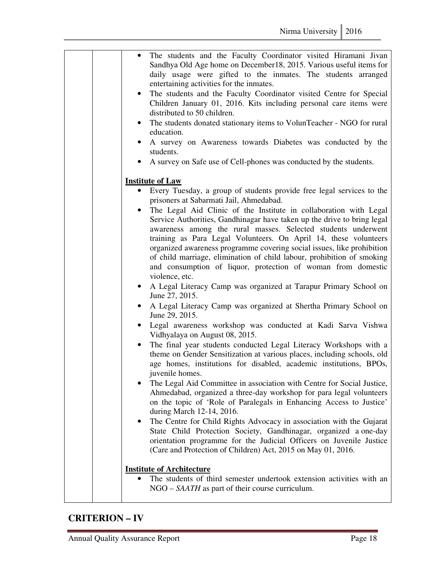| The students and the Faculty Coordinator visited Hiramani Jivan<br>$\bullet$<br>Sandhya Old Age home on December18, 2015. Various useful items for<br>daily usage were gifted to the inmates. The students arranged<br>entertaining activities for the inmates.<br>The students and the Faculty Coordinator visited Centre for Special<br>$\bullet$<br>Children January 01, 2016. Kits including personal care items were<br>distributed to 50 children.<br>The students donated stationary items to VolunTeacher - NGO for rural<br>$\bullet$<br>education.<br>A survey on Awareness towards Diabetes was conducted by the<br>students.<br>A survey on Safe use of Cell-phones was conducted by the students.                                                                                                                                                                                                                                                                                                                                                                                                                                                                                                                                                                                                                                                                                                                                                                                                                                                                                                                                                                                                                                                                                                                                                                                                                                                  |
|-----------------------------------------------------------------------------------------------------------------------------------------------------------------------------------------------------------------------------------------------------------------------------------------------------------------------------------------------------------------------------------------------------------------------------------------------------------------------------------------------------------------------------------------------------------------------------------------------------------------------------------------------------------------------------------------------------------------------------------------------------------------------------------------------------------------------------------------------------------------------------------------------------------------------------------------------------------------------------------------------------------------------------------------------------------------------------------------------------------------------------------------------------------------------------------------------------------------------------------------------------------------------------------------------------------------------------------------------------------------------------------------------------------------------------------------------------------------------------------------------------------------------------------------------------------------------------------------------------------------------------------------------------------------------------------------------------------------------------------------------------------------------------------------------------------------------------------------------------------------------------------------------------------------------------------------------------------------|
| <b>Institute of Law</b><br>Every Tuesday, a group of students provide free legal services to the<br>prisoners at Sabarmati Jail, Ahmedabad.<br>The Legal Aid Clinic of the Institute in collaboration with Legal<br>Service Authorities, Gandhinagar have taken up the drive to bring legal<br>awareness among the rural masses. Selected students underwent<br>training as Para Legal Volunteers. On April 14, these volunteers<br>organized awareness programme covering social issues, like prohibition<br>of child marriage, elimination of child labour, prohibition of smoking<br>and consumption of liquor, protection of woman from domestic<br>violence, etc.<br>A Legal Literacy Camp was organized at Tarapur Primary School on<br>$\bullet$<br>June 27, 2015.<br>A Legal Literacy Camp was organized at Shertha Primary School on<br>$\bullet$<br>June 29, 2015.<br>Legal awareness workshop was conducted at Kadi Sarva Vishwa<br>$\bullet$<br>Vidhyalaya on August 08, 2015.<br>The final year students conducted Legal Literacy Workshops with a<br>$\bullet$<br>theme on Gender Sensitization at various places, including schools, old<br>age homes, institutions for disabled, academic institutions, BPOs,<br>juvenile homes.<br>The Legal Aid Committee in association with Centre for Social Justice,<br>Ahmedabad, organized a three-day workshop for para legal volunteers<br>on the topic of 'Role of Paralegals in Enhancing Access to Justice'<br>during March 12-14, 2016.<br>The Centre for Child Rights Advocacy in association with the Gujarat<br>٠<br>State Child Protection Society, Gandhinagar, organized a one-day<br>orientation programme for the Judicial Officers on Juvenile Justice<br>(Care and Protection of Children) Act, 2015 on May 01, 2016.<br><b>Institute of Architecture</b><br>The students of third semester undertook extension activities with an<br>$NGO - SAATH$ as part of their course curriculum. |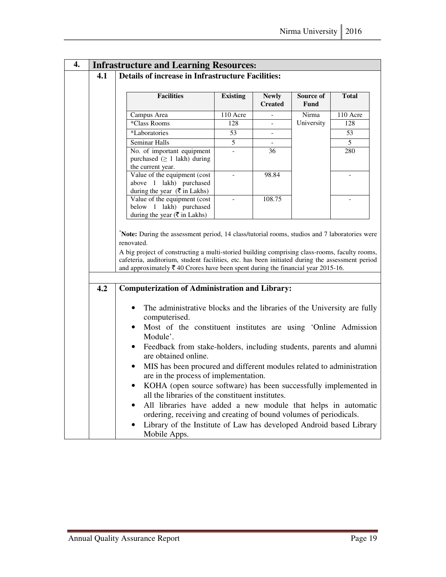| $\overline{4}$ . |     | <b>Infrastructure and Learning Resources:</b>                                                                                                                                                                                                                                                   |                 |                                |                          |                |  |  |
|------------------|-----|-------------------------------------------------------------------------------------------------------------------------------------------------------------------------------------------------------------------------------------------------------------------------------------------------|-----------------|--------------------------------|--------------------------|----------------|--|--|
|                  | 4.1 | <b>Details of increase in Infrastructure Facilities:</b>                                                                                                                                                                                                                                        |                 |                                |                          |                |  |  |
|                  |     | <b>Facilities</b>                                                                                                                                                                                                                                                                               | <b>Existing</b> | <b>Newly</b><br><b>Created</b> | Source of<br><b>Fund</b> | <b>Total</b>   |  |  |
|                  |     | Campus Area                                                                                                                                                                                                                                                                                     | 110 Acre        |                                | Nirma                    | $110$ Acre     |  |  |
|                  |     | *Class Rooms                                                                                                                                                                                                                                                                                    | 128             |                                | University               | 128            |  |  |
|                  |     | *Laboratories                                                                                                                                                                                                                                                                                   | 53              | $\overline{a}$                 |                          | 53             |  |  |
|                  |     | Seminar Halls                                                                                                                                                                                                                                                                                   | 5               | $-$                            |                          | 5              |  |  |
|                  |     | No. of important equipment<br>purchased $( \geq 1$ lakh) during<br>the current year.                                                                                                                                                                                                            |                 | 36                             |                          | 280            |  |  |
|                  |     | Value of the equipment (cost<br>above 1 lakh) purchased<br>during the year $(\overline{\xi}$ in Lakhs)                                                                                                                                                                                          |                 | 98.84                          |                          |                |  |  |
|                  |     | Value of the equipment (cost<br>below 1 lakh) purchased<br>during the year ( $\overline{\xi}$ in Lakhs)                                                                                                                                                                                         | $\overline{a}$  | 108.75                         |                          | $\overline{a}$ |  |  |
|                  |     | A big project of constructing a multi-storied building comprising class-rooms, faculty rooms,<br>cafeteria, auditorium, student facilities, etc. has been initiated during the assessment period<br>and approximately $\bar{\tau}$ 40 Crores have been spent during the financial year 2015-16. |                 |                                |                          |                |  |  |
|                  | 4.2 | <b>Computerization of Administration and Library:</b>                                                                                                                                                                                                                                           |                 |                                |                          |                |  |  |
|                  |     | The administrative blocks and the libraries of the University are fully<br>computerised.                                                                                                                                                                                                        |                 |                                |                          |                |  |  |
|                  |     | Most of the constituent institutes are using 'Online Admission<br>$\bullet$<br>Module'.                                                                                                                                                                                                         |                 |                                |                          |                |  |  |
|                  |     | Feedback from stake-holders, including students, parents and alumni<br>$\bullet$<br>are obtained online.                                                                                                                                                                                        |                 |                                |                          |                |  |  |
|                  |     | MIS has been procured and different modules related to administration<br>$\bullet$<br>are in the process of implementation.                                                                                                                                                                     |                 |                                |                          |                |  |  |
|                  |     | KOHA (open source software) has been successfully implemented in<br>all the libraries of the constituent institutes.                                                                                                                                                                            |                 |                                |                          |                |  |  |
|                  |     | All libraries have added a new module that helps in automatic                                                                                                                                                                                                                                   |                 |                                |                          |                |  |  |
|                  |     | ordering, receiving and creating of bound volumes of periodicals.<br>Library of the Institute of Law has developed Android based Library<br>Mobile Apps.                                                                                                                                        |                 |                                |                          |                |  |  |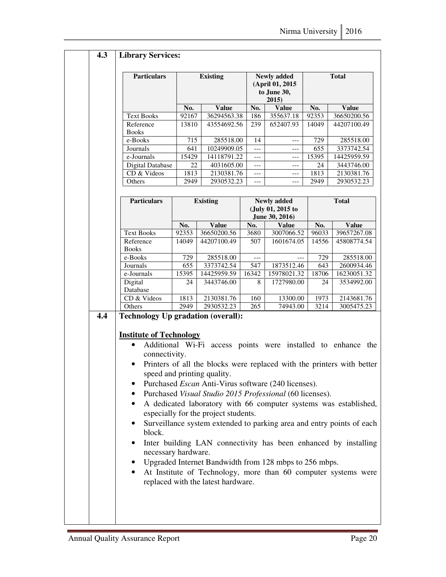|     | <b>Particulars</b>                                                                    |       | <b>Existing</b>                                                        |       | <b>Newly added</b><br>(April 01, 2015<br>to June 30,<br>2015) | <b>Total</b>      |              |  |
|-----|---------------------------------------------------------------------------------------|-------|------------------------------------------------------------------------|-------|---------------------------------------------------------------|-------------------|--------------|--|
|     |                                                                                       | No.   | <b>Value</b>                                                           | No.   | <b>Value</b>                                                  | No.               | <b>Value</b> |  |
|     | <b>Text Books</b>                                                                     | 92167 | 36294563.38                                                            | 186   | 355637.18                                                     | 92353             | 36650200.56  |  |
|     | Reference                                                                             | 13810 | 43554692.56                                                            | 239   | 652407.93                                                     | 14049             | 44207100.49  |  |
|     | <b>Books</b>                                                                          |       |                                                                        |       |                                                               |                   |              |  |
|     | e-Books                                                                               | 715   | 285518.00                                                              | 14    | $---$                                                         | 729               | 285518.00    |  |
|     | Journals                                                                              | 641   | 10249909.05                                                            | $---$ | $---$                                                         | 655               | 3373742.54   |  |
|     | e-Journals                                                                            | 15429 | 14118791.22                                                            | $---$ | ---                                                           | 15395             | 14425959.59  |  |
|     | Digital Database                                                                      | 22    | 4031605.00                                                             | $---$ | $---$                                                         | 24                | 3443746.00   |  |
|     | CD & Videos                                                                           | 1813  | 2130381.76                                                             | $---$ | $---$                                                         | 1813              | 2130381.76   |  |
|     | Others                                                                                | 2949  | 2930532.23                                                             | $---$ | $---$                                                         | 2949              | 2930532.23   |  |
|     |                                                                                       |       |                                                                        |       |                                                               |                   |              |  |
|     | <b>Particulars</b>                                                                    |       | <b>Existing</b>                                                        |       | <b>Newly added</b><br>(July 01, 2015 to<br>June 30, 2016)     |                   | <b>Total</b> |  |
|     |                                                                                       | No.   | <b>Value</b>                                                           | No.   | <b>Value</b>                                                  | No.               | <b>Value</b> |  |
|     | <b>Text Books</b>                                                                     | 92353 | 36650200.56                                                            | 3680  | 3007066.52                                                    | 96033             | 39657267.08  |  |
|     | Reference<br><b>Books</b>                                                             | 14049 | 44207100.49                                                            | 507   | 1601674.05                                                    | 14556             | 45808774.54  |  |
|     | e-Books                                                                               | 729   | 285518.00                                                              | $---$ | $---$                                                         | 729               | 285518.00    |  |
|     | Journals                                                                              | 655   | 3373742.54                                                             | 547   | 1873512.46                                                    | 643               | 2600934.46   |  |
|     | e-Journals                                                                            | 15395 | 14425959.59                                                            | 16342 | 15978021.32                                                   | 18706             | 16230051.32  |  |
|     | Digital<br>Database                                                                   | 24    | 3443746.00                                                             | 8     | 1727980.00                                                    | 24                | 3534992.00   |  |
|     | CD & Videos                                                                           | 1813  | 2130381.76                                                             | 160   | 13300.00                                                      | 1973              | 2143681.76   |  |
|     |                                                                                       |       |                                                                        |       |                                                               |                   |              |  |
|     |                                                                                       |       |                                                                        |       |                                                               |                   |              |  |
|     | Others<br><b>Technology Up gradation (overall):</b><br><b>Institute of Technology</b> | 2949  | 2930532.23                                                             | 265   | 74943.00                                                      | $\overline{3}214$ |              |  |
|     |                                                                                       |       | Additional Wi-Fi access points were installed to enhance the           |       |                                                               |                   |              |  |
|     | connectivity.                                                                         |       |                                                                        |       |                                                               |                   |              |  |
|     | $\bullet$                                                                             |       |                                                                        |       |                                                               |                   |              |  |
| 4.4 |                                                                                       |       | Printers of all the blocks were replaced with the printers with better |       |                                                               |                   |              |  |
|     |                                                                                       |       | speed and printing quality.                                            |       |                                                               |                   | 3005475.23   |  |
|     |                                                                                       |       | Purchased <i>Escan</i> Anti-Virus software (240 licenses).             |       |                                                               |                   |              |  |
|     |                                                                                       |       | Purchased Visual Studio 2015 Professional (60 licenses).               |       |                                                               |                   |              |  |
|     | $\bullet$                                                                             |       | A dedicated laboratory with 66 computer systems was established,       |       |                                                               |                   |              |  |
|     |                                                                                       |       | especially for the project students.                                   |       |                                                               |                   |              |  |
|     |                                                                                       |       | Surveillance system extended to parking area and entry points of each  |       |                                                               |                   |              |  |
|     | block.<br>٠                                                                           |       | Inter building LAN connectivity has been enhanced by installing        |       |                                                               |                   |              |  |
|     | necessary hardware.                                                                   |       | Upgraded Internet Bandwidth from 128 mbps to 256 mbps.                 |       |                                                               |                   |              |  |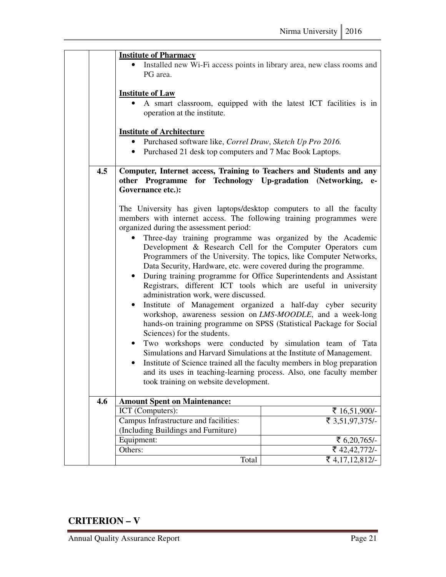|     | <b>Institute of Pharmacy</b><br>Installed new Wi-Fi access points in library area, new class rooms and<br>PG area.                                                                                                                                                                                                                                                                                                                                                                                                                                                                                                                                                                                                                                                                                                                                                                                                                                                                                                                                                                                                                                                                                                                                                  |                 |  |  |  |  |  |  |
|-----|---------------------------------------------------------------------------------------------------------------------------------------------------------------------------------------------------------------------------------------------------------------------------------------------------------------------------------------------------------------------------------------------------------------------------------------------------------------------------------------------------------------------------------------------------------------------------------------------------------------------------------------------------------------------------------------------------------------------------------------------------------------------------------------------------------------------------------------------------------------------------------------------------------------------------------------------------------------------------------------------------------------------------------------------------------------------------------------------------------------------------------------------------------------------------------------------------------------------------------------------------------------------|-----------------|--|--|--|--|--|--|
|     | <b>Institute of Law</b><br>A smart classroom, equipped with the latest ICT facilities is in<br>operation at the institute.                                                                                                                                                                                                                                                                                                                                                                                                                                                                                                                                                                                                                                                                                                                                                                                                                                                                                                                                                                                                                                                                                                                                          |                 |  |  |  |  |  |  |
|     | <b>Institute of Architecture</b><br>• Purchased software like, Correl Draw, Sketch Up Pro 2016.<br>• Purchased 21 desk top computers and 7 Mac Book Laptops.                                                                                                                                                                                                                                                                                                                                                                                                                                                                                                                                                                                                                                                                                                                                                                                                                                                                                                                                                                                                                                                                                                        |                 |  |  |  |  |  |  |
| 4.5 | Computer, Internet access, Training to Teachers and Students and any<br>other Programme for Technology Up-gradation (Networking,<br>$e-$<br>Governance etc.):                                                                                                                                                                                                                                                                                                                                                                                                                                                                                                                                                                                                                                                                                                                                                                                                                                                                                                                                                                                                                                                                                                       |                 |  |  |  |  |  |  |
|     | The University has given laptops/desktop computers to all the faculty<br>members with internet access. The following training programmes were<br>organized during the assessment period:<br>Three-day training programme was organized by the Academic<br>Development & Research Cell for the Computer Operators cum<br>Programmers of the University. The topics, like Computer Networks,<br>Data Security, Hardware, etc. were covered during the programme.<br>During training programme for Office Superintendents and Assistant<br>$\bullet$<br>Registrars, different ICT tools which are useful in university<br>administration work, were discussed.<br>Institute of Management organized a half-day cyber security<br>$\bullet$<br>workshop, awareness session on LMS-MOODLE, and a week-long<br>hands-on training programme on SPSS (Statistical Package for Social<br>Sciences) for the students.<br>Two workshops were conducted by simulation team of Tata<br>$\bullet$<br>Simulations and Harvard Simulations at the Institute of Management.<br>Institute of Science trained all the faculty members in blog preparation<br>$\bullet$<br>and its uses in teaching-learning process. Also, one faculty member<br>took training on website development. |                 |  |  |  |  |  |  |
| 4.6 | <b>Amount Spent on Maintenance:</b>                                                                                                                                                                                                                                                                                                                                                                                                                                                                                                                                                                                                                                                                                                                                                                                                                                                                                                                                                                                                                                                                                                                                                                                                                                 |                 |  |  |  |  |  |  |
|     | ICT (Computers):                                                                                                                                                                                                                                                                                                                                                                                                                                                                                                                                                                                                                                                                                                                                                                                                                                                                                                                                                                                                                                                                                                                                                                                                                                                    | ₹ 16,51,900/-   |  |  |  |  |  |  |
|     | Campus Infrastructure and facilities:<br>(Including Buildings and Furniture)                                                                                                                                                                                                                                                                                                                                                                                                                                                                                                                                                                                                                                                                                                                                                                                                                                                                                                                                                                                                                                                                                                                                                                                        | ₹ 3,51,97,375/- |  |  |  |  |  |  |
|     | Equipment:                                                                                                                                                                                                                                                                                                                                                                                                                                                                                                                                                                                                                                                                                                                                                                                                                                                                                                                                                                                                                                                                                                                                                                                                                                                          | ₹ $6,20,765/-$  |  |  |  |  |  |  |
|     | Others:                                                                                                                                                                                                                                                                                                                                                                                                                                                                                                                                                                                                                                                                                                                                                                                                                                                                                                                                                                                                                                                                                                                                                                                                                                                             | ₹ 42,42,772/-   |  |  |  |  |  |  |
|     | Total                                                                                                                                                                                                                                                                                                                                                                                                                                                                                                                                                                                                                                                                                                                                                                                                                                                                                                                                                                                                                                                                                                                                                                                                                                                               | ₹ 4,17,12,812/- |  |  |  |  |  |  |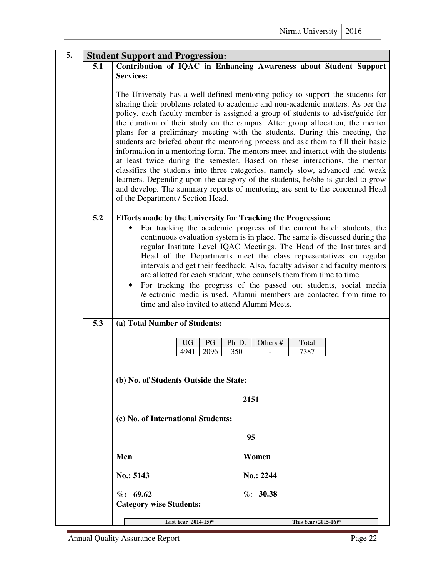| 5. | <b>Student Support and Progression:</b> |                                                                                                                                                                                                                                                                                                                                                                                                                                                                                                                                                                                                                                                                                                                                                                                                                                                                                                                                                                       |                                                                   |  |  |  |  |  |  |
|----|-----------------------------------------|-----------------------------------------------------------------------------------------------------------------------------------------------------------------------------------------------------------------------------------------------------------------------------------------------------------------------------------------------------------------------------------------------------------------------------------------------------------------------------------------------------------------------------------------------------------------------------------------------------------------------------------------------------------------------------------------------------------------------------------------------------------------------------------------------------------------------------------------------------------------------------------------------------------------------------------------------------------------------|-------------------------------------------------------------------|--|--|--|--|--|--|
|    | 5.1                                     | <b>Services:</b>                                                                                                                                                                                                                                                                                                                                                                                                                                                                                                                                                                                                                                                                                                                                                                                                                                                                                                                                                      | Contribution of IQAC in Enhancing Awareness about Student Support |  |  |  |  |  |  |
|    |                                         |                                                                                                                                                                                                                                                                                                                                                                                                                                                                                                                                                                                                                                                                                                                                                                                                                                                                                                                                                                       |                                                                   |  |  |  |  |  |  |
|    |                                         | The University has a well-defined mentoring policy to support the students for<br>sharing their problems related to academic and non-academic matters. As per the<br>policy, each faculty member is assigned a group of students to advise/guide for<br>the duration of their study on the campus. After group allocation, the mentor<br>plans for a preliminary meeting with the students. During this meeting, the<br>students are briefed about the mentoring process and ask them to fill their basic<br>information in a mentoring form. The mentors meet and interact with the students<br>at least twice during the semester. Based on these interactions, the mentor<br>classifies the students into three categories, namely slow, advanced and weak<br>learners. Depending upon the category of the students, he/she is guided to grow<br>and develop. The summary reports of mentoring are sent to the concerned Head<br>of the Department / Section Head. |                                                                   |  |  |  |  |  |  |
|    | 5.2                                     |                                                                                                                                                                                                                                                                                                                                                                                                                                                                                                                                                                                                                                                                                                                                                                                                                                                                                                                                                                       |                                                                   |  |  |  |  |  |  |
|    |                                         | Efforts made by the University for Tracking the Progression:<br>For tracking the academic progress of the current batch students, the<br>continuous evaluation system is in place. The same is discussed during the<br>regular Institute Level IQAC Meetings. The Head of the Institutes and<br>Head of the Departments meet the class representatives on regular<br>intervals and get their feedback. Also, faculty advisor and faculty mentors<br>are allotted for each student, who counsels them from time to time.<br>For tracking the progress of the passed out students, social media<br>/electronic media is used. Alumni members are contacted from time to<br>time and also invited to attend Alumni Meets.                                                                                                                                                                                                                                                |                                                                   |  |  |  |  |  |  |
|    | 5.3                                     | (a) Total Number of Students:                                                                                                                                                                                                                                                                                                                                                                                                                                                                                                                                                                                                                                                                                                                                                                                                                                                                                                                                         |                                                                   |  |  |  |  |  |  |
|    |                                         | PG<br>Ph. D.<br><b>UG</b><br>2096<br>350<br>4941                                                                                                                                                                                                                                                                                                                                                                                                                                                                                                                                                                                                                                                                                                                                                                                                                                                                                                                      | Others #<br>Total<br>7387                                         |  |  |  |  |  |  |
|    |                                         | (b) No. of Students Outside the State:                                                                                                                                                                                                                                                                                                                                                                                                                                                                                                                                                                                                                                                                                                                                                                                                                                                                                                                                |                                                                   |  |  |  |  |  |  |
|    |                                         |                                                                                                                                                                                                                                                                                                                                                                                                                                                                                                                                                                                                                                                                                                                                                                                                                                                                                                                                                                       |                                                                   |  |  |  |  |  |  |
|    |                                         | 2151                                                                                                                                                                                                                                                                                                                                                                                                                                                                                                                                                                                                                                                                                                                                                                                                                                                                                                                                                                  |                                                                   |  |  |  |  |  |  |
|    |                                         | (c) No. of International Students:                                                                                                                                                                                                                                                                                                                                                                                                                                                                                                                                                                                                                                                                                                                                                                                                                                                                                                                                    |                                                                   |  |  |  |  |  |  |
|    | 95                                      |                                                                                                                                                                                                                                                                                                                                                                                                                                                                                                                                                                                                                                                                                                                                                                                                                                                                                                                                                                       |                                                                   |  |  |  |  |  |  |
|    |                                         |                                                                                                                                                                                                                                                                                                                                                                                                                                                                                                                                                                                                                                                                                                                                                                                                                                                                                                                                                                       |                                                                   |  |  |  |  |  |  |
|    |                                         | Men                                                                                                                                                                                                                                                                                                                                                                                                                                                                                                                                                                                                                                                                                                                                                                                                                                                                                                                                                                   | Women                                                             |  |  |  |  |  |  |
|    |                                         | No.: 5143                                                                                                                                                                                                                                                                                                                                                                                                                                                                                                                                                                                                                                                                                                                                                                                                                                                                                                                                                             | No.: 2244                                                         |  |  |  |  |  |  |
|    |                                         | $\%: 69.62$                                                                                                                                                                                                                                                                                                                                                                                                                                                                                                                                                                                                                                                                                                                                                                                                                                                                                                                                                           | $\%: 30.38$                                                       |  |  |  |  |  |  |
|    |                                         | <b>Category wise Students:</b>                                                                                                                                                                                                                                                                                                                                                                                                                                                                                                                                                                                                                                                                                                                                                                                                                                                                                                                                        |                                                                   |  |  |  |  |  |  |
|    |                                         | Last Year (2014-15)*                                                                                                                                                                                                                                                                                                                                                                                                                                                                                                                                                                                                                                                                                                                                                                                                                                                                                                                                                  | This Year (2015-16)*                                              |  |  |  |  |  |  |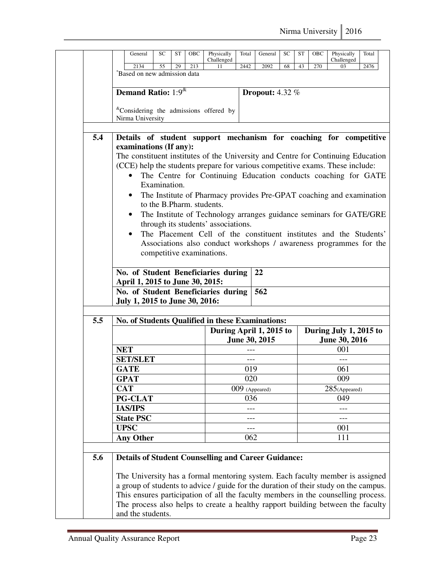|     | General<br>SC                                                                                                                                                                                                                                                                                                                                                      | ST<br>OBC                 | Physically                                                                                                                                                                                                    | Total      | General                | SC | ST | OBC | Physically                                     | Total |
|-----|--------------------------------------------------------------------------------------------------------------------------------------------------------------------------------------------------------------------------------------------------------------------------------------------------------------------------------------------------------------------|---------------------------|---------------------------------------------------------------------------------------------------------------------------------------------------------------------------------------------------------------|------------|------------------------|----|----|-----|------------------------------------------------|-------|
|     | 2134<br>55                                                                                                                                                                                                                                                                                                                                                         | 29<br>213                 | Challenged<br>11                                                                                                                                                                                              | 2442       | 2092                   | 68 | 43 | 270 | Challenged<br>03                               | 2476  |
|     | "Based on new admission data                                                                                                                                                                                                                                                                                                                                       |                           |                                                                                                                                                                                                               |            |                        |    |    |     |                                                |       |
|     | Demand Ratio: 1:9 <sup>&amp;</sup>                                                                                                                                                                                                                                                                                                                                 |                           |                                                                                                                                                                                                               |            |                        |    |    |     |                                                |       |
|     |                                                                                                                                                                                                                                                                                                                                                                    |                           |                                                                                                                                                                                                               |            | <b>Dropout:</b> 4.32 % |    |    |     |                                                |       |
|     | <sup>&amp;</sup> Considering the admissions offered by                                                                                                                                                                                                                                                                                                             |                           |                                                                                                                                                                                                               |            |                        |    |    |     |                                                |       |
|     | Nirma University                                                                                                                                                                                                                                                                                                                                                   |                           |                                                                                                                                                                                                               |            |                        |    |    |     |                                                |       |
| 5.4 | Details of student support mechanism for coaching for competitive<br>examinations (If any):<br>The constituent institutes of the University and Centre for Continuing Education<br>(CCE) help the students prepare for various competitive exams. These include:<br>$\bullet$<br>Examination.<br>٠<br>$\bullet$                                                    | to the B.Pharm, students. | The Centre for Continuing Education conducts coaching for GATE<br>The Institute of Pharmacy provides Pre-GPAT coaching and examination<br>The Institute of Technology arranges guidance seminars for GATE/GRE |            |                        |    |    |     |                                                |       |
|     | $\bullet$<br>No. of Student Beneficiaries during                                                                                                                                                                                                                                                                                                                   | competitive examinations. | through its students' associations.<br>The Placement Cell of the constituent institutes and the Students'<br>Associations also conduct workshops / awareness programmes for the                               |            | 22                     |    |    |     |                                                |       |
|     | April 1, 2015 to June 30, 2015:                                                                                                                                                                                                                                                                                                                                    |                           |                                                                                                                                                                                                               |            |                        |    |    |     |                                                |       |
|     | No. of Student Beneficiaries during<br>July 1, 2015 to June 30, 2016:                                                                                                                                                                                                                                                                                              |                           |                                                                                                                                                                                                               |            | 562                    |    |    |     |                                                |       |
|     |                                                                                                                                                                                                                                                                                                                                                                    |                           |                                                                                                                                                                                                               |            |                        |    |    |     |                                                |       |
| 5.5 | No. of Students Qualified in these Examinations:                                                                                                                                                                                                                                                                                                                   |                           |                                                                                                                                                                                                               |            |                        |    |    |     |                                                |       |
|     |                                                                                                                                                                                                                                                                                                                                                                    |                           | During April 1, 2015 to                                                                                                                                                                                       |            | June 30, 2015          |    |    |     | During July 1, 2015 to<br><b>June 30, 2016</b> |       |
|     | <b>NET</b>                                                                                                                                                                                                                                                                                                                                                         |                           |                                                                                                                                                                                                               | ---        |                        |    |    |     | 001                                            |       |
|     | <b>SET/SLET</b>                                                                                                                                                                                                                                                                                                                                                    |                           |                                                                                                                                                                                                               |            |                        |    |    |     |                                                |       |
|     | <b>GATE</b>                                                                                                                                                                                                                                                                                                                                                        |                           |                                                                                                                                                                                                               | 019        |                        |    |    |     | 061                                            |       |
|     | <b>GPAT</b>                                                                                                                                                                                                                                                                                                                                                        |                           |                                                                                                                                                                                                               | 020        |                        |    |    |     | 009                                            |       |
|     | <b>CAT</b>                                                                                                                                                                                                                                                                                                                                                         |                           |                                                                                                                                                                                                               |            | 009 (Appeared)         |    |    |     | $285$ (Appeared)                               |       |
|     | PG-CLAT                                                                                                                                                                                                                                                                                                                                                            |                           |                                                                                                                                                                                                               | 036        |                        |    |    |     | 049                                            |       |
|     | <b>IAS/IPS</b>                                                                                                                                                                                                                                                                                                                                                     |                           |                                                                                                                                                                                                               |            |                        |    |    |     |                                                |       |
|     | <b>State PSC</b><br><b>UPSC</b>                                                                                                                                                                                                                                                                                                                                    |                           |                                                                                                                                                                                                               | ---        |                        |    |    |     |                                                |       |
|     | <b>Any Other</b>                                                                                                                                                                                                                                                                                                                                                   |                           |                                                                                                                                                                                                               | ---<br>062 |                        |    |    |     | 001<br>111                                     |       |
|     |                                                                                                                                                                                                                                                                                                                                                                    |                           |                                                                                                                                                                                                               |            |                        |    |    |     |                                                |       |
| 5.6 | <b>Details of Student Counselling and Career Guidance:</b>                                                                                                                                                                                                                                                                                                         |                           |                                                                                                                                                                                                               |            |                        |    |    |     |                                                |       |
|     | The University has a formal mentoring system. Each faculty member is assigned<br>a group of students to advice / guide for the duration of their study on the campus.<br>This ensures participation of all the faculty members in the counselling process.<br>The process also helps to create a healthy rapport building between the faculty<br>and the students. |                           |                                                                                                                                                                                                               |            |                        |    |    |     |                                                |       |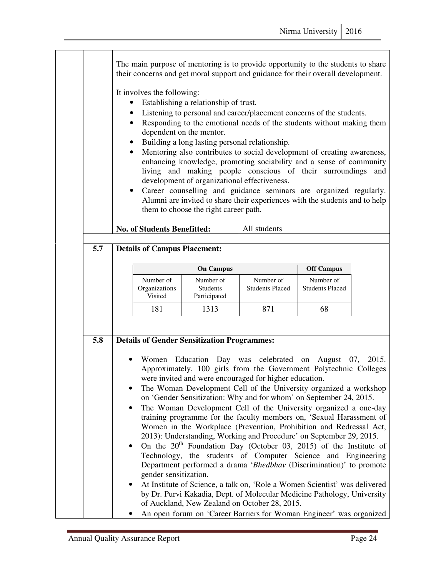|     | $\bullet$<br>$\bullet$                                                           | The main purpose of mentoring is to provide opportunity to the students to share<br>their concerns and get moral support and guidance for their overall development.<br>It involves the following:<br>Establishing a relationship of trust.<br>Listening to personal and career/placement concerns of the students.<br>Responding to the emotional needs of the students without making them<br>dependent on the mentor.<br>Building a long lasting personal relationship.<br>Mentoring also contributes to social development of creating awareness,<br>enhancing knowledge, promoting sociability and a sense of community<br>living and making people conscious of their surroundings<br>and<br>development of organizational effectiveness.<br>Career counselling and guidance seminars are organized regularly.<br>Alumni are invited to share their experiences with the students and to help<br>them to choose the right career path. |                                                                                                                                                                                                                                                                                                                                                                                                                                                                                                                                                                                                                                                                                                                                                                                                                                                                                                                                                                                                  |                                     |  |  |  |
|-----|----------------------------------------------------------------------------------|----------------------------------------------------------------------------------------------------------------------------------------------------------------------------------------------------------------------------------------------------------------------------------------------------------------------------------------------------------------------------------------------------------------------------------------------------------------------------------------------------------------------------------------------------------------------------------------------------------------------------------------------------------------------------------------------------------------------------------------------------------------------------------------------------------------------------------------------------------------------------------------------------------------------------------------------|--------------------------------------------------------------------------------------------------------------------------------------------------------------------------------------------------------------------------------------------------------------------------------------------------------------------------------------------------------------------------------------------------------------------------------------------------------------------------------------------------------------------------------------------------------------------------------------------------------------------------------------------------------------------------------------------------------------------------------------------------------------------------------------------------------------------------------------------------------------------------------------------------------------------------------------------------------------------------------------------------|-------------------------------------|--|--|--|
|     | <b>No. of Students Benefitted:</b>                                               |                                                                                                                                                                                                                                                                                                                                                                                                                                                                                                                                                                                                                                                                                                                                                                                                                                                                                                                                              | All students                                                                                                                                                                                                                                                                                                                                                                                                                                                                                                                                                                                                                                                                                                                                                                                                                                                                                                                                                                                     |                                     |  |  |  |
| 5.7 | <b>Details of Campus Placement:</b>                                              |                                                                                                                                                                                                                                                                                                                                                                                                                                                                                                                                                                                                                                                                                                                                                                                                                                                                                                                                              |                                                                                                                                                                                                                                                                                                                                                                                                                                                                                                                                                                                                                                                                                                                                                                                                                                                                                                                                                                                                  |                                     |  |  |  |
|     |                                                                                  | <b>On Campus</b>                                                                                                                                                                                                                                                                                                                                                                                                                                                                                                                                                                                                                                                                                                                                                                                                                                                                                                                             |                                                                                                                                                                                                                                                                                                                                                                                                                                                                                                                                                                                                                                                                                                                                                                                                                                                                                                                                                                                                  | <b>Off Campus</b>                   |  |  |  |
|     | Number of<br>Organizations<br>Visited                                            | Number of<br>Students<br>Participated                                                                                                                                                                                                                                                                                                                                                                                                                                                                                                                                                                                                                                                                                                                                                                                                                                                                                                        | Number of<br><b>Students Placed</b>                                                                                                                                                                                                                                                                                                                                                                                                                                                                                                                                                                                                                                                                                                                                                                                                                                                                                                                                                              | Number of<br><b>Students Placed</b> |  |  |  |
|     | 181                                                                              | 1313                                                                                                                                                                                                                                                                                                                                                                                                                                                                                                                                                                                                                                                                                                                                                                                                                                                                                                                                         | 871                                                                                                                                                                                                                                                                                                                                                                                                                                                                                                                                                                                                                                                                                                                                                                                                                                                                                                                                                                                              | 68                                  |  |  |  |
| 5.8 | <b>Details of Gender Sensitization Programmes:</b><br>٠<br>gender sensitization. |                                                                                                                                                                                                                                                                                                                                                                                                                                                                                                                                                                                                                                                                                                                                                                                                                                                                                                                                              | Women Education Day was celebrated on August 07, 2015.<br>Approximately, 100 girls from the Government Polytechnic Colleges<br>were invited and were encouraged for higher education.<br>The Woman Development Cell of the University organized a workshop<br>on 'Gender Sensitization: Why and for whom' on September 24, 2015.<br>The Woman Development Cell of the University organized a one-day<br>training programme for the faculty members on, 'Sexual Harassment of<br>Women in the Workplace (Prevention, Prohibition and Redressal Act,<br>2013): Understanding, Working and Procedure' on September 29, 2015.<br>On the $20th$ Foundation Day (October 03, 2015) of the Institute of<br>Technology, the students of Computer Science and Engineering<br>Department performed a drama 'Bhedbhav (Discrimination)' to promote<br>At Institute of Science, a talk on, 'Role a Women Scientist' was delivered<br>by Dr. Purvi Kakadia, Dept. of Molecular Medicine Pathology, University |                                     |  |  |  |
|     |                                                                                  |                                                                                                                                                                                                                                                                                                                                                                                                                                                                                                                                                                                                                                                                                                                                                                                                                                                                                                                                              | of Auckland, New Zealand on October 28, 2015.<br>An open forum on 'Career Barriers for Woman Engineer' was organized                                                                                                                                                                                                                                                                                                                                                                                                                                                                                                                                                                                                                                                                                                                                                                                                                                                                             |                                     |  |  |  |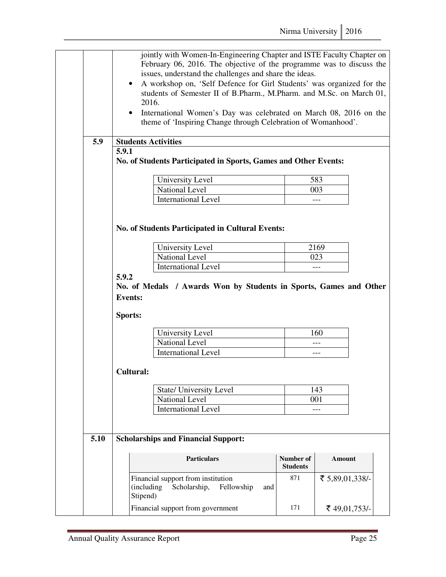|      | $\bullet$                 | jointly with Women-In-Engineering Chapter and ISTE Faculty Chapter on<br>February 06, 2016. The objective of the programme was to discuss the<br>issues, understand the challenges and share the ideas.<br>A workshop on, 'Self Defence for Girl Students' was organized for the<br>students of Semester II of B.Pharm., M.Pharm. and M.Sc. on March 01,<br>2016.<br>International Women's Day was celebrated on March 08, 2016 on the<br>theme of 'Inspiring Change through Celebration of Womanhood'. |                              |                                  |  |
|------|---------------------------|---------------------------------------------------------------------------------------------------------------------------------------------------------------------------------------------------------------------------------------------------------------------------------------------------------------------------------------------------------------------------------------------------------------------------------------------------------------------------------------------------------|------------------------------|----------------------------------|--|
| 5.9  |                           | <b>Students Activities</b>                                                                                                                                                                                                                                                                                                                                                                                                                                                                              |                              |                                  |  |
|      | 5.9.1                     | No. of Students Participated in Sports, Games and Other Events:                                                                                                                                                                                                                                                                                                                                                                                                                                         |                              |                                  |  |
|      |                           | University Level                                                                                                                                                                                                                                                                                                                                                                                                                                                                                        |                              | 583                              |  |
|      |                           | National Level                                                                                                                                                                                                                                                                                                                                                                                                                                                                                          |                              | 003                              |  |
|      |                           | <b>International Level</b>                                                                                                                                                                                                                                                                                                                                                                                                                                                                              |                              |                                  |  |
|      |                           | <b>No. of Students Participated in Cultural Events:</b><br>University Level                                                                                                                                                                                                                                                                                                                                                                                                                             |                              | 2169                             |  |
|      |                           | <b>National Level</b>                                                                                                                                                                                                                                                                                                                                                                                                                                                                                   |                              | 023                              |  |
|      |                           | <b>International Level</b>                                                                                                                                                                                                                                                                                                                                                                                                                                                                              |                              |                                  |  |
|      | 5.9.2                     |                                                                                                                                                                                                                                                                                                                                                                                                                                                                                                         |                              |                                  |  |
|      | <b>Events:</b><br>Sports: | No. of Medals / Awards Won by Students in Sports, Games and Other                                                                                                                                                                                                                                                                                                                                                                                                                                       |                              |                                  |  |
|      |                           |                                                                                                                                                                                                                                                                                                                                                                                                                                                                                                         |                              |                                  |  |
|      |                           | University Level                                                                                                                                                                                                                                                                                                                                                                                                                                                                                        |                              | 160                              |  |
|      |                           | <b>National Level</b>                                                                                                                                                                                                                                                                                                                                                                                                                                                                                   |                              | ---                              |  |
|      |                           | <b>International Level</b>                                                                                                                                                                                                                                                                                                                                                                                                                                                                              |                              | ---                              |  |
|      | <b>Cultural:</b>          |                                                                                                                                                                                                                                                                                                                                                                                                                                                                                                         |                              |                                  |  |
|      |                           | State/ University Level                                                                                                                                                                                                                                                                                                                                                                                                                                                                                 |                              | 143                              |  |
|      |                           | National Level                                                                                                                                                                                                                                                                                                                                                                                                                                                                                          |                              | 001                              |  |
|      |                           | <b>International Level</b>                                                                                                                                                                                                                                                                                                                                                                                                                                                                              |                              |                                  |  |
| 5.10 |                           | <b>Scholarships and Financial Support:</b>                                                                                                                                                                                                                                                                                                                                                                                                                                                              |                              |                                  |  |
|      |                           | <b>Particulars</b>                                                                                                                                                                                                                                                                                                                                                                                                                                                                                      | Number of<br><b>Students</b> | Amount                           |  |
|      |                           | Financial support from institution<br>(including)<br>Scholarship,<br>Fellowship<br>and<br>Stipend)<br>Financial support from government                                                                                                                                                                                                                                                                                                                                                                 | 871<br>171                   | ₹ 5,89,01,338/-<br>₹ 49,01,753/- |  |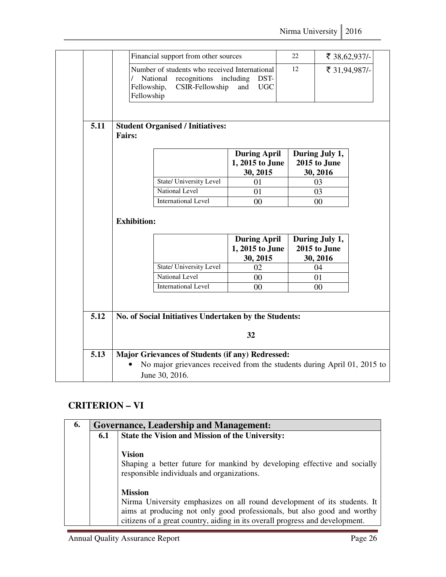|      | Fellowship,<br>Fellowship | Number of students who received International<br>recognitions including<br>National<br>CSIR-Fellowship       | DST-<br><b>UGC</b><br>and                          | 12 | ₹ 31,94,987/-                              |
|------|---------------------------|--------------------------------------------------------------------------------------------------------------|----------------------------------------------------|----|--------------------------------------------|
| 5.11 | <b>Fairs:</b>             | <b>Student Organised / Initiatives:</b>                                                                      |                                                    |    |                                            |
|      |                           |                                                                                                              | <b>During April</b><br>1, 2015 to June<br>30, 2015 |    | During July 1,<br>2015 to June<br>30, 2016 |
|      |                           | State/ University Level                                                                                      | 01                                                 |    | 03                                         |
|      |                           | National Level                                                                                               | 01                                                 |    | 03                                         |
|      |                           |                                                                                                              |                                                    |    |                                            |
|      |                           | <b>International Level</b>                                                                                   | $00\,$                                             |    | $00\,$                                     |
|      | <b>Exhibition:</b>        |                                                                                                              | <b>During April</b><br>1, 2015 to June<br>30, 2015 |    | During July 1,<br>2015 to June<br>30, 2016 |
|      |                           | State/ University Level                                                                                      | 02                                                 |    | 04                                         |
|      |                           |                                                                                                              |                                                    |    |                                            |
| 5.12 |                           | <b>National Level</b><br><b>International Level</b><br>No. of Social Initiatives Undertaken by the Students: | 00<br>$00\,$<br>32                                 |    | 01<br>$00\,$                               |

#### **CRITERION – VI**

| 6. | <b>Governance, Leadership and Management:</b> |                                                                                                                                                                                                                                                       |  |  |  |  |
|----|-----------------------------------------------|-------------------------------------------------------------------------------------------------------------------------------------------------------------------------------------------------------------------------------------------------------|--|--|--|--|
|    | 6.1                                           | State the Vision and Mission of the University:                                                                                                                                                                                                       |  |  |  |  |
|    |                                               | <b>Vision</b><br>Shaping a better future for mankind by developing effective and socially<br>responsible individuals and organizations.                                                                                                               |  |  |  |  |
|    |                                               | <b>Mission</b><br>Nirma University emphasizes on all round development of its students. It<br>aims at producing not only good professionals, but also good and worthy<br>citizens of a great country, aiding in its overall progress and development. |  |  |  |  |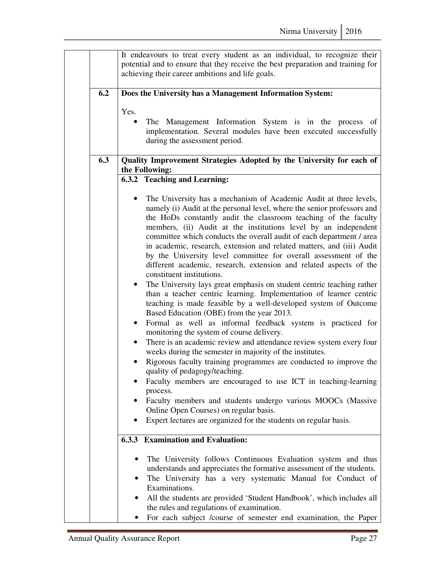|     | It endeavours to treat every student as an individual, to recognize their<br>potential and to ensure that they receive the best preparation and training for<br>achieving their career ambitions and life goals.                                                                                                                                                                                                                                                                                                                                                                                                                                                                                                                                                                                                                                                                                                                                                                                                                                                                                                                                                                                                                                                                                                                                                                                                                                                                                                                |
|-----|---------------------------------------------------------------------------------------------------------------------------------------------------------------------------------------------------------------------------------------------------------------------------------------------------------------------------------------------------------------------------------------------------------------------------------------------------------------------------------------------------------------------------------------------------------------------------------------------------------------------------------------------------------------------------------------------------------------------------------------------------------------------------------------------------------------------------------------------------------------------------------------------------------------------------------------------------------------------------------------------------------------------------------------------------------------------------------------------------------------------------------------------------------------------------------------------------------------------------------------------------------------------------------------------------------------------------------------------------------------------------------------------------------------------------------------------------------------------------------------------------------------------------------|
| 6.2 | Does the University has a Management Information System:                                                                                                                                                                                                                                                                                                                                                                                                                                                                                                                                                                                                                                                                                                                                                                                                                                                                                                                                                                                                                                                                                                                                                                                                                                                                                                                                                                                                                                                                        |
|     | Yes.<br>The Management Information System is in the process of<br>$\bullet$                                                                                                                                                                                                                                                                                                                                                                                                                                                                                                                                                                                                                                                                                                                                                                                                                                                                                                                                                                                                                                                                                                                                                                                                                                                                                                                                                                                                                                                     |
|     | implementation. Several modules have been executed successfully<br>during the assessment period.                                                                                                                                                                                                                                                                                                                                                                                                                                                                                                                                                                                                                                                                                                                                                                                                                                                                                                                                                                                                                                                                                                                                                                                                                                                                                                                                                                                                                                |
| 6.3 | Quality Improvement Strategies Adopted by the University for each of<br>the Following:                                                                                                                                                                                                                                                                                                                                                                                                                                                                                                                                                                                                                                                                                                                                                                                                                                                                                                                                                                                                                                                                                                                                                                                                                                                                                                                                                                                                                                          |
|     | 6.3.2 Teaching and Learning:                                                                                                                                                                                                                                                                                                                                                                                                                                                                                                                                                                                                                                                                                                                                                                                                                                                                                                                                                                                                                                                                                                                                                                                                                                                                                                                                                                                                                                                                                                    |
|     | The University has a mechanism of Academic Audit at three levels,<br>namely (i) Audit at the personal level, where the senior professors and<br>the HoDs constantly audit the classroom teaching of the faculty<br>members, (ii) Audit at the institutions level by an independent<br>committee which conducts the overall audit of each department / area<br>in academic, research, extension and related matters, and (iii) Audit<br>by the University level committee for overall assessment of the<br>different academic, research, extension and related aspects of the<br>constituent institutions.<br>The University lays great emphasis on student centric teaching rather<br>$\bullet$<br>than a teacher centric learning. Implementation of learner centric<br>teaching is made feasible by a well-developed system of Outcome<br>Based Education (OBE) from the year 2013.<br>Formal as well as informal feedback system is practiced for<br>$\bullet$<br>monitoring the system of course delivery.<br>There is an academic review and attendance review system every four<br>$\bullet$<br>weeks during the semester in majority of the institutes.<br>Rigorous faculty training programmes are conducted to improve the<br>quality of pedagogy/teaching.<br>Faculty members are encouraged to use ICT in teaching-learning<br>process.<br>Faculty members and students undergo various MOOCs (Massive<br>Online Open Courses) on regular basis.<br>Expert lectures are organized for the students on regular basis. |
|     |                                                                                                                                                                                                                                                                                                                                                                                                                                                                                                                                                                                                                                                                                                                                                                                                                                                                                                                                                                                                                                                                                                                                                                                                                                                                                                                                                                                                                                                                                                                                 |
|     | 6.3.3 Examination and Evaluation:                                                                                                                                                                                                                                                                                                                                                                                                                                                                                                                                                                                                                                                                                                                                                                                                                                                                                                                                                                                                                                                                                                                                                                                                                                                                                                                                                                                                                                                                                               |
|     | The University follows Continuous Evaluation system and thus<br>understands and appreciates the formative assessment of the students.<br>The University has a very systematic Manual for Conduct of<br>Examinations.<br>All the students are provided 'Student Handbook', which includes all                                                                                                                                                                                                                                                                                                                                                                                                                                                                                                                                                                                                                                                                                                                                                                                                                                                                                                                                                                                                                                                                                                                                                                                                                                    |
|     | the rules and regulations of examination.<br>For each subject /course of semester end examination, the Paper                                                                                                                                                                                                                                                                                                                                                                                                                                                                                                                                                                                                                                                                                                                                                                                                                                                                                                                                                                                                                                                                                                                                                                                                                                                                                                                                                                                                                    |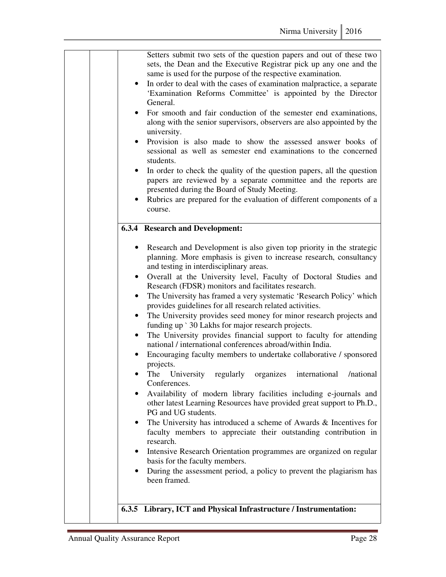| Setters submit two sets of the question papers and out of these two<br>sets, the Dean and the Executive Registrar pick up any one and the<br>same is used for the purpose of the respective examination.<br>In order to deal with the cases of examination malpractice, a separate<br>$\bullet$<br>'Examination Reforms Committee' is appointed by the Director<br>General.<br>For smooth and fair conduction of the semester end examinations,<br>along with the senior supervisors, observers are also appointed by the<br>university.<br>Provision is also made to show the assessed answer books of<br>$\bullet$<br>sessional as well as semester end examinations to the concerned<br>students.<br>In order to check the quality of the question papers, all the question<br>$\bullet$<br>papers are reviewed by a separate committee and the reports are<br>presented during the Board of Study Meeting.<br>Rubrics are prepared for the evaluation of different components of a<br>course.                                                                                                                                                                                                                                                                                                                                                                                                                                                                                                                         |
|---------------------------------------------------------------------------------------------------------------------------------------------------------------------------------------------------------------------------------------------------------------------------------------------------------------------------------------------------------------------------------------------------------------------------------------------------------------------------------------------------------------------------------------------------------------------------------------------------------------------------------------------------------------------------------------------------------------------------------------------------------------------------------------------------------------------------------------------------------------------------------------------------------------------------------------------------------------------------------------------------------------------------------------------------------------------------------------------------------------------------------------------------------------------------------------------------------------------------------------------------------------------------------------------------------------------------------------------------------------------------------------------------------------------------------------------------------------------------------------------------------------------------|
| <b>6.3.4 Research and Development:</b>                                                                                                                                                                                                                                                                                                                                                                                                                                                                                                                                                                                                                                                                                                                                                                                                                                                                                                                                                                                                                                                                                                                                                                                                                                                                                                                                                                                                                                                                                    |
| Research and Development is also given top priority in the strategic<br>$\bullet$<br>planning. More emphasis is given to increase research, consultancy<br>and testing in interdisciplinary areas.<br>Overall at the University level, Faculty of Doctoral Studies and<br>$\bullet$<br>Research (FDSR) monitors and facilitates research.<br>The University has framed a very systematic 'Research Policy' which<br>$\bullet$<br>provides guidelines for all research related activities.<br>The University provides seed money for minor research projects and<br>$\bullet$<br>funding up ` 30 Lakhs for major research projects.<br>The University provides financial support to faculty for attending<br>$\bullet$<br>national / international conferences abroad/within India.<br>Encouraging faculty members to undertake collaborative / sponsored<br>projects.<br>The<br>University<br>organizes<br>/national<br>regularly<br>international<br>Conferences.<br>Availability of modern library facilities including e-journals and<br>٠<br>other latest Learning Resources have provided great support to Ph.D.,<br>PG and UG students.<br>The University has introduced a scheme of Awards & Incentives for<br>٠<br>faculty members to appreciate their outstanding contribution in<br>research.<br>Intensive Research Orientation programmes are organized on regular<br>$\bullet$<br>basis for the faculty members.<br>During the assessment period, a policy to prevent the plagiarism has<br>٠<br>been framed. |
| 6.3.5 Library, ICT and Physical Infrastructure / Instrumentation:                                                                                                                                                                                                                                                                                                                                                                                                                                                                                                                                                                                                                                                                                                                                                                                                                                                                                                                                                                                                                                                                                                                                                                                                                                                                                                                                                                                                                                                         |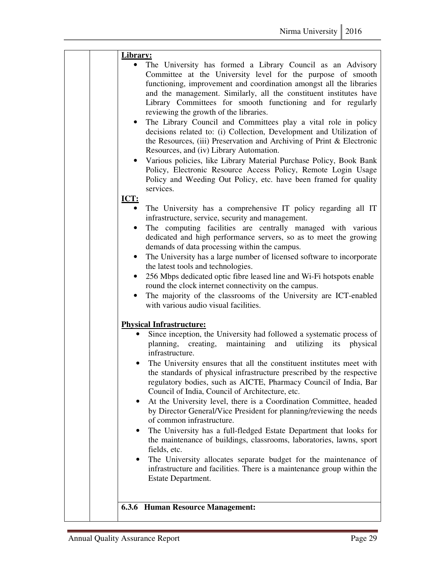|             | Library:                                                                                                                                                                                                                                                                                                                                                                                                                                                                                                                                                                                                                                                                                                                                                                                                                                                                                                                                                           |
|-------------|--------------------------------------------------------------------------------------------------------------------------------------------------------------------------------------------------------------------------------------------------------------------------------------------------------------------------------------------------------------------------------------------------------------------------------------------------------------------------------------------------------------------------------------------------------------------------------------------------------------------------------------------------------------------------------------------------------------------------------------------------------------------------------------------------------------------------------------------------------------------------------------------------------------------------------------------------------------------|
| <b>ICT:</b> | The University has formed a Library Council as an Advisory<br>Committee at the University level for the purpose of smooth<br>functioning, improvement and coordination amongst all the libraries<br>and the management. Similarly, all the constituent institutes have<br>Library Committees for smooth functioning and for regularly<br>reviewing the growth of the libraries.<br>• The Library Council and Committees play a vital role in policy<br>decisions related to: (i) Collection, Development and Utilization of<br>the Resources, (iii) Preservation and Archiving of Print & Electronic<br>Resources, and (iv) Library Automation.<br>Various policies, like Library Material Purchase Policy, Book Bank<br>$\bullet$<br>Policy, Electronic Resource Access Policy, Remote Login Usage<br>Policy and Weeding Out Policy, etc. have been framed for quality<br>services.<br>The University has a comprehensive IT policy regarding all IT<br>$\bullet$ |
|             | infrastructure, service, security and management.<br>The computing facilities are centrally managed with various<br>٠<br>dedicated and high performance servers, so as to meet the growing<br>demands of data processing within the campus.<br>The University has a large number of licensed software to incorporate<br>$\bullet$<br>the latest tools and technologies.<br>256 Mbps dedicated optic fibre leased line and Wi-Fi hotspots enable<br>$\bullet$<br>round the clock internet connectivity on the campus.<br>The majority of the classrooms of the University are ICT-enabled<br>with various audio visual facilities.                                                                                                                                                                                                                                                                                                                                  |
|             | <b>Physical Infrastructure:</b>                                                                                                                                                                                                                                                                                                                                                                                                                                                                                                                                                                                                                                                                                                                                                                                                                                                                                                                                    |
|             | Since inception, the University had followed a systematic process of<br>planning, creating, maintaining and utilizing its physical<br>infrastructure.<br>The University ensures that all the constituent institutes meet with<br>the standards of physical infrastructure prescribed by the respective<br>regulatory bodies, such as AICTE, Pharmacy Council of India, Bar<br>Council of India, Council of Architecture, etc.<br>At the University level, there is a Coordination Committee, headed<br>٠<br>by Director General/Vice President for planning/reviewing the needs<br>of common infrastructure.<br>The University has a full-fledged Estate Department that looks for<br>the maintenance of buildings, classrooms, laboratories, lawns, sport<br>fields, etc.<br>The University allocates separate budget for the maintenance of<br>$\bullet$<br>infrastructure and facilities. There is a maintenance group within the<br>Estate Department.         |
|             | <b>6.3.6 Human Resource Management:</b>                                                                                                                                                                                                                                                                                                                                                                                                                                                                                                                                                                                                                                                                                                                                                                                                                                                                                                                            |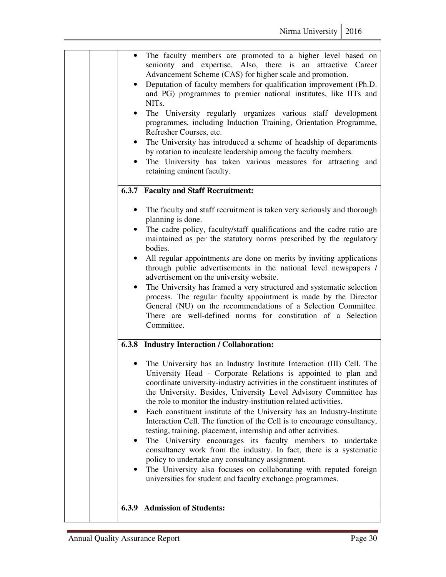|  | $\bullet$<br>$\bullet$<br>$\bullet$<br>$\bullet$<br>$\bullet$ | The faculty members are promoted to a higher level based on<br>seniority and expertise. Also, there is an attractive Career<br>Advancement Scheme (CAS) for higher scale and promotion.<br>Deputation of faculty members for qualification improvement (Ph.D.<br>and PG) programmes to premier national institutes, like IITs and<br>NIT <sub>s</sub> .<br>The University regularly organizes various staff development<br>programmes, including Induction Training, Orientation Programme,<br>Refresher Courses, etc.<br>The University has introduced a scheme of headship of departments<br>by rotation to inculcate leadership among the faculty members.<br>The University has taken various measures for attracting and<br>retaining eminent faculty.                                                                                                                                                  |
|--|---------------------------------------------------------------|--------------------------------------------------------------------------------------------------------------------------------------------------------------------------------------------------------------------------------------------------------------------------------------------------------------------------------------------------------------------------------------------------------------------------------------------------------------------------------------------------------------------------------------------------------------------------------------------------------------------------------------------------------------------------------------------------------------------------------------------------------------------------------------------------------------------------------------------------------------------------------------------------------------|
|  |                                                               | 6.3.7 Faculty and Staff Recruitment:                                                                                                                                                                                                                                                                                                                                                                                                                                                                                                                                                                                                                                                                                                                                                                                                                                                                         |
|  | $\bullet$<br>$\bullet$<br>$\bullet$<br>$\bullet$              | The faculty and staff recruitment is taken very seriously and thorough<br>planning is done.<br>The cadre policy, faculty/staff qualifications and the cadre ratio are<br>maintained as per the statutory norms prescribed by the regulatory<br>bodies.<br>All regular appointments are done on merits by inviting applications<br>through public advertisements in the national level newspapers /<br>advertisement on the university website.<br>The University has framed a very structured and systematic selection<br>process. The regular faculty appointment is made by the Director<br>General (NU) on the recommendations of a Selection Committee.<br>There are well-defined norms for constitution of a Selection<br>Committee.                                                                                                                                                                    |
|  |                                                               | 6.3.8 Industry Interaction / Collaboration:                                                                                                                                                                                                                                                                                                                                                                                                                                                                                                                                                                                                                                                                                                                                                                                                                                                                  |
|  | $\bullet$<br>٠                                                | The University has an Industry Institute Interaction (III) Cell. The<br>University Head - Corporate Relations is appointed to plan and<br>coordinate university-industry activities in the constituent institutes of<br>the University. Besides, University Level Advisory Committee has<br>the role to monitor the industry-institution related activities.<br>Each constituent institute of the University has an Industry-Institute<br>Interaction Cell. The function of the Cell is to encourage consultancy,<br>testing, training, placement, internship and other activities.<br>The University encourages its faculty members to undertake<br>consultancy work from the industry. In fact, there is a systematic<br>policy to undertake any consultancy assignment.<br>The University also focuses on collaborating with reputed foreign<br>universities for student and faculty exchange programmes. |
|  | 6.3.9                                                         | <b>Admission of Students:</b>                                                                                                                                                                                                                                                                                                                                                                                                                                                                                                                                                                                                                                                                                                                                                                                                                                                                                |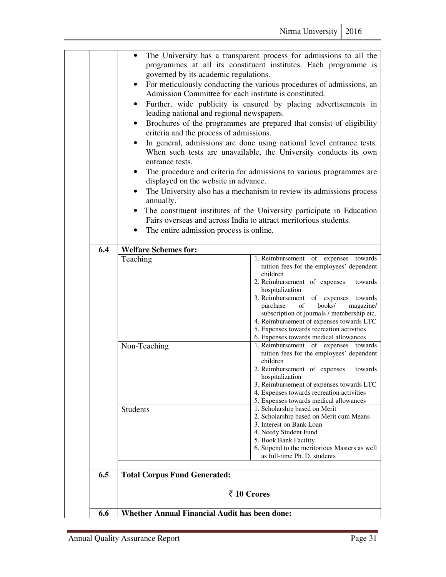|     | governed by its academic regulations.<br>Admission Committee for each institute is constituted.<br>leading national and regional newspapers.<br>criteria and the process of admissions.<br>entrance tests.<br>displayed on the website in advance.<br>annually.<br>Fairs overseas and across India to attract meritorious students.<br>The entire admission process is online. | The University has a transparent process for admissions to all the<br>programmes at all its constituent institutes. Each programme is<br>For meticulously conducting the various procedures of admissions, an<br>Further, wide publicity is ensured by placing advertisements in<br>Brochures of the programmes are prepared that consist of eligibility<br>In general, admissions are done using national level entrance tests.<br>When such tests are unavailable, the University conducts its own<br>The procedure and criteria for admissions to various programmes are<br>The University also has a mechanism to review its admissions process<br>The constituent institutes of the University participate in Education |
|-----|--------------------------------------------------------------------------------------------------------------------------------------------------------------------------------------------------------------------------------------------------------------------------------------------------------------------------------------------------------------------------------|------------------------------------------------------------------------------------------------------------------------------------------------------------------------------------------------------------------------------------------------------------------------------------------------------------------------------------------------------------------------------------------------------------------------------------------------------------------------------------------------------------------------------------------------------------------------------------------------------------------------------------------------------------------------------------------------------------------------------|
| 6.4 | <b>Welfare Schemes for:</b>                                                                                                                                                                                                                                                                                                                                                    |                                                                                                                                                                                                                                                                                                                                                                                                                                                                                                                                                                                                                                                                                                                              |
|     | Teaching                                                                                                                                                                                                                                                                                                                                                                       | 1. Reimbursement of expenses towards<br>tuition fees for the employees' dependent<br>children<br>2. Reimbursement of expenses<br>towards<br>hospitalization<br>3. Reimbursement of expenses towards<br>books/<br>magazine/<br>purchase<br>of<br>subscription of journals / membership etc.<br>4. Reimbursement of expenses towards LTC<br>5. Expenses towards recreation activities<br>6. Expenses towards medical allowances                                                                                                                                                                                                                                                                                                |
|     | Non-Teaching                                                                                                                                                                                                                                                                                                                                                                   | 1. Reimbursement of expenses towards<br>tuition fees for the employees' dependent<br>children<br>2. Reimbursement of expenses<br>towards<br>hospitalization<br>3. Reimbursement of expenses towards LTC<br>4. Expenses towards recreation activities<br>5. Expenses towards medical allowances                                                                                                                                                                                                                                                                                                                                                                                                                               |
|     | Students                                                                                                                                                                                                                                                                                                                                                                       | 1. Scholarship based on Merit<br>2. Scholarship based on Merit cum Means<br>3. Interest on Bank Loan<br>4. Needy Student Fund<br>5. Book Bank Facility<br>6. Stipend to the meritorious Masters as well<br>as full-time Ph. D. students                                                                                                                                                                                                                                                                                                                                                                                                                                                                                      |
| 6.5 | <b>Total Corpus Fund Generated:</b><br>₹ 10 Crores                                                                                                                                                                                                                                                                                                                             |                                                                                                                                                                                                                                                                                                                                                                                                                                                                                                                                                                                                                                                                                                                              |
|     |                                                                                                                                                                                                                                                                                                                                                                                |                                                                                                                                                                                                                                                                                                                                                                                                                                                                                                                                                                                                                                                                                                                              |
| 6.6 | <b>Whether Annual Financial Audit has been done:</b>                                                                                                                                                                                                                                                                                                                           |                                                                                                                                                                                                                                                                                                                                                                                                                                                                                                                                                                                                                                                                                                                              |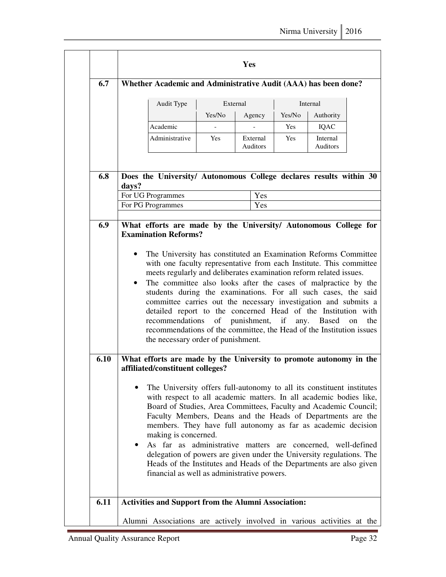|      | Whether Academic and Administrative Audit (AAA) has been done?                                                                                                                                                                                                                                                                                                                                                                                                                                                                                                                                                                                                        |                                                                                                                                                                                                                                                                                                                                                                                                                                                                                                                                                    |                |  |                             |            |                             |  |
|------|-----------------------------------------------------------------------------------------------------------------------------------------------------------------------------------------------------------------------------------------------------------------------------------------------------------------------------------------------------------------------------------------------------------------------------------------------------------------------------------------------------------------------------------------------------------------------------------------------------------------------------------------------------------------------|----------------------------------------------------------------------------------------------------------------------------------------------------------------------------------------------------------------------------------------------------------------------------------------------------------------------------------------------------------------------------------------------------------------------------------------------------------------------------------------------------------------------------------------------------|----------------|--|-----------------------------|------------|-----------------------------|--|
|      |                                                                                                                                                                                                                                                                                                                                                                                                                                                                                                                                                                                                                                                                       | External<br>Audit Type                                                                                                                                                                                                                                                                                                                                                                                                                                                                                                                             |                |  | Internal                    |            |                             |  |
|      |                                                                                                                                                                                                                                                                                                                                                                                                                                                                                                                                                                                                                                                                       |                                                                                                                                                                                                                                                                                                                                                                                                                                                                                                                                                    | Yes/No         |  | Agency                      | Yes/No     | Authority                   |  |
|      |                                                                                                                                                                                                                                                                                                                                                                                                                                                                                                                                                                                                                                                                       | Academic                                                                                                                                                                                                                                                                                                                                                                                                                                                                                                                                           | $\overline{a}$ |  | $\mathbf{r}$                | <b>Yes</b> | <b>IQAC</b>                 |  |
|      |                                                                                                                                                                                                                                                                                                                                                                                                                                                                                                                                                                                                                                                                       | Administrative                                                                                                                                                                                                                                                                                                                                                                                                                                                                                                                                     | <b>Yes</b>     |  | External<br><b>Auditors</b> | <b>Yes</b> | Internal<br><b>Auditors</b> |  |
| 6.8  | days?                                                                                                                                                                                                                                                                                                                                                                                                                                                                                                                                                                                                                                                                 | Does the University/ Autonomous College declares results within 30<br>For UG Programmes                                                                                                                                                                                                                                                                                                                                                                                                                                                            |                |  | Yes                         |            |                             |  |
|      |                                                                                                                                                                                                                                                                                                                                                                                                                                                                                                                                                                                                                                                                       | For PG Programmes                                                                                                                                                                                                                                                                                                                                                                                                                                                                                                                                  |                |  | Yes                         |            |                             |  |
|      | with one faculty representative from each Institute. This committee<br>meets regularly and deliberates examination reform related issues.<br>The committee also looks after the cases of malpractice by the<br>students during the examinations. For all such cases, the said<br>committee carries out the necessary investigation and submits a<br>detailed report to the concerned Head of the Institution with<br>of punishment, if any. Based<br>recommendations<br>the<br>on<br>recommendations of the committee, the Head of the Institution issues<br>the necessary order of punishment.<br>What efforts are made by the University to promote autonomy in the |                                                                                                                                                                                                                                                                                                                                                                                                                                                                                                                                                    |                |  |                             |            |                             |  |
| 6.10 |                                                                                                                                                                                                                                                                                                                                                                                                                                                                                                                                                                                                                                                                       |                                                                                                                                                                                                                                                                                                                                                                                                                                                                                                                                                    |                |  |                             |            |                             |  |
|      |                                                                                                                                                                                                                                                                                                                                                                                                                                                                                                                                                                                                                                                                       | affiliated/constituent colleges?<br>The University offers full-autonomy to all its constituent institutes<br>with respect to all academic matters. In all academic bodies like,<br>Board of Studies, Area Committees, Faculty and Academic Council;<br>Faculty Members, Deans and the Heads of Departments are the<br>members. They have full autonomy as far as academic decision<br>making is concerned.<br>As far as administrative matters are concerned, well-defined<br>delegation of powers are given under the University regulations. The |                |  |                             |            |                             |  |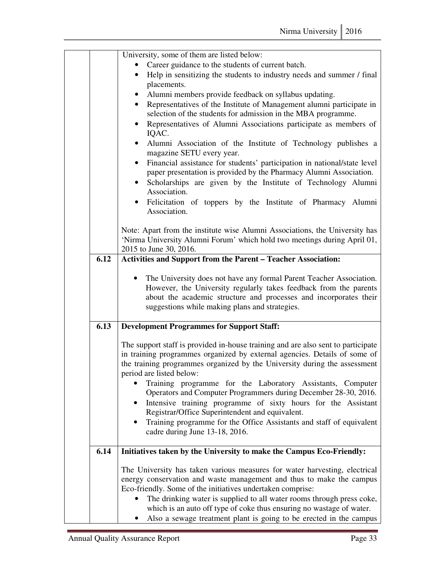|      | University, some of them are listed below:                                                             |
|------|--------------------------------------------------------------------------------------------------------|
|      | Career guidance to the students of current batch.                                                      |
|      | Help in sensitizing the students to industry needs and summer / final<br>$\bullet$                     |
|      | placements.                                                                                            |
|      | Alumni members provide feedback on syllabus updating.<br>$\bullet$                                     |
|      | Representatives of the Institute of Management alumni participate in<br>$\bullet$                      |
|      | selection of the students for admission in the MBA programme.                                          |
|      | Representatives of Alumni Associations participate as members of<br>$\bullet$<br>IQAC.                 |
|      | Alumni Association of the Institute of Technology publishes a<br>$\bullet$                             |
|      | magazine SETU every year.                                                                              |
|      | Financial assistance for students' participation in national/state level<br>$\bullet$                  |
|      | paper presentation is provided by the Pharmacy Alumni Association.                                     |
|      | Scholarships are given by the Institute of Technology Alumni<br>$\bullet$<br>Association.              |
|      | Felicitation of toppers by the Institute of Pharmacy Alumni<br>$\bullet$                               |
|      | Association.                                                                                           |
|      |                                                                                                        |
|      | Note: Apart from the institute wise Alumni Associations, the University has                            |
|      | 'Nirma University Alumni Forum' which hold two meetings during April 01,<br>2015 to June 30, 2016.     |
| 6.12 | <b>Activities and Support from the Parent - Teacher Association:</b>                                   |
|      |                                                                                                        |
|      | The University does not have any formal Parent Teacher Association.<br>$\bullet$                       |
|      | However, the University regularly takes feedback from the parents                                      |
|      | about the academic structure and processes and incorporates their                                      |
|      | suggestions while making plans and strategies.                                                         |
|      |                                                                                                        |
| 6.13 | <b>Development Programmes for Support Staff:</b>                                                       |
|      | The support staff is provided in-house training and are also sent to participate                       |
|      | in training programmes organized by external agencies. Details of some of                              |
|      | the training programmes organized by the University during the assessment                              |
|      | period are listed below:                                                                               |
|      | Training programme for the Laboratory Assistants, Computer                                             |
|      | Operators and Computer Programmers during December 28-30, 2016.                                        |
|      | Intensive training programme of sixty hours for the Assistant                                          |
|      | Registrar/Office Superintendent and equivalent.                                                        |
|      | Training programme for the Office Assistants and staff of equivalent<br>cadre during June 13-18, 2016. |
|      |                                                                                                        |
| 6.14 | Initiatives taken by the University to make the Campus Eco-Friendly:                                   |
|      | The University has taken various measures for water harvesting, electrical                             |
|      | energy conservation and waste management and thus to make the campus                                   |
|      | Eco-friendly. Some of the initiatives undertaken comprise:                                             |
|      | The drinking water is supplied to all water rooms through press coke,                                  |
|      | which is an auto off type of coke thus ensuring no wastage of water.                                   |
|      | Also a sewage treatment plant is going to be erected in the campus                                     |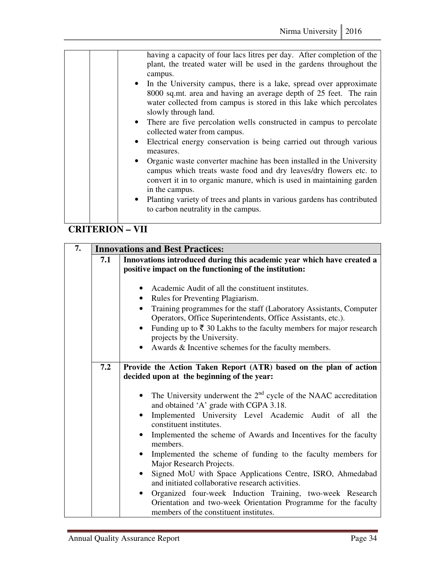| having a capacity of four lacs litres per day. After completion of the<br>plant, the treated water will be used in the gardens throughout the<br>campus.<br>• In the University campus, there is a lake, spread over approximate<br>8000 sq.mt. area and having an average depth of 25 feet. The rain<br>water collected from campus is stored in this lake which percolates<br>slowly through land.<br>• There are five percolation wells constructed in campus to percolate<br>collected water from campus.<br>• Electrical energy conservation is being carried out through various<br>measures.<br>• Organic waste converter machine has been installed in the University<br>campus which treats waste food and dry leaves/dry flowers etc. to<br>convert it in to organic manure, which is used in maintaining garden<br>in the campus.<br>• Planting variety of trees and plants in various gardens has contributed<br>to carbon neutrality in the campus. |
|------------------------------------------------------------------------------------------------------------------------------------------------------------------------------------------------------------------------------------------------------------------------------------------------------------------------------------------------------------------------------------------------------------------------------------------------------------------------------------------------------------------------------------------------------------------------------------------------------------------------------------------------------------------------------------------------------------------------------------------------------------------------------------------------------------------------------------------------------------------------------------------------------------------------------------------------------------------|
|------------------------------------------------------------------------------------------------------------------------------------------------------------------------------------------------------------------------------------------------------------------------------------------------------------------------------------------------------------------------------------------------------------------------------------------------------------------------------------------------------------------------------------------------------------------------------------------------------------------------------------------------------------------------------------------------------------------------------------------------------------------------------------------------------------------------------------------------------------------------------------------------------------------------------------------------------------------|

#### **CRITERION – VII**

| 7. | <b>Innovations and Best Practices:</b> |                                                                                                                                                                                                                                                                                                                                                                                                                                                                                                                                                                                                                   |  |
|----|----------------------------------------|-------------------------------------------------------------------------------------------------------------------------------------------------------------------------------------------------------------------------------------------------------------------------------------------------------------------------------------------------------------------------------------------------------------------------------------------------------------------------------------------------------------------------------------------------------------------------------------------------------------------|--|
|    | 7.1                                    | Innovations introduced during this academic year which have created a<br>positive impact on the functioning of the institution:                                                                                                                                                                                                                                                                                                                                                                                                                                                                                   |  |
|    |                                        | Academic Audit of all the constituent institutes.<br>Rules for Preventing Plagiarism.<br>Training programmes for the staff (Laboratory Assistants, Computer<br>Operators, Office Superintendents, Office Assistants, etc.).<br>Funding up to $\bar{\tau}$ 30 Lakhs to the faculty members for major research<br>projects by the University.<br>Awards & Incentive schemes for the faculty members.                                                                                                                                                                                                                |  |
|    | 7.2                                    | Provide the Action Taken Report (ATR) based on the plan of action<br>decided upon at the beginning of the year:<br>The University underwent the $2nd$ cycle of the NAAC accreditation<br>and obtained 'A' grade with CGPA 3.18.<br>Implemented University Level Academic Audit of all the<br>constituent institutes.<br>Implemented the scheme of Awards and Incentives for the faculty<br>members.<br>Implemented the scheme of funding to the faculty members for<br>Major Research Projects.<br>Signed MoU with Space Applications Centre, ISRO, Ahmedabad<br>and initiated collaborative research activities. |  |
|    |                                        | Organized four-week Induction Training, two-week Research<br>Orientation and two-week Orientation Programme for the faculty<br>members of the constituent institutes.                                                                                                                                                                                                                                                                                                                                                                                                                                             |  |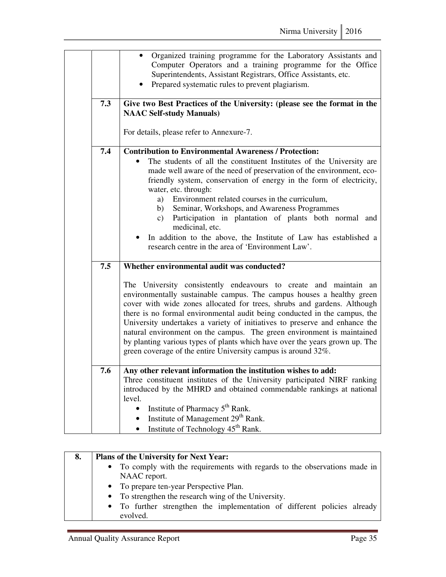|     | Organized training programme for the Laboratory Assistants and<br>Computer Operators and a training programme for the Office<br>Superintendents, Assistant Registrars, Office Assistants, etc.<br>Prepared systematic rules to prevent plagiarism.                                                                                                                                                                                                                                                                                                                                                                                                      |
|-----|---------------------------------------------------------------------------------------------------------------------------------------------------------------------------------------------------------------------------------------------------------------------------------------------------------------------------------------------------------------------------------------------------------------------------------------------------------------------------------------------------------------------------------------------------------------------------------------------------------------------------------------------------------|
| 7.3 | Give two Best Practices of the University: (please see the format in the<br><b>NAAC Self-study Manuals)</b>                                                                                                                                                                                                                                                                                                                                                                                                                                                                                                                                             |
|     | For details, please refer to Annexure-7.                                                                                                                                                                                                                                                                                                                                                                                                                                                                                                                                                                                                                |
| 7.4 | <b>Contribution to Environmental Awareness / Protection:</b><br>The students of all the constituent Institutes of the University are<br>made well aware of the need of preservation of the environment, eco-<br>friendly system, conservation of energy in the form of electricity,<br>water, etc. through:<br>a) Environment related courses in the curriculum,<br>Seminar, Workshops, and Awareness Programmes<br>b)<br>Participation in plantation of plants both normal and<br>$\mathbf{c})$<br>medicinal, etc.<br>In addition to the above, the Institute of Law has established a<br>research centre in the area of 'Environment Law'.            |
| 7.5 | Whether environmental audit was conducted?<br>The University consistently endeavours to create and maintain an<br>environmentally sustainable campus. The campus houses a healthy green<br>cover with wide zones allocated for trees, shrubs and gardens. Although<br>there is no formal environmental audit being conducted in the campus, the<br>University undertakes a variety of initiatives to preserve and enhance the<br>natural environment on the campus. The green environment is maintained<br>by planting various types of plants which have over the years grown up. The<br>green coverage of the entire University campus is around 32%. |
| 7.6 | Any other relevant information the institution wishes to add:<br>Three constituent institutes of the University participated NIRF ranking<br>introduced by the MHRD and obtained commendable rankings at national<br>level.<br>Institute of Pharmacy 5 <sup>th</sup> Rank.<br>$\bullet$<br>Institute of Management 29 <sup>th</sup> Rank.<br>$\bullet$<br>Institute of Technology 45 <sup>th</sup> Rank.<br>$\bullet$                                                                                                                                                                                                                                   |

| 8. | <b>Plans of the University for Next Year:</b>                              |  |
|----|----------------------------------------------------------------------------|--|
|    | • To comply with the requirements with regards to the observations made in |  |
|    | NAAC report.                                                               |  |
|    | • To prepare ten-year Perspective Plan.                                    |  |
|    | • To strengthen the research wing of the University.                       |  |
|    | • To further strengthen the implementation of different policies already   |  |
|    | evolved.                                                                   |  |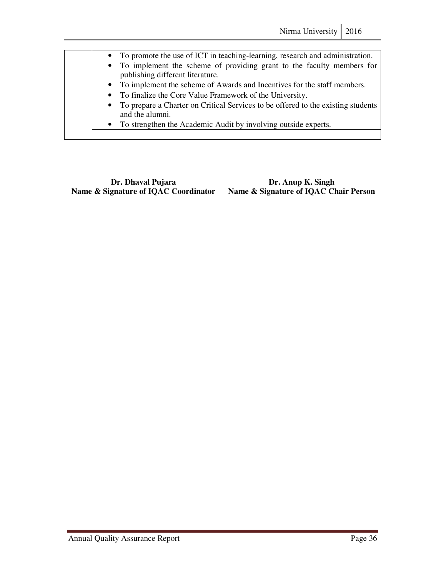| • To promote the use of ICT in teaching-learning, research and administration.                              |
|-------------------------------------------------------------------------------------------------------------|
| • To implement the scheme of providing grant to the faculty members for<br>publishing different literature. |
| • To implement the scheme of Awards and Incentives for the staff members.                                   |
| • To finalize the Core Value Framework of the University.                                                   |
| • To prepare a Charter on Critical Services to be offered to the existing students<br>and the alumni.       |
| • To strengthen the Academic Audit by involving outside experts.                                            |
|                                                                                                             |

**Dr. Dhaval Pujara Dr. Anup K. Singh <br>Name & Signature of IQAC Coordinator Name & Signature of IQAC C** 

**Name & Signature of IQAC Chair Person**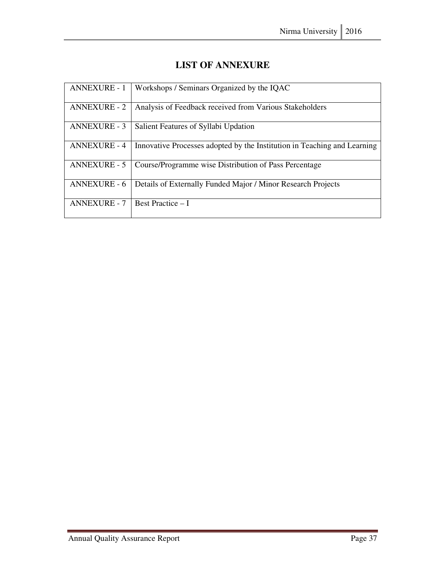| <b>ANNEXURE - 1</b> | Workshops / Seminars Organized by the IQAC                               |
|---------------------|--------------------------------------------------------------------------|
| ANNEXURE - 2        | Analysis of Feedback received from Various Stakeholders                  |
| <b>ANNEXURE - 3</b> | Salient Features of Syllabi Updation                                     |
| <b>ANNEXURE - 4</b> | Innovative Processes adopted by the Institution in Teaching and Learning |
| <b>ANNEXURE - 5</b> | Course/Programme wise Distribution of Pass Percentage                    |
| <b>ANNEXURE - 6</b> | Details of Externally Funded Major / Minor Research Projects             |
| <b>ANNEXURE - 7</b> | <b>Best Practice – I</b>                                                 |

### **LIST OF ANNEXURE**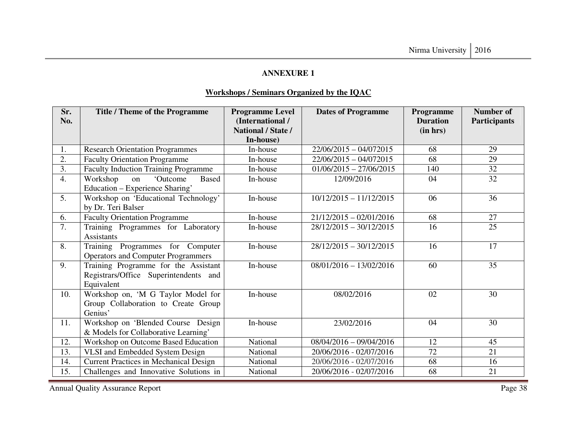#### **Workshops / Seminars Organized by the IQAC**

| Sr.<br>No.       | <b>Title / Theme of the Programme</b>                                                       | <b>Programme Level</b><br>(International /<br><b>National / State /</b><br>In-house) | <b>Dates of Programme</b> | Programme<br><b>Duration</b><br>(in hrs) | <b>Number of</b><br><b>Participants</b> |
|------------------|---------------------------------------------------------------------------------------------|--------------------------------------------------------------------------------------|---------------------------|------------------------------------------|-----------------------------------------|
| 1.               | Research Orientation Programmes                                                             | In-house                                                                             | $22/06/2015 - 04/072015$  | 68                                       | 29                                      |
| $\overline{2}$ . | <b>Faculty Orientation Programme</b>                                                        | In-house                                                                             | $22/06/2015 - 04/072015$  | 68                                       | 29                                      |
| $\overline{3}$ . | <b>Faculty Induction Training Programme</b>                                                 | In-house                                                                             | $01/06/2015 - 27/06/2015$ | 140                                      | 32                                      |
| $\overline{4}$ . | Workshop<br>'Outcome<br><b>Based</b><br>on<br>Education – Experience Sharing'               | In-house                                                                             | 12/09/2016                | 04                                       | 32                                      |
| 5.               | Workshop on 'Educational Technology'<br>by Dr. Teri Balser                                  | In-house                                                                             | $10/12/2015 - 11/12/2015$ | 06                                       | 36                                      |
| 6.               | <b>Faculty Orientation Programme</b>                                                        | In-house                                                                             | $21/12/2015 - 02/01/2016$ | 68                                       | 27                                      |
| 7.               | Training Programmes for Laboratory<br><b>Assistants</b>                                     | In-house                                                                             | $28/12/2015 - 30/12/2015$ | 16                                       | 25                                      |
| 8.               | Training Programmes for Computer<br><b>Operators and Computer Programmers</b>               | In-house                                                                             | $28/12/2015 - 30/12/2015$ | 16                                       | 17                                      |
| 9.               | Training Programme for the Assistant<br>Registrars/Office Superintendents and<br>Equivalent | In-house                                                                             | $08/01/2016 - 13/02/2016$ | 60                                       | 35                                      |
| 10.              | Workshop on, 'M G Taylor Model for<br>Group Collaboration to Create Group<br>Genius'        | In-house                                                                             | 08/02/2016                | 02                                       | 30                                      |
| 11.              | Workshop on 'Blended Course Design<br>& Models for Collaborative Learning'                  | In-house                                                                             | 23/02/2016                | 04                                       | 30                                      |
| 12.              | Workshop on Outcome Based Education                                                         | National                                                                             | $08/04/2016 - 09/04/2016$ | 12                                       | 45                                      |
| 13.              | VLSI and Embedded System Design                                                             | National                                                                             | 20/06/2016 - 02/07/2016   | 72                                       | 21                                      |
| 14.              | <b>Current Practices in Mechanical Design</b>                                               | National                                                                             | 20/06/2016 - 02/07/2016   | 68                                       | 16                                      |
| 15.              | Challenges and Innovative Solutions in                                                      | National                                                                             | 20/06/2016 - 02/07/2016   | 68                                       | 21                                      |

Annual Quality Assurance Report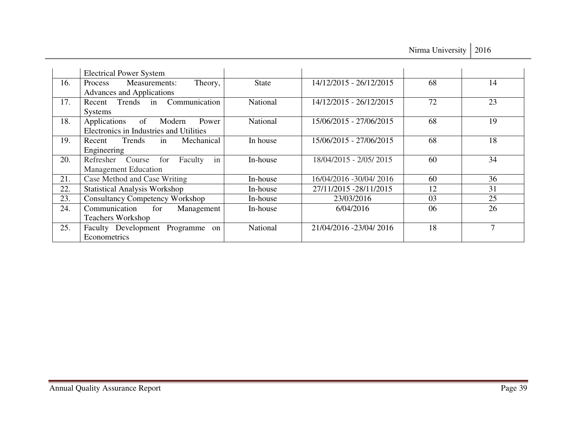Nirma University | 2016

|     | <b>Electrical Power System</b>                                                |              |                         |    |    |
|-----|-------------------------------------------------------------------------------|--------------|-------------------------|----|----|
| 16. | Measurements:<br>Theory,<br><b>Process</b><br>Advances and Applications       | <b>State</b> | 14/12/2015 - 26/12/2015 | 68 | 14 |
| 17. | Trends in Communication<br>Recent<br><b>Systems</b>                           | National     | 14/12/2015 - 26/12/2015 | 72 | 23 |
| 18. | Applications of<br>Modern<br>Power<br>Electronics in Industries and Utilities | National     | 15/06/2015 - 27/06/2015 | 68 | 19 |
| 19. | in<br>Recent Trends<br>Mechanical<br>Engineering                              | In house     | 15/06/2015 - 27/06/2015 | 68 | 18 |
| 20. | in<br>Refresher Course<br>for<br>Faculty<br><b>Management Education</b>       | In-house     | 18/04/2015 - 2/05/2015  | 60 | 34 |
| 21. | Case Method and Case Writing                                                  | In-house     | 16/04/2016 -30/04/ 2016 | 60 | 36 |
| 22. | <b>Statistical Analysis Workshop</b>                                          | In-house     | 27/11/2015 -28/11/2015  | 12 | 31 |
| 23. | <b>Consultancy Competency Workshop</b>                                        | In-house     | 23/03/2016              | 03 | 25 |
| 24. | Communication<br>for<br>Management<br><b>Teachers Workshop</b>                | In-house     | 6/04/2016               | 06 | 26 |
| 25. | Faculty Development Programme on<br>Econometrics                              | National     | 21/04/2016 -23/04/ 2016 | 18 | 7  |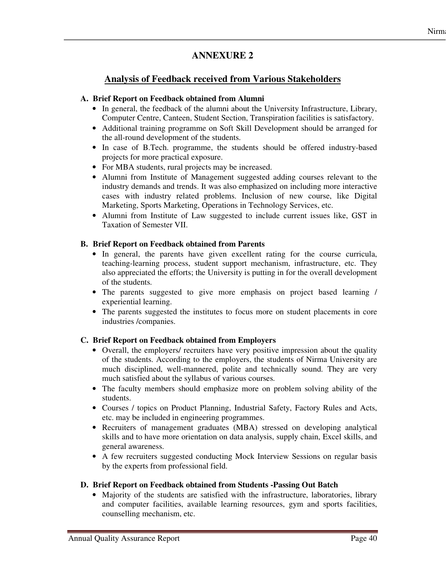### **Analysis of Feedback received from Various Stakeholders**

#### **A. Brief Report on Feedback obtained from Alumni**

- In general, the feedback of the alumni about the University Infrastructure, Library, Computer Centre, Canteen, Student Section, Transpiration facilities is satisfactory.
- Additional training programme on Soft Skill Development should be arranged for the all-round development of the students.
- In case of B.Tech. programme, the students should be offered industry-based projects for more practical exposure.
- For MBA students, rural projects may be increased.
- Alumni from Institute of Management suggested adding courses relevant to the industry demands and trends. It was also emphasized on including more interactive cases with industry related problems. Inclusion of new course, like Digital Marketing, Sports Marketing, Operations in Technology Services, etc.
- Alumni from Institute of Law suggested to include current issues like, GST in Taxation of Semester VII.

#### **B. Brief Report on Feedback obtained from Parents**

- In general, the parents have given excellent rating for the course curricula, teaching-learning process, student support mechanism, infrastructure, etc. They also appreciated the efforts; the University is putting in for the overall development of the students.
- The parents suggested to give more emphasis on project based learning / experiential learning.
- The parents suggested the institutes to focus more on student placements in core industries /companies.

### **C. Brief Report on Feedback obtained from Employers**

- Overall, the employers/ recruiters have very positive impression about the quality of the students. According to the employers, the students of Nirma University are much disciplined, well-mannered, polite and technically sound. They are very much satisfied about the syllabus of various courses.
- The faculty members should emphasize more on problem solving ability of the students.
- Courses / topics on Product Planning, Industrial Safety, Factory Rules and Acts, etc. may be included in engineering programmes.
- Recruiters of management graduates (MBA) stressed on developing analytical skills and to have more orientation on data analysis, supply chain, Excel skills, and general awareness.
- A few recruiters suggested conducting Mock Interview Sessions on regular basis by the experts from professional field.

### **D. Brief Report on Feedback obtained from Students -Passing Out Batch**

• Majority of the students are satisfied with the infrastructure, laboratories, library and computer facilities, available learning resources, gym and sports facilities, counselling mechanism, etc.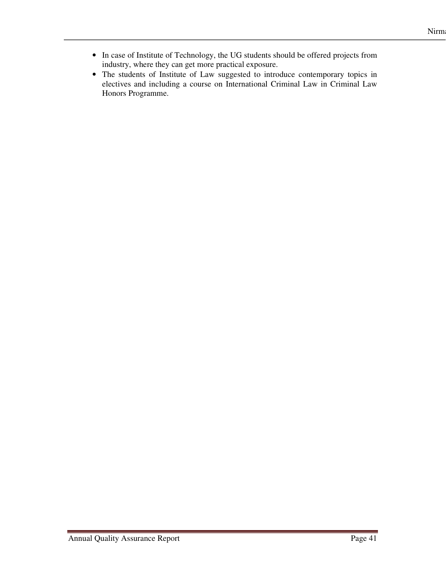- In case of Institute of Technology, the UG students should be offered projects from industry, where they can get more practical exposure.
- The students of Institute of Law suggested to introduce contemporary topics in electives and including a course on International Criminal Law in Criminal Law Honors Programme.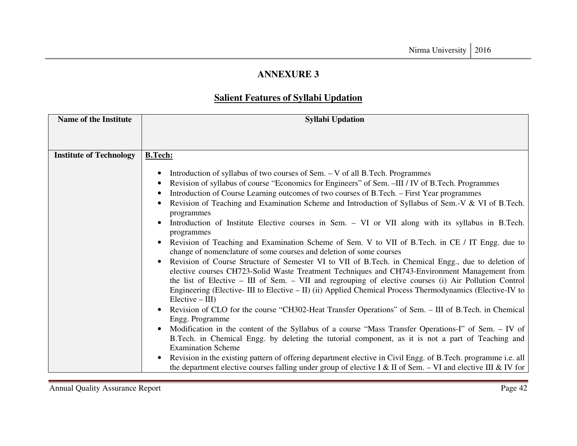# **Salient Features of Syllabi Updation**

| <b>Name of the Institute</b>   | <b>Syllabi Updation</b>                                                                                                                                                                                                                                                                                                                                                                                                                                                                                                                                                                                                                                                                                                                                                                                                                                                                                                                                                                                                                                                                                                                                                                                                                                                                                                                                                                                                                                                                                                                                                                                                                                                                                                                                         |
|--------------------------------|-----------------------------------------------------------------------------------------------------------------------------------------------------------------------------------------------------------------------------------------------------------------------------------------------------------------------------------------------------------------------------------------------------------------------------------------------------------------------------------------------------------------------------------------------------------------------------------------------------------------------------------------------------------------------------------------------------------------------------------------------------------------------------------------------------------------------------------------------------------------------------------------------------------------------------------------------------------------------------------------------------------------------------------------------------------------------------------------------------------------------------------------------------------------------------------------------------------------------------------------------------------------------------------------------------------------------------------------------------------------------------------------------------------------------------------------------------------------------------------------------------------------------------------------------------------------------------------------------------------------------------------------------------------------------------------------------------------------------------------------------------------------|
|                                |                                                                                                                                                                                                                                                                                                                                                                                                                                                                                                                                                                                                                                                                                                                                                                                                                                                                                                                                                                                                                                                                                                                                                                                                                                                                                                                                                                                                                                                                                                                                                                                                                                                                                                                                                                 |
|                                |                                                                                                                                                                                                                                                                                                                                                                                                                                                                                                                                                                                                                                                                                                                                                                                                                                                                                                                                                                                                                                                                                                                                                                                                                                                                                                                                                                                                                                                                                                                                                                                                                                                                                                                                                                 |
| <b>Institute of Technology</b> | <b>B.Tech:</b>                                                                                                                                                                                                                                                                                                                                                                                                                                                                                                                                                                                                                                                                                                                                                                                                                                                                                                                                                                                                                                                                                                                                                                                                                                                                                                                                                                                                                                                                                                                                                                                                                                                                                                                                                  |
|                                | Introduction of syllabus of two courses of Sem. – V of all B. Tech. Programmes<br>Revision of syllabus of course "Economics for Engineers" of Sem. -III / IV of B. Tech. Programmes<br>Introduction of Course Learning outcomes of two courses of B.Tech. – First Year programmes<br>Revision of Teaching and Examination Scheme and Introduction of Syllabus of Sem.-V & VI of B.Tech.<br>programmes<br>Introduction of Institute Elective courses in Sem. – VI or VII along with its syllabus in B.Tech.<br>programmes<br>Revision of Teaching and Examination Scheme of Sem. V to VII of B.Tech. in CE / IT Engg. due to<br>change of nomenclature of some courses and deletion of some courses<br>Revision of Course Structure of Semester VI to VII of B.Tech. in Chemical Engg., due to deletion of<br>elective courses CH723-Solid Waste Treatment Techniques and CH743-Environment Management from<br>the list of Elective $-$ III of Sem. $-$ VII and regrouping of elective courses (i) Air Pollution Control<br>Engineering (Elective- III to Elective – II) (ii) Applied Chemical Process Thermodynamics (Elective-IV to<br>$Electric - III$<br>Revision of CLO for the course "CH302-Heat Transfer Operations" of Sem. - III of B.Tech. in Chemical<br>Engg. Programme<br>Modification in the content of the Syllabus of a course "Mass Transfer Operations-I" of Sem. – IV of<br>B.Tech. in Chemical Engg. by deleting the tutorial component, as it is not a part of Teaching and<br><b>Examination Scheme</b><br>Revision in the existing pattern of offering department elective in Civil Engg. of B.Tech. programme i.e. all<br>the department elective courses falling under group of elective I & II of Sem. - VI and elective III & IV for |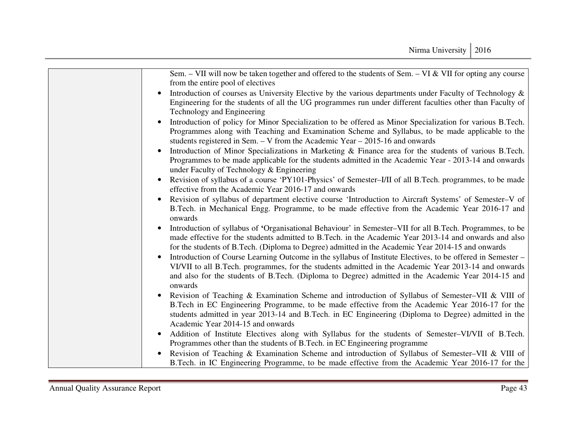| Sem. $-$ VII will now be taken together and offered to the students of Sem. $-$ VI & VII for opting any course<br>from the entire pool of electives                                                                                                                                                                                             |
|-------------------------------------------------------------------------------------------------------------------------------------------------------------------------------------------------------------------------------------------------------------------------------------------------------------------------------------------------|
| Introduction of courses as University Elective by the various departments under Faculty of Technology &<br>Engineering for the students of all the UG programmes run under different faculties other than Faculty of<br>Technology and Engineering                                                                                              |
| Introduction of policy for Minor Specialization to be offered as Minor Specialization for various B.Tech.<br>Programmes along with Teaching and Examination Scheme and Syllabus, to be made applicable to the<br>students registered in Sem. $-$ V from the Academic Year $-$ 2015-16 and onwards                                               |
| Introduction of Minor Specializations in Marketing & Finance area for the students of various B.Tech.<br>Programmes to be made applicable for the students admitted in the Academic Year - 2013-14 and onwards<br>under Faculty of Technology & Engineering                                                                                     |
| Revision of syllabus of a course 'PY101-Physics' of Semester-I/II of all B.Tech. programmes, to be made<br>effective from the Academic Year 2016-17 and onwards                                                                                                                                                                                 |
| Revision of syllabus of department elective course 'Introduction to Aircraft Systems' of Semester-V of<br>B.Tech. in Mechanical Engg. Programme, to be made effective from the Academic Year 2016-17 and<br>onwards                                                                                                                             |
| Introduction of syllabus of 'Organisational Behaviour' in Semester–VII for all B. Tech. Programmes, to be<br>made effective for the students admitted to B.Tech. in the Academic Year 2013-14 and onwards and also<br>for the students of B.Tech. (Diploma to Degree) admitted in the Academic Year 2014-15 and onwards                         |
| Introduction of Course Learning Outcome in the syllabus of Institute Electives, to be offered in Semester –<br>VI/VII to all B. Tech. programmes, for the students admitted in the Academic Year 2013-14 and onwards<br>and also for the students of B.Tech. (Diploma to Degree) admitted in the Academic Year 2014-15 and<br>onwards           |
| Revision of Teaching & Examination Scheme and introduction of Syllabus of Semester–VII & VIII of<br>B.Tech in EC Engineering Programme, to be made effective from the Academic Year 2016-17 for the<br>students admitted in year 2013-14 and B.Tech. in EC Engineering (Diploma to Degree) admitted in the<br>Academic Year 2014-15 and onwards |
| Addition of Institute Electives along with Syllabus for the students of Semester-VI/VII of B.Tech.<br>$\bullet$<br>Programmes other than the students of B.Tech. in EC Engineering programme                                                                                                                                                    |
| Revision of Teaching & Examination Scheme and introduction of Syllabus of Semester-VII & VIII of<br>B.Tech. in IC Engineering Programme, to be made effective from the Academic Year 2016-17 for the                                                                                                                                            |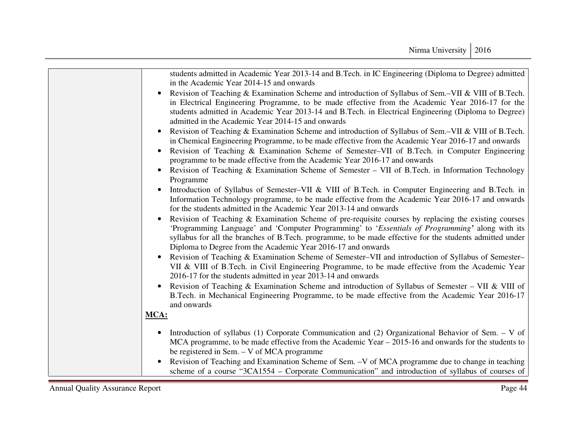| students admitted in Academic Year 2013-14 and B.Tech. in IC Engineering (Diploma to Degree) admitted             |
|-------------------------------------------------------------------------------------------------------------------|
| in the Academic Year 2014-15 and onwards                                                                          |
| Revision of Teaching & Examination Scheme and introduction of Syllabus of Sem.-VII & VIII of B.Tech.<br>$\bullet$ |
| in Electrical Engineering Programme, to be made effective from the Academic Year 2016-17 for the                  |
| students admitted in Academic Year 2013-14 and B.Tech. in Electrical Engineering (Diploma to Degree)              |
| admitted in the Academic Year 2014-15 and onwards                                                                 |
| Revision of Teaching & Examination Scheme and introduction of Syllabus of Sem.-VII & VIII of B.Tech.              |
| in Chemical Engineering Programme, to be made effective from the Academic Year 2016-17 and onwards                |
| Revision of Teaching & Examination Scheme of Semester-VII of B.Tech. in Computer Engineering<br>$\bullet$         |
| programme to be made effective from the Academic Year 2016-17 and onwards                                         |
| Revision of Teaching & Examination Scheme of Semester - VII of B.Tech. in Information Technology<br>$\bullet$     |
| Programme                                                                                                         |
| Introduction of Syllabus of Semester–VII & VIII of B.Tech. in Computer Engineering and B.Tech. in                 |
| Information Technology programme, to be made effective from the Academic Year 2016-17 and onwards                 |
| for the students admitted in the Academic Year 2013-14 and onwards                                                |
| Revision of Teaching & Examination Scheme of pre-requisite courses by replacing the existing courses              |
| 'Programming Language' and 'Computer Programming' to 'Essentials of Programming' along with its                   |
| syllabus for all the branches of B.Tech. programme, to be made effective for the students admitted under          |
| Diploma to Degree from the Academic Year 2016-17 and onwards                                                      |
| Revision of Teaching & Examination Scheme of Semester–VII and introduction of Syllabus of Semester–               |
| VII & VIII of B.Tech. in Civil Engineering Programme, to be made effective from the Academic Year                 |
| 2016-17 for the students admitted in year 2013-14 and onwards                                                     |
| Revision of Teaching & Examination Scheme and introduction of Syllabus of Semester – VII & VIII of                |
| B.Tech. in Mechanical Engineering Programme, to be made effective from the Academic Year 2016-17                  |
| and onwards                                                                                                       |
| MCA:                                                                                                              |
|                                                                                                                   |
| Introduction of syllabus (1) Corporate Communication and (2) Organizational Behavior of Sem. $-$ V of             |
| MCA programme, to be made effective from the Academic Year $-2015-16$ and onwards for the students to             |
| be registered in Sem. – V of MCA programme                                                                        |
| Revision of Teaching and Examination Scheme of Sem. -V of MCA programme due to change in teaching                 |
| scheme of a course "3CA1554 – Corporate Communication" and introduction of syllabus of courses of                 |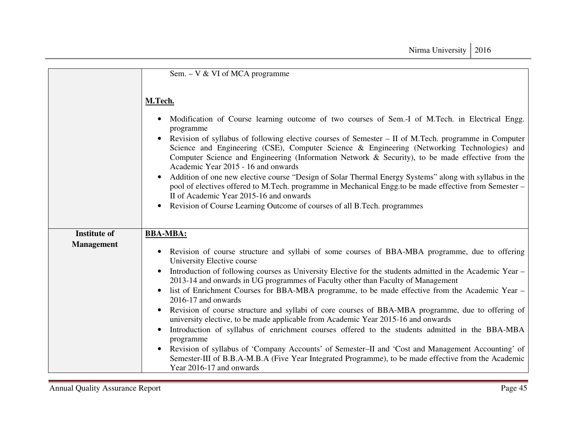|                     | Sem. $-V & VI$ of MCA programme                                                                                                                                                                                                                                                                                                                                                                                                                                             |
|---------------------|-----------------------------------------------------------------------------------------------------------------------------------------------------------------------------------------------------------------------------------------------------------------------------------------------------------------------------------------------------------------------------------------------------------------------------------------------------------------------------|
|                     | M.Tech.                                                                                                                                                                                                                                                                                                                                                                                                                                                                     |
|                     | Modification of Course learning outcome of two courses of Sem.-I of M.Tech. in Electrical Engg.<br>$\bullet$<br>programme<br>Revision of syllabus of following elective courses of Semester – II of M.Tech. programme in Computer<br>Science and Engineering (CSE), Computer Science & Engineering (Networking Technologies) and<br>Computer Science and Engineering (Information Network & Security), to be made effective from the<br>Academic Year 2015 - 16 and onwards |
|                     | Addition of one new elective course "Design of Solar Thermal Energy Systems" along with syllabus in the<br>pool of electives offered to M.Tech. programme in Mechanical Engg.to be made effective from Semester -<br>II of Academic Year 2015-16 and onwards                                                                                                                                                                                                                |
|                     | Revision of Course Learning Outcome of courses of all B. Tech. programmes                                                                                                                                                                                                                                                                                                                                                                                                   |
| <b>Institute of</b> | <b>BBA-MBA:</b>                                                                                                                                                                                                                                                                                                                                                                                                                                                             |
| <b>Management</b>   | Revision of course structure and syllabi of some courses of BBA-MBA programme, due to offering<br>$\bullet$<br>University Elective course                                                                                                                                                                                                                                                                                                                                   |
|                     | Introduction of following courses as University Elective for the students admitted in the Academic Year –<br>$\bullet$<br>2013-14 and onwards in UG programmes of Faculty other than Faculty of Management                                                                                                                                                                                                                                                                  |
|                     | list of Enrichment Courses for BBA-MBA programme, to be made effective from the Academic Year –<br>2016-17 and onwards                                                                                                                                                                                                                                                                                                                                                      |
|                     | Revision of course structure and syllabi of core courses of BBA-MBA programme, due to offering of<br>university elective, to be made applicable from Academic Year 2015-16 and onwards                                                                                                                                                                                                                                                                                      |
|                     | Introduction of syllabus of enrichment courses offered to the students admitted in the BBA-MBA<br>programme                                                                                                                                                                                                                                                                                                                                                                 |
|                     | Revision of syllabus of 'Company Accounts' of Semester–II and 'Cost and Management Accounting' of<br>$\bullet$<br>Semester-III of B.B.A-M.B.A (Five Year Integrated Programme), to be made effective from the Academic<br>Year 2016-17 and onwards                                                                                                                                                                                                                          |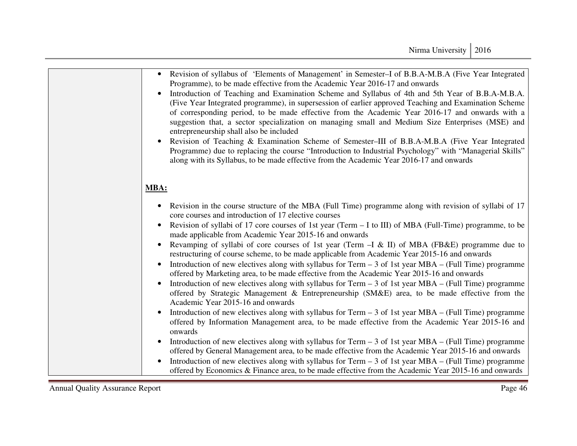| Revision of syllabus of 'Elements of Management' in Semester–I of B.B.A-M.B.A (Five Year Integrated<br>Programme), to be made effective from the Academic Year 2016-17 and onwards<br>Introduction of Teaching and Examination Scheme and Syllabus of 4th and 5th Year of B.B.A-M.B.A.<br>(Five Year Integrated programme), in supersession of earlier approved Teaching and Examination Scheme<br>of corresponding period, to be made effective from the Academic Year 2016-17 and onwards with a<br>suggestion that, a sector specialization on managing small and Medium Size Enterprises (MSE) and<br>entrepreneurship shall also be included<br>Revision of Teaching & Examination Scheme of Semester–III of B.B.A-M.B.A (Five Year Integrated<br>Programme) due to replacing the course "Introduction to Industrial Psychology" with "Managerial Skills"<br>along with its Syllabus, to be made effective from the Academic Year 2016-17 and onwards                                                                                                                                                                                                                                                                                         |
|----------------------------------------------------------------------------------------------------------------------------------------------------------------------------------------------------------------------------------------------------------------------------------------------------------------------------------------------------------------------------------------------------------------------------------------------------------------------------------------------------------------------------------------------------------------------------------------------------------------------------------------------------------------------------------------------------------------------------------------------------------------------------------------------------------------------------------------------------------------------------------------------------------------------------------------------------------------------------------------------------------------------------------------------------------------------------------------------------------------------------------------------------------------------------------------------------------------------------------------------------|
| MBA:                                                                                                                                                                                                                                                                                                                                                                                                                                                                                                                                                                                                                                                                                                                                                                                                                                                                                                                                                                                                                                                                                                                                                                                                                                               |
| • Revision in the course structure of the MBA (Full Time) programme along with revision of syllabi of 17<br>core courses and introduction of 17 elective courses<br>Revision of syllabi of 17 core courses of 1st year (Term $-$ I to III) of MBA (Full-Time) programme, to be<br>made applicable from Academic Year 2015-16 and onwards<br>Revamping of syllabi of core courses of 1st year (Term - I & II) of MBA (FB&E) programme due to<br>restructuring of course scheme, to be made applicable from Academic Year 2015-16 and onwards<br>Introduction of new electives along with syllabus for Term $-$ 3 of 1st year MBA $-$ (Full Time) programme<br>$\bullet$<br>offered by Marketing area, to be made effective from the Academic Year 2015-16 and onwards<br>Introduction of new electives along with syllabus for Term $-$ 3 of 1st year MBA – (Full Time) programme<br>offered by Strategic Management & Entrepreneurship (SM&E) area, to be made effective from the<br>Academic Year 2015-16 and onwards<br>Introduction of new electives along with syllabus for $Term - 3$ of 1st year $MBA - (Full Time) programme$<br>offered by Information Management area, to be made effective from the Academic Year 2015-16 and<br>onwards |
| Introduction of new electives along with syllabus for Term $-3$ of 1st year MBA – (Full Time) programme<br>offered by General Management area, to be made effective from the Academic Year 2015-16 and onwards<br>Introduction of new electives along with syllabus for Term $-3$ of 1st year MBA – (Full Time) programme<br>$\bullet$<br>offered by Economics & Finance area, to be made effective from the Academic Year 2015-16 and onwards                                                                                                                                                                                                                                                                                                                                                                                                                                                                                                                                                                                                                                                                                                                                                                                                     |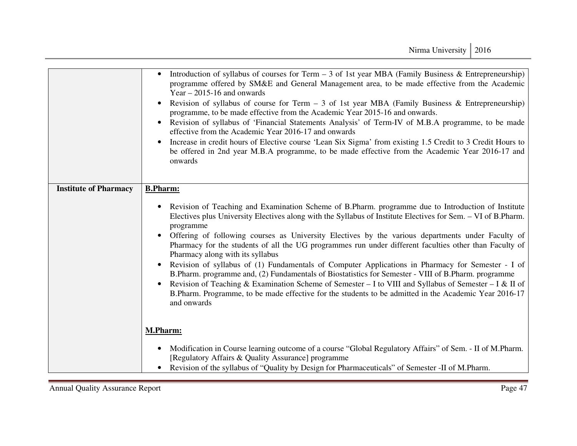|                              | Introduction of syllabus of courses for Term $-3$ of 1st year MBA (Family Business & Entrepreneurship)<br>programme offered by SM&E and General Management area, to be made effective from the Academic<br>Year $-2015-16$ and onwards<br>Revision of syllabus of course for Term $-3$ of 1st year MBA (Family Business & Entrepreneurship)<br>programme, to be made effective from the Academic Year 2015-16 and onwards.<br>Revision of syllabus of 'Financial Statements Analysis' of Term-IV of M.B.A programme, to be made<br>effective from the Academic Year 2016-17 and onwards<br>Increase in credit hours of Elective course 'Lean Six Sigma' from existing 1.5 Credit to 3 Credit Hours to<br>be offered in 2nd year M.B.A programme, to be made effective from the Academic Year 2016-17 and<br>onwards                                                                                                                                 |
|------------------------------|-----------------------------------------------------------------------------------------------------------------------------------------------------------------------------------------------------------------------------------------------------------------------------------------------------------------------------------------------------------------------------------------------------------------------------------------------------------------------------------------------------------------------------------------------------------------------------------------------------------------------------------------------------------------------------------------------------------------------------------------------------------------------------------------------------------------------------------------------------------------------------------------------------------------------------------------------------|
| <b>Institute of Pharmacy</b> | <b>B.Pharm:</b><br>Revision of Teaching and Examination Scheme of B.Pharm. programme due to Introduction of Institute<br>Electives plus University Electives along with the Syllabus of Institute Electives for Sem. - VI of B.Pharm.<br>programme<br>Offering of following courses as University Electives by the various departments under Faculty of<br>Pharmacy for the students of all the UG programmes run under different faculties other than Faculty of<br>Pharmacy along with its syllabus<br>Revision of syllabus of (1) Fundamentals of Computer Applications in Pharmacy for Semester - I of<br>B.Pharm. programme and, (2) Fundamentals of Biostatistics for Semester - VIII of B.Pharm. programme<br>Revision of Teaching & Examination Scheme of Semester – I to VIII and Syllabus of Semester – I & II of<br>B.Pharm. Programme, to be made effective for the students to be admitted in the Academic Year 2016-17<br>and onwards |
|                              | <b>M.Pharm:</b><br>Modification in Course learning outcome of a course "Global Regulatory Affairs" of Sem. - II of M.Pharm.<br>[Regulatory Affairs & Quality Assurance] programme<br>Revision of the syllabus of "Quality by Design for Pharmaceuticals" of Semester -II of M.Pharm.                                                                                                                                                                                                                                                                                                                                                                                                                                                                                                                                                                                                                                                                |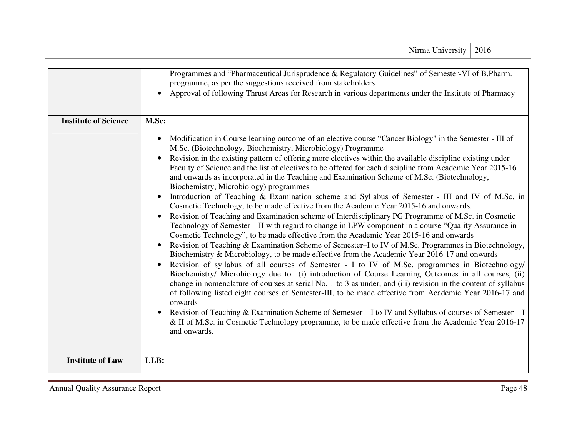|                             | Programmes and "Pharmaceutical Jurisprudence & Regulatory Guidelines" of Semester-VI of B.Pharm.<br>programme, as per the suggestions received from stakeholders<br>Approval of following Thrust Areas for Research in various departments under the Institute of Pharmacy                                                                                                                                                                                                                                                                                                                                                                                                                                                                                                                                                                                                                                                                                                                                                                                                                                                                                                                                                                                                                                                                                                                                                                                                                                                                                                                                                                                                                                                                                                                                                                                                                                                                           |
|-----------------------------|------------------------------------------------------------------------------------------------------------------------------------------------------------------------------------------------------------------------------------------------------------------------------------------------------------------------------------------------------------------------------------------------------------------------------------------------------------------------------------------------------------------------------------------------------------------------------------------------------------------------------------------------------------------------------------------------------------------------------------------------------------------------------------------------------------------------------------------------------------------------------------------------------------------------------------------------------------------------------------------------------------------------------------------------------------------------------------------------------------------------------------------------------------------------------------------------------------------------------------------------------------------------------------------------------------------------------------------------------------------------------------------------------------------------------------------------------------------------------------------------------------------------------------------------------------------------------------------------------------------------------------------------------------------------------------------------------------------------------------------------------------------------------------------------------------------------------------------------------------------------------------------------------------------------------------------------------|
| <b>Institute of Science</b> | M.Sc:                                                                                                                                                                                                                                                                                                                                                                                                                                                                                                                                                                                                                                                                                                                                                                                                                                                                                                                                                                                                                                                                                                                                                                                                                                                                                                                                                                                                                                                                                                                                                                                                                                                                                                                                                                                                                                                                                                                                                |
|                             | Modification in Course learning outcome of an elective course "Cancer Biology" in the Semester - III of<br>$\bullet$<br>M.Sc. (Biotechnology, Biochemistry, Microbiology) Programme<br>Revision in the existing pattern of offering more electives within the available discipline existing under<br>Faculty of Science and the list of electives to be offered for each discipline from Academic Year 2015-16<br>and onwards as incorporated in the Teaching and Examination Scheme of M.Sc. (Biotechnology,<br>Biochemistry, Microbiology) programmes<br>Introduction of Teaching & Examination scheme and Syllabus of Semester - III and IV of M.Sc. in<br>Cosmetic Technology, to be made effective from the Academic Year 2015-16 and onwards.<br>Revision of Teaching and Examination scheme of Interdisciplinary PG Programme of M.Sc. in Cosmetic<br>Technology of Semester - II with regard to change in LPW component in a course "Quality Assurance in<br>Cosmetic Technology", to be made effective from the Academic Year 2015-16 and onwards<br>Revision of Teaching & Examination Scheme of Semester-I to IV of M.Sc. Programmes in Biotechnology,<br>Biochemistry & Microbiology, to be made effective from the Academic Year 2016-17 and onwards<br>Revision of syllabus of all courses of Semester - I to IV of M.Sc. programmes in Biotechnology/<br>Biochemistry/ Microbiology due to (i) introduction of Course Learning Outcomes in all courses, (ii)<br>change in nomenclature of courses at serial No. 1 to 3 as under, and (iii) revision in the content of syllabus<br>of following listed eight courses of Semester-III, to be made effective from Academic Year 2016-17 and<br>onwards<br>Revision of Teaching & Examination Scheme of Semester – I to IV and Syllabus of courses of Semester – I<br>& II of M.Sc. in Cosmetic Technology programme, to be made effective from the Academic Year 2016-17<br>and onwards. |
| <b>Institute of Law</b>     | LLB:                                                                                                                                                                                                                                                                                                                                                                                                                                                                                                                                                                                                                                                                                                                                                                                                                                                                                                                                                                                                                                                                                                                                                                                                                                                                                                                                                                                                                                                                                                                                                                                                                                                                                                                                                                                                                                                                                                                                                 |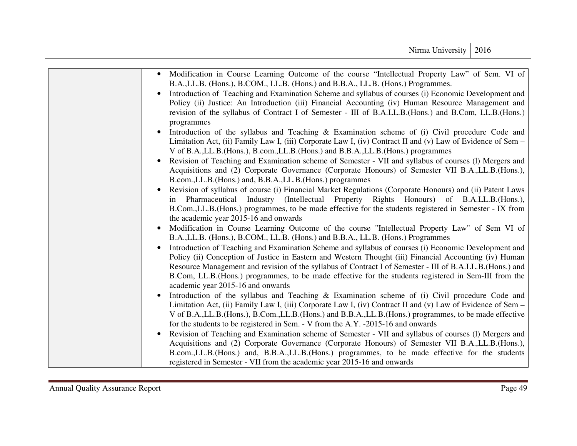| • Modification in Course Learning Outcome of the course "Intellectual Property Law" of Sem. VI of<br>B.A., LL.B. (Hons.), B.COM., LL.B. (Hons.) and B.B.A., LL.B. (Hons.) Programmes.                                                                                                                                                                                                                                                                                    |
|--------------------------------------------------------------------------------------------------------------------------------------------------------------------------------------------------------------------------------------------------------------------------------------------------------------------------------------------------------------------------------------------------------------------------------------------------------------------------|
| Introduction of Teaching and Examination Scheme and syllabus of courses (i) Economic Development and<br>Policy (ii) Justice: An Introduction (iii) Financial Accounting (iv) Human Resource Management and<br>revision of the syllabus of Contract I of Semester - III of B.A.LL.B. (Hons.) and B.Com, LL.B. (Hons.)<br>programmes                                                                                                                                       |
| Introduction of the syllabus and Teaching & Examination scheme of (i) Civil procedure Code and<br>Limitation Act, (ii) Family Law I, (iii) Corporate Law I, (iv) Contract II and (v) Law of Evidence of Sem –<br>V of B.A., LL.B. (Hons.), B.com., LL.B. (Hons.) and B.B.A., LL.B. (Hons.) programmes                                                                                                                                                                    |
| Revision of Teaching and Examination scheme of Semester - VII and syllabus of courses (1) Mergers and<br>Acquisitions and (2) Corporate Governance (Corporate Honours) of Semester VII B.A., L.B. (Hons.),<br>B.com., LL.B. (Hons.) and, B.B.A., LL.B. (Hons.) programmes                                                                                                                                                                                                |
| Revision of syllabus of course (i) Financial Market Regulations (Corporate Honours) and (ii) Patent Laws<br>$\bullet$<br>in Pharmaceutical Industry (Intellectual Property Rights Honours) of B.A.LL.B. (Hons.),<br>B.Com., L.L.B. (Hons.) programmes, to be made effective for the students registered in Semester - IX from<br>the academic year 2015-16 and onwards                                                                                                   |
| Modification in Course Learning Outcome of the course "Intellectual Property Law" of Sem VI of<br>B.A., LL.B. (Hons.), B.COM., LL.B. (Hons.) and B.B.A., LL.B. (Hons.) Programmes                                                                                                                                                                                                                                                                                        |
| Introduction of Teaching and Examination Scheme and syllabus of courses (i) Economic Development and<br>Policy (ii) Conception of Justice in Eastern and Western Thought (iii) Financial Accounting (iv) Human<br>Resource Management and revision of the syllabus of Contract I of Semester - III of B.A.LL.B. (Hons.) and<br>B.Com, LL.B.(Hons.) programmes, to be made effective for the students registered in Sem-III from the<br>academic year 2015-16 and onwards |
| Introduction of the syllabus and Teaching & Examination scheme of (i) Civil procedure Code and<br>Limitation Act, (ii) Family Law I, (iii) Corporate Law I, (iv) Contract II and (v) Law of Evidence of Sem –<br>V of B.A., LL.B. (Hons.), B.Com., LL.B. (Hons.) and B.B.A., LL.B. (Hons.) programmes, to be made effective<br>for the students to be registered in Sem. - V from the A.Y. -2015-16 and onwards                                                          |
| Revision of Teaching and Examination scheme of Semester - VII and syllabus of courses (1) Mergers and<br>$\bullet$<br>Acquisitions and (2) Corporate Governance (Corporate Honours) of Semester VII B.A., L.B. (Hons.),<br>B.com., LL.B. (Hons.) and, B.B.A., LL.B. (Hons.) programmes, to be made effective for the students<br>registered in Semester - VII from the academic year 2015-16 and onwards                                                                 |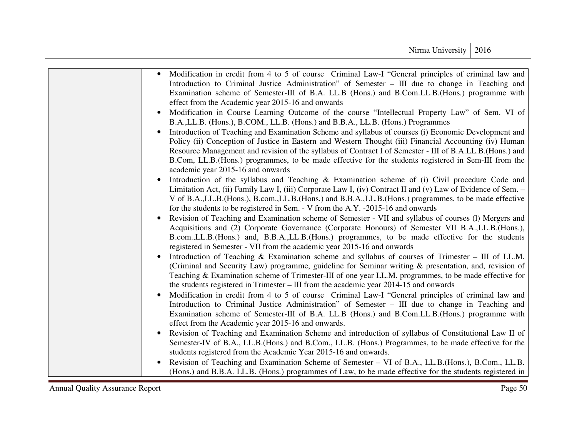| Modification in credit from 4 to 5 of course Criminal Law-I "General principles of criminal law and<br>Introduction to Criminal Justice Administration" of Semester – III due to change in Teaching and<br>Examination scheme of Semester-III of B.A. LL.B (Hons.) and B.Com.LL.B. (Hons.) programme with<br>effect from the Academic year 2015-16 and onwards                                                                                                                         |
|----------------------------------------------------------------------------------------------------------------------------------------------------------------------------------------------------------------------------------------------------------------------------------------------------------------------------------------------------------------------------------------------------------------------------------------------------------------------------------------|
| Modification in Course Learning Outcome of the course "Intellectual Property Law" of Sem. VI of<br>B.A., LL.B. (Hons.), B.COM., LL.B. (Hons.) and B.B.A., LL.B. (Hons.) Programmes                                                                                                                                                                                                                                                                                                     |
| Introduction of Teaching and Examination Scheme and syllabus of courses (i) Economic Development and<br>$\bullet$<br>Policy (ii) Conception of Justice in Eastern and Western Thought (iii) Financial Accounting (iv) Human<br>Resource Management and revision of the syllabus of Contract I of Semester - III of B.A.LL.B. (Hons.) and<br>B.Com, LL.B. (Hons.) programmes, to be made effective for the students registered in Sem-III from the<br>academic year 2015-16 and onwards |
| Introduction of the syllabus and Teaching & Examination scheme of (i) Civil procedure Code and<br>Limitation Act, (ii) Family Law I, (iii) Corporate Law I, (iv) Contract II and (v) Law of Evidence of Sem. -<br>V of B.A., LL.B. (Hons.), B.com., LL.B. (Hons.) and B.B.A., LL.B. (Hons.) programmes, to be made effective<br>for the students to be registered in Sem. - V from the A.Y. -2015-16 and onwards                                                                       |
| Revision of Teaching and Examination scheme of Semester - VII and syllabus of courses (1) Mergers and<br>$\bullet$<br>Acquisitions and (2) Corporate Governance (Corporate Honours) of Semester VII B.A., L.L.B. (Hons.),<br>B.com., LL.B. (Hons.) and, B.B.A., LL.B. (Hons.) programmes, to be made effective for the students<br>registered in Semester - VII from the academic year 2015-16 and onwards                                                                             |
| Introduction of Teaching & Examination scheme and syllabus of courses of Trimester $-$ III of LL.M.<br>$\bullet$<br>(Criminal and Security Law) programme, guideline for Seminar writing & presentation, and, revision of<br>Teaching & Examination scheme of Trimester-III of one year LL.M. programmes, to be made effective for<br>the students registered in Trimester – III from the academic year 2014-15 and onwards                                                            |
| Modification in credit from 4 to 5 of course Criminal Law-I "General principles of criminal law and<br>$\bullet$<br>Introduction to Criminal Justice Administration" of Semester – III due to change in Teaching and<br>Examination scheme of Semester-III of B.A. LL.B (Hons.) and B.Com.LL.B. (Hons.) programme with<br>effect from the Academic year 2015-16 and onwards.                                                                                                           |
| Revision of Teaching and Examination Scheme and introduction of syllabus of Constitutional Law II of<br>$\bullet$<br>Semester-IV of B.A., LL.B. (Hons.) and B.Com., LL.B. (Hons.) Programmes, to be made effective for the<br>students registered from the Academic Year 2015-16 and onwards.                                                                                                                                                                                          |
| Revision of Teaching and Examination Scheme of Semester – VI of B.A., LL.B. (Hons.), B.Com., LL.B.<br>$\bullet$<br>(Hons.) and B.B.A. LL.B. (Hons.) programmes of Law, to be made effective for the students registered in                                                                                                                                                                                                                                                             |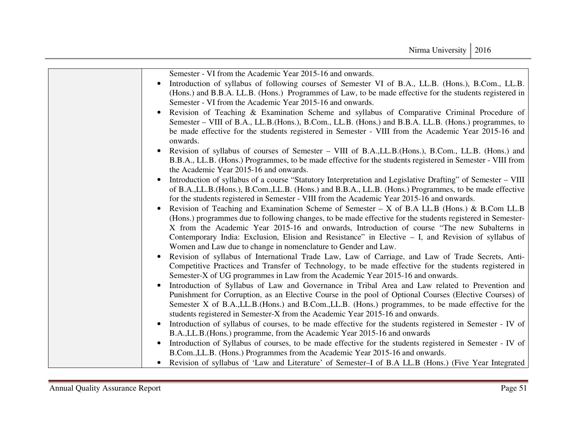| Semester - VI from the Academic Year 2015-16 and onwards.                                                                                                                                                               |
|-------------------------------------------------------------------------------------------------------------------------------------------------------------------------------------------------------------------------|
| Introduction of syllabus of following courses of Semester VI of B.A., LL.B. (Hons.), B.Com., LL.B.                                                                                                                      |
| (Hons.) and B.B.A. LL.B. (Hons.) Programmes of Law, to be made effective for the students registered in                                                                                                                 |
| Semester - VI from the Academic Year 2015-16 and onwards.                                                                                                                                                               |
| Revision of Teaching & Examination Scheme and syllabus of Comparative Criminal Procedure of<br>$\bullet$                                                                                                                |
| Semester – VIII of B.A., LL.B. (Hons.), B.Com., LL.B. (Hons.) and B.B.A. LL.B. (Hons.) programmes, to                                                                                                                   |
| be made effective for the students registered in Semester - VIII from the Academic Year 2015-16 and<br>onwards.                                                                                                         |
| Revision of syllabus of courses of Semester – VIII of B.A., LL.B. (Hons.), B.Com., LL.B. (Hons.) and                                                                                                                    |
| B.B.A., LL.B. (Hons.) Programmes, to be made effective for the students registered in Semester - VIII from                                                                                                              |
| the Academic Year 2015-16 and onwards.                                                                                                                                                                                  |
| Introduction of syllabus of a course "Statutory Interpretation and Legislative Drafting" of Semester – VIII<br>$\bullet$                                                                                                |
| of B.A., LL.B. (Hons.), B.Com., LL.B. (Hons.) and B.B.A., LL.B. (Hons.) Programmes, to be made effective                                                                                                                |
| for the students registered in Semester - VIII from the Academic Year 2015-16 and onwards.                                                                                                                              |
| Revision of Teaching and Examination Scheme of Semester – X of B.A LL.B (Hons.) & B.Com LL.B                                                                                                                            |
| (Hons.) programmes due to following changes, to be made effective for the students registered in Semester-                                                                                                              |
| X from the Academic Year 2015-16 and onwards, Introduction of course "The new Subalterns in                                                                                                                             |
| Contemporary India: Exclusion, Elision and Resistance" in Elective – I, and Revision of syllabus of                                                                                                                     |
| Women and Law due to change in nomenclature to Gender and Law.                                                                                                                                                          |
| Revision of syllabus of International Trade Law, Law of Carriage, and Law of Trade Secrets, Anti-<br>$\bullet$<br>Competitive Practices and Transfer of Technology, to be made effective for the students registered in |
| Semester-X of UG programmes in Law from the Academic Year 2015-16 and onwards.                                                                                                                                          |
| Introduction of Syllabus of Law and Governance in Tribal Area and Law related to Prevention and                                                                                                                         |
| Punishment for Corruption, as an Elective Course in the pool of Optional Courses (Elective Courses) of                                                                                                                  |
| Semester X of B.A., LL.B. (Hons.) and B.Com., LL.B. (Hons.) programmes, to be made effective for the                                                                                                                    |
| students registered in Semester-X from the Academic Year 2015-16 and onwards.                                                                                                                                           |
| Introduction of syllabus of courses, to be made effective for the students registered in Semester - IV of<br>$\bullet$                                                                                                  |
| B.A., LL.B. (Hons.) programme, from the Academic Year 2015-16 and onwards                                                                                                                                               |
| Introduction of Syllabus of courses, to be made effective for the students registered in Semester - IV of<br>$\bullet$                                                                                                  |
| B.Com., L.L.B. (Hons.) Programmes from the Academic Year 2015-16 and onwards.                                                                                                                                           |
| Revision of syllabus of 'Law and Literature' of Semester–I of B.A LL.B (Hons.) (Five Year Integrated                                                                                                                    |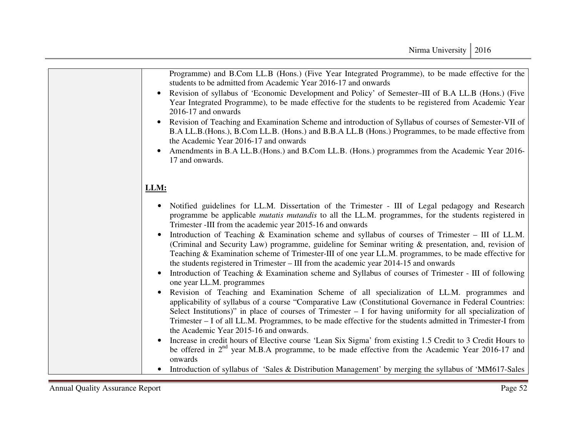| Programme) and B.Com LL.B (Hons.) (Five Year Integrated Programme), to be made effective for the<br>students to be admitted from Academic Year 2016-17 and onwards                                                                                                                                                                                                                                                                                                          |
|-----------------------------------------------------------------------------------------------------------------------------------------------------------------------------------------------------------------------------------------------------------------------------------------------------------------------------------------------------------------------------------------------------------------------------------------------------------------------------|
| Revision of syllabus of 'Economic Development and Policy' of Semester-III of B.A LL.B (Hons.) (Five<br>$\bullet$<br>Year Integrated Programme), to be made effective for the students to be registered from Academic Year<br>2016-17 and onwards                                                                                                                                                                                                                            |
| Revision of Teaching and Examination Scheme and introduction of Syllabus of courses of Semester-VII of<br>$\bullet$<br>B.A LL.B. (Hons.), B.Com LL.B. (Hons.) and B.B.A LL.B (Hons.) Programmes, to be made effective from<br>the Academic Year 2016-17 and onwards                                                                                                                                                                                                         |
| Amendments in B.A LL.B. (Hons.) and B.Com LL.B. (Hons.) programmes from the Academic Year 2016-<br>$\bullet$<br>17 and onwards.                                                                                                                                                                                                                                                                                                                                             |
| LLM:                                                                                                                                                                                                                                                                                                                                                                                                                                                                        |
| Notified guidelines for LL.M. Dissertation of the Trimester - III of Legal pedagogy and Research<br>$\bullet$<br>programme be applicable mutatis mutandis to all the LL.M. programmes, for the students registered in<br>Trimester -III from the academic year 2015-16 and onwards                                                                                                                                                                                          |
| Introduction of Teaching & Examination scheme and syllabus of courses of Trimester - III of LL.M.<br>(Criminal and Security Law) programme, guideline for Seminar writing & presentation, and, revision of<br>Teaching & Examination scheme of Trimester-III of one year LL.M. programmes, to be made effective for<br>the students registered in Trimester – III from the academic year 2014-15 and onwards                                                                |
| Introduction of Teaching & Examination scheme and Syllabus of courses of Trimester - III of following<br>$\bullet$<br>one year LL.M. programmes                                                                                                                                                                                                                                                                                                                             |
| Revision of Teaching and Examination Scheme of all specialization of LL.M. programmes and<br>applicability of syllabus of a course "Comparative Law (Constitutional Governance in Federal Countries:<br>Select Institutions)" in place of courses of Trimester $-$ I for having uniformity for all specialization of<br>Trimester - I of all LL.M. Programmes, to be made effective for the students admitted in Trimester-I from<br>the Academic Year 2015-16 and onwards. |
| Increase in credit hours of Elective course 'Lean Six Sigma' from existing 1.5 Credit to 3 Credit Hours to<br>be offered in 2 <sup>nd</sup> year M.B.A programme, to be made effective from the Academic Year 2016-17 and<br>onwards                                                                                                                                                                                                                                        |
| Introduction of syllabus of 'Sales & Distribution Management' by merging the syllabus of 'MM617-Sales<br>$\bullet$                                                                                                                                                                                                                                                                                                                                                          |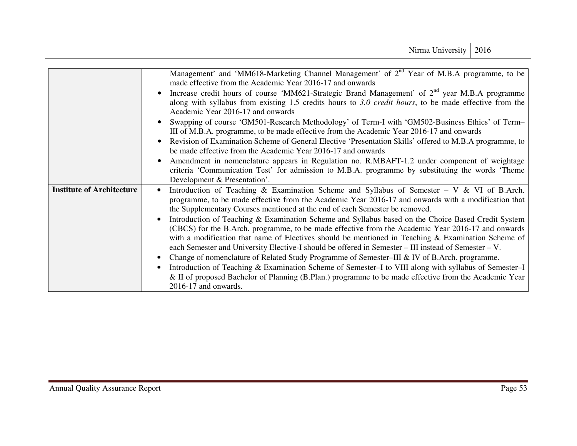|                                  | Management' and 'MM618-Marketing Channel Management' of 2 <sup>nd</sup> Year of M.B.A programme, to be<br>made effective from the Academic Year 2016-17 and onwards                                                                                                                                                                                                                                                   |
|----------------------------------|-----------------------------------------------------------------------------------------------------------------------------------------------------------------------------------------------------------------------------------------------------------------------------------------------------------------------------------------------------------------------------------------------------------------------|
|                                  | Increase credit hours of course 'MM621-Strategic Brand Management' of $2nd$ year M.B.A programme<br>along with syllabus from existing 1.5 credits hours to 3.0 <i>credit hours</i> , to be made effective from the<br>Academic Year 2016-17 and onwards                                                                                                                                                               |
|                                  | Swapping of course 'GM501-Research Methodology' of Term-I with 'GM502-Business Ethics' of Term-<br>III of M.B.A. programme, to be made effective from the Academic Year 2016-17 and onwards                                                                                                                                                                                                                           |
|                                  | Revision of Examination Scheme of General Elective 'Presentation Skills' offered to M.B.A programme, to<br>be made effective from the Academic Year 2016-17 and onwards                                                                                                                                                                                                                                               |
|                                  | Amendment in nomenclature appears in Regulation no. R.MBAFT-1.2 under component of weightage<br>criteria 'Communication Test' for admission to M.B.A. programme by substituting the words 'Theme<br>Development & Presentation'.                                                                                                                                                                                      |
| <b>Institute of Architecture</b> | Introduction of Teaching & Examination Scheme and Syllabus of Semester – V & VI of B.Arch.<br>programme, to be made effective from the Academic Year 2016-17 and onwards with a modification that<br>the Supplementary Courses mentioned at the end of each Semester be removed.                                                                                                                                      |
|                                  | Introduction of Teaching & Examination Scheme and Syllabus based on the Choice Based Credit System<br>(CBCS) for the B.Arch. programme, to be made effective from the Academic Year 2016-17 and onwards<br>with a modification that name of Electives should be mentioned in Teaching & Examination Scheme of<br>each Semester and University Elective-I should be offered in Semester – III instead of Semester – V. |
|                                  | Change of nomenclature of Related Study Programme of Semester–III & IV of B.Arch. programme.<br>Introduction of Teaching & Examination Scheme of Semester-I to VIII along with syllabus of Semester-I<br>& II of proposed Bachelor of Planning (B.Plan.) programme to be made effective from the Academic Year                                                                                                        |
|                                  | $2016-17$ and onwards.                                                                                                                                                                                                                                                                                                                                                                                                |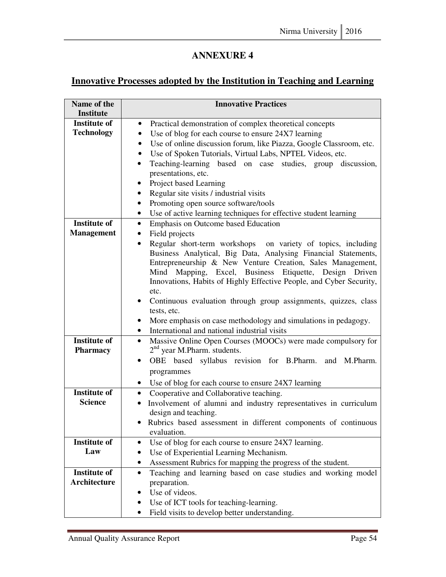## **Innovative Processes adopted by the Institution in Teaching and Learning**

| Name of the<br><b>Institute</b>            | <b>Innovative Practices</b>                                                                                                              |
|--------------------------------------------|------------------------------------------------------------------------------------------------------------------------------------------|
| <b>Institute of</b><br><b>Technology</b>   | Practical demonstration of complex theoretical concepts<br>$\bullet$<br>Use of blog for each course to ensure 24X7 learning<br>$\bullet$ |
|                                            | Use of online discussion forum, like Piazza, Google Classroom, etc.<br>$\bullet$                                                         |
|                                            | Use of Spoken Tutorials, Virtual Labs, NPTEL Videos, etc.<br>$\bullet$                                                                   |
|                                            | Teaching-learning based on case studies, group discussion,<br>presentations, etc.                                                        |
|                                            | Project based Learning<br>٠                                                                                                              |
|                                            | Regular site visits / industrial visits                                                                                                  |
|                                            | Promoting open source software/tools                                                                                                     |
|                                            | Use of active learning techniques for effective student learning<br>$\bullet$                                                            |
| <b>Institute of</b><br><b>Management</b>   | Emphasis on Outcome based Education<br>$\bullet$                                                                                         |
|                                            | Field projects<br>$\bullet$<br>Regular short-term workshops on variety of topics, including<br>$\bullet$                                 |
|                                            | Business Analytical, Big Data, Analysing Financial Statements,                                                                           |
|                                            | Entrepreneurship & New Venture Creation, Sales Management,                                                                               |
|                                            | Mind Mapping, Excel, Business Etiquette, Design Driven                                                                                   |
|                                            | Innovations, Habits of Highly Effective People, and Cyber Security,                                                                      |
|                                            | etc.<br>Continuous evaluation through group assignments, quizzes, class                                                                  |
|                                            | tests, etc.                                                                                                                              |
|                                            | More emphasis on case methodology and simulations in pedagogy.                                                                           |
|                                            | International and national industrial visits<br>$\bullet$                                                                                |
| <b>Institute of</b>                        | Massive Online Open Courses (MOOCs) were made compulsory for<br>$\bullet$                                                                |
| <b>Pharmacy</b>                            | $2nd$ year M.Pharm. students.                                                                                                            |
|                                            | OBE based syllabus revision for B.Pharm. and M.Pharm.                                                                                    |
|                                            | programmes                                                                                                                               |
|                                            | • Use of blog for each course to ensure 24X7 learning                                                                                    |
| <b>Institute of</b><br><b>Science</b>      | • Cooperative and Collaborative teaching.<br>Involvement of alumni and industry representatives in curriculum                            |
|                                            | design and teaching.                                                                                                                     |
|                                            | • Rubrics based assessment in different components of continuous                                                                         |
|                                            | evaluation.                                                                                                                              |
| <b>Institute of</b>                        | Use of blog for each course to ensure 24X7 learning.                                                                                     |
| Law                                        | Use of Experiential Learning Mechanism.                                                                                                  |
|                                            | Assessment Rubrics for mapping the progress of the student.                                                                              |
| <b>Institute of</b><br><b>Architecture</b> | Teaching and learning based on case studies and working model                                                                            |
|                                            | preparation.<br>Use of videos.                                                                                                           |
|                                            | Use of ICT tools for teaching-learning.                                                                                                  |
|                                            | Field visits to develop better understanding.                                                                                            |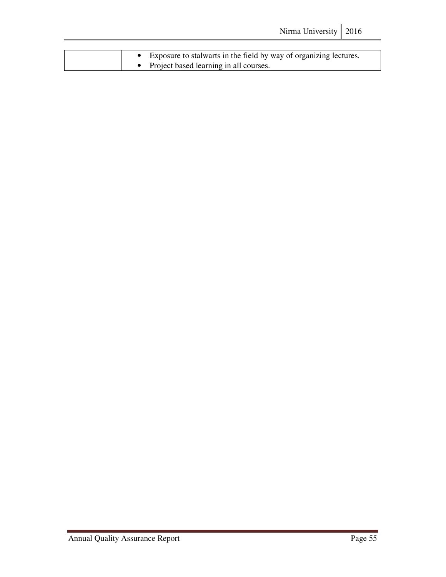|  | • Exposure to stalwarts in the field by way of organizing lectures. |
|--|---------------------------------------------------------------------|
|  | • Project based learning in all courses.                            |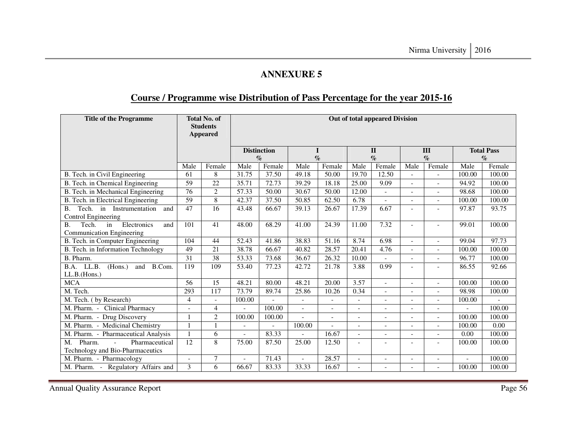## **Course / Programme wise Distribution of Pass Percentage for the year 2015-16**

| <b>Title of the Programme</b>                                        |                 | <b>Total No. of</b><br><b>Out of total appeared Division</b><br><b>Students</b><br><b>Appeared</b> |                |                           |                          |                           |                          |                           |                          |                          |                   |                |
|----------------------------------------------------------------------|-----------------|----------------------------------------------------------------------------------------------------|----------------|---------------------------|--------------------------|---------------------------|--------------------------|---------------------------|--------------------------|--------------------------|-------------------|----------------|
|                                                                      |                 |                                                                                                    |                | <b>Distinction</b>        |                          |                           |                          | $\mathbf{I}$              | III                      |                          | <b>Total Pass</b> |                |
|                                                                      | Male            | Female                                                                                             | Male           | $\mathcal{O}_0$<br>Female | Male                     | $\mathcal{O}_0$<br>Female | Male                     | $\mathcal{O}_0$<br>Female | Male                     | $\%$<br>Female           | Male              | $\%$<br>Female |
| B. Tech. in Civil Engineering                                        | 61              | 8                                                                                                  | 31.75          | 37.50                     | 49.18                    | 50.00                     | 19.70                    | 12.50                     |                          |                          | 100.00            | 100.00         |
| B. Tech. in Chemical Engineering                                     | 59              | 22                                                                                                 | 35.71          | 72.73                     | 39.29                    | 18.18                     | 25.00                    | 9.09                      |                          |                          | 94.92             | 100.00         |
| B. Tech. in Mechanical Engineering                                   | 76              | $\overline{2}$                                                                                     | 57.33          | 50.00                     | 30.67                    | 50.00                     | 12.00                    |                           | $\overline{a}$           | $\overline{\phantom{0}}$ | 98.68             | 100.00         |
| B. Tech. in Electrical Engineering                                   | $\overline{59}$ | $\overline{8}$                                                                                     | 42.37          | 37.50                     | 50.85                    | 62.50                     | 6.78                     |                           |                          | $\overline{a}$           | 100.00            | 100.00         |
| Tech. in Instrumentation<br><b>B.</b><br>and                         | 47              | 16                                                                                                 | 43.48          | 66.67                     | 39.13                    | 26.67                     | 17.39                    | 6.67                      |                          |                          | 97.87             | 93.75          |
| Control Engineering                                                  |                 |                                                                                                    |                |                           |                          |                           |                          |                           |                          |                          |                   |                |
| Tech.<br>Electronics<br>B.<br>in<br>and<br>Communication Engineering | 101             | 41                                                                                                 | 48.00          | 68.29                     | 41.00                    | 24.39                     | 11.00                    | 7.32                      | $\overline{\phantom{a}}$ | $\overline{\phantom{0}}$ | 99.01             | 100.00         |
| B. Tech. in Computer Engineering                                     | 104             | 44                                                                                                 | 52.43          | 41.86                     | 38.83                    | 51.16                     | 8.74                     | 6.98                      |                          |                          | 99.04             | 97.73          |
| B. Tech. in Information Technology                                   | 49              | 21                                                                                                 | 38.78          | 66.67                     | 40.82                    | 28.57                     | 20.41                    | 4.76                      |                          | $\overline{\phantom{0}}$ | 100.00            | 100.00         |
| B. Pharm.                                                            | 31              | $\overline{38}$                                                                                    | 53.33          | 73.68                     | 36.67                    | 26.32                     | 10.00                    |                           |                          |                          | 96.77             | 100.00         |
| LL.B.<br>(Hons.)<br>B.Com.<br>B.A.<br>and                            | 119             | 109                                                                                                | 53.40          | 77.23                     | 42.72                    | 21.78                     | 3.88                     | 0.99                      |                          | $\overline{\phantom{0}}$ | 86.55             | 92.66          |
| LL.B.(Hons.)                                                         |                 |                                                                                                    |                |                           |                          |                           |                          |                           |                          |                          |                   |                |
| <b>MCA</b>                                                           | 56              | 15                                                                                                 | 48.21          | 80.00                     | 48.21                    | 20.00                     | 3.57                     |                           |                          |                          | 100.00            | 100.00         |
| M. Tech.                                                             | 293             | 117                                                                                                | 73.79          | 89.74                     | 25.86                    | 10.26                     | 0.34                     |                           |                          | $\overline{\phantom{0}}$ | 98.98             | 100.00         |
| M. Tech. (by Research)                                               | $\overline{4}$  | $\overline{a}$                                                                                     | 100.00         |                           |                          | $\overline{\phantom{a}}$  | $\overline{\phantom{0}}$ | $\overline{\phantom{a}}$  |                          | $\overline{\phantom{0}}$ | 100.00            |                |
| M. Pharm. - Clinical Pharmacy                                        |                 | $\overline{\mathcal{L}}$                                                                           |                | 100.00                    |                          | $\overline{\phantom{a}}$  | $\overline{\phantom{0}}$ |                           |                          |                          |                   | 100.00         |
| M. Pharm. - Drug Discovery                                           | 1               | $\overline{2}$                                                                                     | 100.00         | 100.00                    |                          | $\overline{a}$            | $\overline{\phantom{0}}$ | $\overline{\phantom{a}}$  |                          | $\overline{\phantom{0}}$ | 100.00            | 100.00         |
| M. Pharm. - Medicinal Chemistry                                      |                 | 1                                                                                                  |                |                           | 100.00                   |                           | $\overline{a}$           |                           |                          |                          | 100.00            | 0.00           |
| M. Pharm. - Pharmaceutical Analysis                                  | 1               | 6                                                                                                  |                | 83.33                     |                          | 16.67                     | $\overline{\phantom{0}}$ |                           |                          | $\overline{a}$           | 0.00              | 100.00         |
| Pharm.<br>Pharmaceutical<br>M.<br>$\overline{a}$                     | 12              | 8                                                                                                  | 75.00          | 87.50                     | 25.00                    | 12.50                     | $\overline{\phantom{a}}$ |                           |                          |                          | 100.00            | 100.00         |
| Technology and Bio-Pharmaceutics                                     |                 |                                                                                                    |                |                           |                          |                           |                          |                           |                          |                          |                   |                |
| M. Pharm. - Pharmacology                                             | $\overline{a}$  | 7                                                                                                  | $\overline{a}$ | 71.43                     | $\overline{\phantom{a}}$ | 28.57                     | $\overline{\phantom{0}}$ | $\overline{a}$            | $\overline{\phantom{a}}$ | $\blacksquare$           | $\overline{a}$    | 100.00         |
| M. Pharm. - Regulatory Affairs and                                   | 3               | 6                                                                                                  | 66.67          | 83.33                     | 33.33                    | 16.67                     |                          |                           |                          |                          | 100.00            | 100.00         |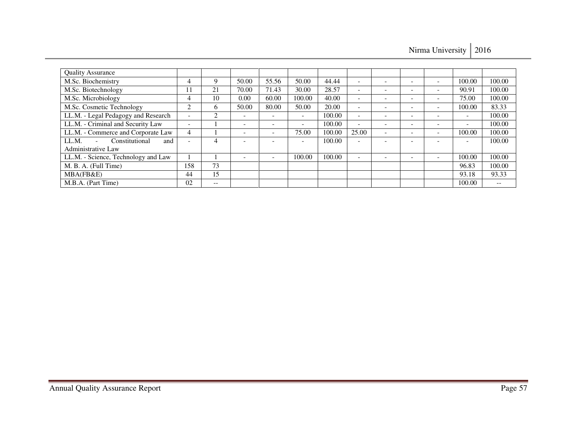Nirma University | 2016

| <b>Quality Assurance</b>            |                          |       |                          |                 |                          |        |                          |                          |                          |                          |        |
|-------------------------------------|--------------------------|-------|--------------------------|-----------------|--------------------------|--------|--------------------------|--------------------------|--------------------------|--------------------------|--------|
| M.Sc. Biochemistry                  | 4                        | Q     | 50.00                    | 55.56           | 50.00                    | 44.44  | $\overline{\phantom{0}}$ | $\overline{\phantom{0}}$ | $\overline{\phantom{0}}$ | 100.00                   | 100.00 |
| M.Sc. Biotechnology                 | 11                       | 21    | 70.00                    | 71.43           | 30.00                    | 28.57  | -                        |                          | $\overline{\phantom{0}}$ | 90.91                    | 100.00 |
| M.Sc. Microbiology                  | 4                        | 10    | 0.00                     | 60.00           | 100.00                   | 40.00  | $\overline{\phantom{a}}$ | $\overline{\phantom{0}}$ | $\overline{\phantom{0}}$ | 75.00                    | 100.00 |
| M.Sc. Cosmetic Technology           | ◠                        | 6     | 50.00                    | 80.00           | 50.00                    | 20.00  |                          | $\overline{\phantom{a}}$ | $\overline{\phantom{a}}$ | 100.00                   | 83.33  |
| LL.M. - Legal Pedagogy and Research | $\overline{\phantom{a}}$ | 2     |                          | -               | $\overline{\phantom{0}}$ | 100.00 |                          | $\overline{\phantom{a}}$ | $\overline{\phantom{a}}$ | $\overline{\phantom{a}}$ | 100.00 |
| LL.M. - Criminal and Security Law   | $\overline{\phantom{a}}$ |       | $\overline{\phantom{a}}$ | $\qquad \qquad$ | $\overline{\phantom{a}}$ | 100.00 | -                        |                          | $\overline{\phantom{a}}$ | $\overline{\phantom{a}}$ | 100.00 |
| LL.M. - Commerce and Corporate Law  | 4                        |       | $\overline{\phantom{a}}$ | -               | 75.00                    | 100.00 | 25.00                    |                          | $\overline{\phantom{0}}$ | 100.00                   | 100.00 |
| Constitutional<br>LL.M.<br>and      |                          | 4     |                          |                 |                          | 100.00 |                          |                          |                          |                          | 100.00 |
| Administrative Law                  |                          |       |                          |                 |                          |        |                          |                          |                          |                          |        |
| LL.M. - Science, Technology and Law |                          |       | $\overline{\phantom{0}}$ |                 | 100.00                   | 100.00 |                          |                          |                          | 100.00                   | 100.00 |
| M. B. A. (Full Time)                | 158                      | 73    |                          |                 |                          |        |                          |                          |                          | 96.83                    | 100.00 |
| MBA(FB&E)                           | 44                       | 15    |                          |                 |                          |        |                          |                          |                          | 93.18                    | 93.33  |
| M.B.A. (Part Time)                  | 02                       | $- -$ |                          |                 |                          |        |                          |                          |                          | 100.00                   | $- -$  |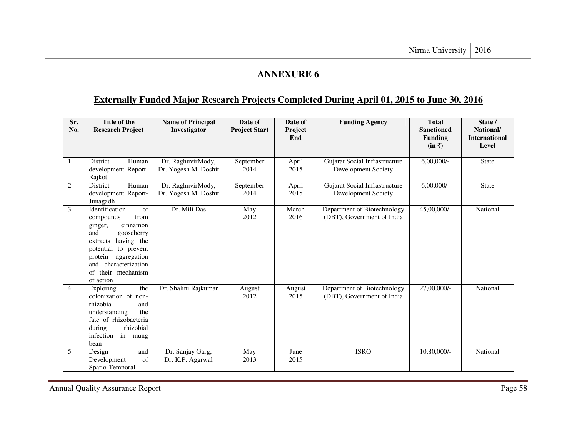# **Externally Funded Major Research Projects Completed During April 01, 2015 to June 30, 2016**

| Sr.<br>No. | Title of the<br><b>Research Project</b>                                                                                                                                                                                         | <b>Name of Principal</b><br>Investigator  | Date of<br><b>Project Start</b> | Date of<br>Project<br>End | <b>Funding Agency</b>                                     | <b>Total</b><br><b>Sanctioned</b><br><b>Funding</b><br>$(in \bar{z})$ | State /<br>National/<br><b>International</b><br>Level |
|------------|---------------------------------------------------------------------------------------------------------------------------------------------------------------------------------------------------------------------------------|-------------------------------------------|---------------------------------|---------------------------|-----------------------------------------------------------|-----------------------------------------------------------------------|-------------------------------------------------------|
| 1.         | <b>District</b><br>Human<br>development Report-<br>Rajkot                                                                                                                                                                       | Dr. RaghuvirMody,<br>Dr. Yogesh M. Doshit | September<br>2014               | April<br>2015             | Gujarat Social Infrastructure<br>Development Society      | $6,00,000/$ -                                                         | <b>State</b>                                          |
| 2.         | Human<br>District<br>development Report-<br>Junagadh                                                                                                                                                                            | Dr. RaghuvirMody,<br>Dr. Yogesh M. Doshit | September<br>2014               | April<br>2015             | Gujarat Social Infrastructure<br>Development Society      | $6,00,000/$ -                                                         | State                                                 |
| 3.         | of<br>Identification<br>from<br>compounds<br>cinnamon<br>ginger,<br>and<br>gooseberry<br>having the<br>extracts<br>potential to prevent<br>aggregation<br>protein<br>characterization<br>and<br>of their mechanism<br>of action | Dr. Mili Das                              | May<br>2012                     | March<br>2016             | Department of Biotechnology<br>(DBT), Government of India | 45,00,000/-                                                           | National                                              |
| 4.         | the<br>Exploring<br>colonization of non-<br>rhizobia<br>and<br>the<br>understanding<br>fate of rhizobacteria<br>during<br>rhizobial<br>infection<br>in mung<br>bean                                                             | Dr. Shalini Rajkumar                      | August<br>2012                  | August<br>2015            | Department of Biotechnology<br>(DBT), Government of India | 27,00,000/-                                                           | National                                              |
| 5.         | and<br>Design<br>of<br>Development<br>Spatio-Temporal                                                                                                                                                                           | Dr. Sanjay Garg,<br>Dr. K.P. Aggrwal      | May<br>2013                     | June<br>2015              | <b>ISRO</b>                                               | 10,80,000/-                                                           | National                                              |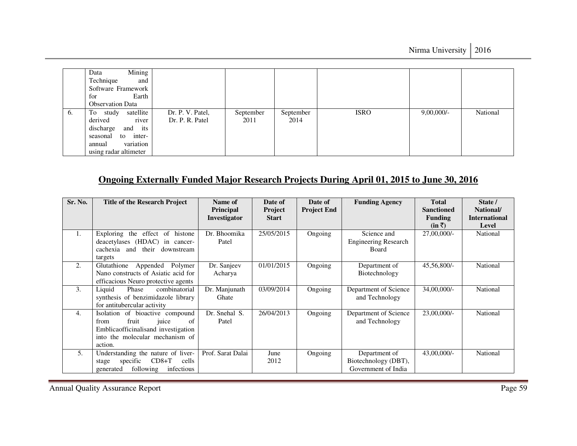|    | Mining<br>Data<br>Technique<br>and<br>Software Framework<br>Earth<br>for<br><b>Observation Data</b>                                              |                                     |                   |                   |             |               |          |
|----|--------------------------------------------------------------------------------------------------------------------------------------------------|-------------------------------------|-------------------|-------------------|-------------|---------------|----------|
| 6. | satellite<br>To<br>study<br>river<br>derived<br>discharge<br>and its<br>inter-<br>to<br>seasonal<br>variation<br>annual<br>using radar altimeter | Dr. P. V. Patel,<br>Dr. P. R. Patel | September<br>2011 | September<br>2014 | <b>ISRO</b> | $9,00,000/$ - | National |

# **Ongoing Externally Funded Major Research Projects During April 01, 2015 to June 30, 2016**

| Sr. No.          | <b>Title of the Research Project</b>                                                                                                                 | Name of<br>Principal   | Date of<br><b>Project</b> | Date of<br><b>Project End</b> | <b>Funding Agency</b>                                        | <b>Total</b><br><b>Sanctioned</b> | State /<br>National/          |
|------------------|------------------------------------------------------------------------------------------------------------------------------------------------------|------------------------|---------------------------|-------------------------------|--------------------------------------------------------------|-----------------------------------|-------------------------------|
|                  |                                                                                                                                                      | Investigator           | <b>Start</b>              |                               |                                                              | <b>Funding</b><br>$(in \bar{z})$  | <b>International</b><br>Level |
| 1.               | Exploring the effect of<br>histone<br>deacetylases (HDAC) in cancer-<br>their downstream<br>cachexia<br>and<br>targets                               | Dr. Bhoomika<br>Patel  | 25/05/2015                | Ongoing                       | Science and<br><b>Engineering Research</b><br>Board          | 27,00,000/-                       | National                      |
| 2.               | Glutathione<br>Appended<br>Polymer<br>Nano constructs of Asiatic acid for<br>efficacious Neuro protective agents                                     | Dr. Sanjeev<br>Acharya | 01/01/2015                | Ongoing                       | Department of<br>Biotechnology                               | 45,56,800/-                       | National                      |
| 3.               | combinatorial<br>Liquid<br>Phase<br>synthesis of benzimidazole library<br>for antitubercular activity                                                | Dr. Manjunath<br>Ghate | 03/09/2014                | Ongoing                       | Department of Science<br>and Technology                      | 34,00,000/-                       | National                      |
| $\overline{4}$ . | Isolation of bioactive compound<br>fruit<br>juice<br>of<br>from<br>Emblicaofficinalisand investigation<br>into the molecular mechanism of<br>action. | Dr. Snehal S.<br>Patel | 26/04/2013                | Ongoing                       | Department of Science<br>and Technology                      | 23,00,000/-                       | National                      |
| 5.               | Understanding the nature of liver-<br>$CD8+T$<br>specific<br>cells<br>stage<br>infectious<br>following<br>generated                                  | Prof. Sarat Dalai      | June<br>2012              | Ongoing                       | Department of<br>Biotechnology (DBT),<br>Government of India | 43,00,000/-                       | National                      |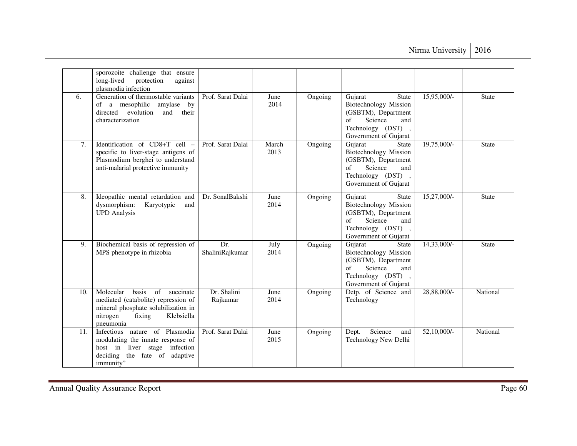|     | sporozoite challenge that ensure<br>long-lived<br>protection<br>against<br>plasmodia infection                                                                       |                         |               |         |                                                                                                                                                      |                |              |
|-----|----------------------------------------------------------------------------------------------------------------------------------------------------------------------|-------------------------|---------------|---------|------------------------------------------------------------------------------------------------------------------------------------------------------|----------------|--------------|
| 6.  | Generation of thermostable variants<br>of a mesophilic<br>amylase<br>by<br>directed<br>evolution<br>and<br>their<br>characterization                                 | Prof. Sarat Dalai       | June<br>2014  | Ongoing | Gujarat<br><b>State</b><br><b>Biotechnology Mission</b><br>(GSBTM), Department<br>Science<br>of<br>and<br>Technology (DST),<br>Government of Gujarat | 15,95,000/-    | State        |
| 7.  | Identification of CD8+T cell -<br>specific to liver-stage antigens of<br>Plasmodium berghei to understand<br>anti-malarial protective immunity                       | Prof. Sarat Dalai       | March<br>2013 | Ongoing | Gujarat<br><b>State</b><br><b>Biotechnology Mission</b><br>(GSBTM), Department<br>Science<br>of<br>and<br>Technology (DST),<br>Government of Gujarat | $19,75,000/$ - | <b>State</b> |
| 8.  | Ideopathic mental retardation and<br>dysmorphism:<br>Karyotypic<br>and<br><b>UPD</b> Analysis                                                                        | Dr. SonalBakshi         | June<br>2014  | Ongoing | Gujarat<br>State<br><b>Biotechnology Mission</b><br>(GSBTM), Department<br>Science<br>of<br>and<br>Technology (DST),<br>Government of Gujarat        | 15,27,000/-    | State        |
| 9.  | Biochemical basis of repression of<br>MPS phenotype in rhizobia                                                                                                      | Dr.<br>ShaliniRajkumar  | July<br>2014  | Ongoing | Gujarat<br><b>State</b><br><b>Biotechnology Mission</b><br>(GSBTM), Department<br>of<br>Science<br>and<br>Technology (DST),<br>Government of Gujarat | 14,33,000/-    | <b>State</b> |
| 10. | Molecular<br>basis<br>of<br>succinate<br>mediated (catabolite) repression of<br>mineral phosphate solubilization in<br>fixing<br>nitrogen<br>Klebsiella<br>pneumonia | Dr. Shalini<br>Rajkumar | June<br>2014  | Ongoing | Detp. of Science and<br>Technology                                                                                                                   | 28,88,000/-    | National     |
| 11. | Infectious nature of Plasmodia<br>modulating the innate response of<br>host in liver stage infection<br>deciding the fate of adaptive<br>immunity"                   | Prof. Sarat Dalai       | June<br>2015  | Ongoing | Science<br>Dept.<br>and<br>Technology New Delhi                                                                                                      | 52,10,000/-    | National     |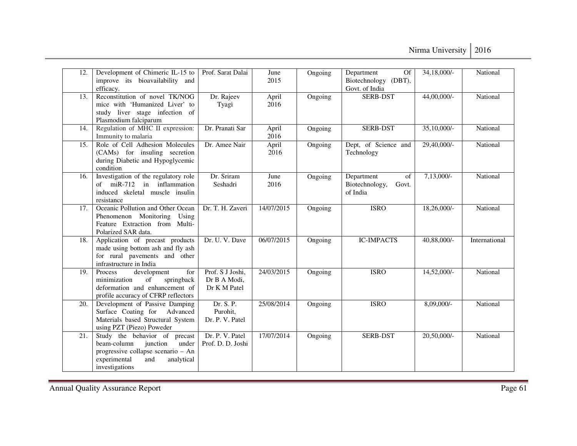Nirma University | 2016

| 12. | Development of Chimeric IL-15 to<br>improve its bioavailability and<br>efficacy.                                                                               | Prof. Sarat Dalai                                | June<br>2015  | Ongoing | Department<br><b>Of</b><br>Biotechnology (DBT),<br>Govt. of India | 34,18,000/-    | National        |
|-----|----------------------------------------------------------------------------------------------------------------------------------------------------------------|--------------------------------------------------|---------------|---------|-------------------------------------------------------------------|----------------|-----------------|
| 13. | Reconstitution of novel TK/NOG<br>mice with 'Humanized Liver' to<br>study liver stage infection of<br>Plasmodium falciparum                                    | Dr. Rajeev<br>Tyagi                              | April<br>2016 | Ongoing | SERB-DST                                                          | 44,00,000/-    | National        |
| 14. | Regulation of MHC II expression:<br>Immunity to malaria                                                                                                        | Dr. Pranati Sar                                  | April<br>2016 | Ongoing | <b>SERB-DST</b>                                                   | $35,10,000/$ - | National        |
| 15. | Role of Cell Adhesion Molecules<br>(CAMs) for insuling secretion<br>during Diabetic and Hypoglycemic<br>condition                                              | Dr. Amee Nair                                    | April<br>2016 | Ongoing | Dept, of Science and<br>Technology                                | 29,40,000/-    | National        |
| 16. | Investigation of the regulatory role<br>of miR-712 in inflammation<br>induced skeletal muscle insulin<br>resistance                                            | Dr. Sriram<br>Seshadri                           | June<br>2016  | Ongoing | Department<br>of<br>Biotechnology,<br>Govt.<br>of India           | $7,13,000/-$   | National        |
| 17. | Oceanic Pollution and Other Ocean<br>Phenomenon Monitoring Using<br>Feature Extraction from Multi-<br>Polarized SAR data.                                      | Dr. T. H. Zaveri                                 | 14/07/2015    | Ongoing | <b>ISRO</b>                                                       | 18,26,000/-    | <b>National</b> |
| 18. | Application of precast products<br>made using bottom ash and fly ash<br>for rural pavements and other<br>infrastructure in India                               | Dr. U. V. Dave                                   | 06/07/2015    | Ongoing | <b>IC-IMPACTS</b>                                                 | 40,88,000/-    | International   |
| 19. | Process<br>development<br>for<br>minimization<br>of<br>springback<br>deformation and enhancement of<br>profile accuracy of CFRP reflectors                     | Prof. S J Joshi,<br>Dr B A Modi,<br>Dr K M Patel | 24/03/2015    | Ongoing | <b>ISRO</b>                                                       | 14,52,000/-    | National        |
| 20. | Development of Passive Damping<br>Surface Coating for Advanced<br>Materials based Structural System<br>using PZT (Piezo) Poweder                               | Dr. S. P.<br>Purohit,<br>Dr. P. V. Patel         | 25/08/2014    | Ongoing | <b>ISRO</b>                                                       | $8,09,000/-$   | National        |
| 21. | Study the behavior of precast<br>junction<br>beam-column<br>under<br>progressive collapse scenario - An<br>experimental<br>and<br>analytical<br>investigations | Dr. P. V. Patel<br>Prof. D. D. Joshi             | 17/07/2014    | Ongoing | <b>SERB-DST</b>                                                   | 20,50,000/-    | National        |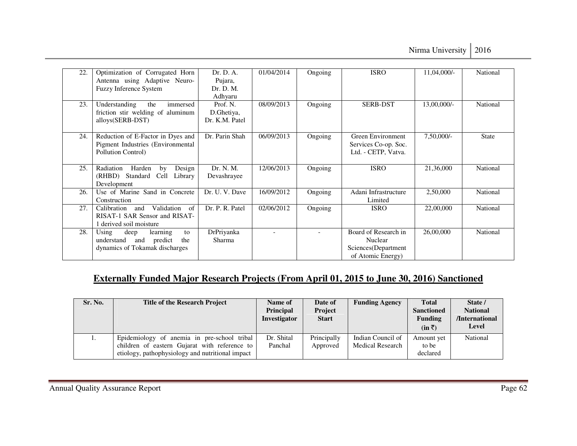| 22. | Optimization of Corrugated Horn        | Dr. D. A.       | 01/04/2014               | Ongoing                  | <b>ISRO</b>              | 11,04,000/- | National     |
|-----|----------------------------------------|-----------------|--------------------------|--------------------------|--------------------------|-------------|--------------|
|     | Antenna using Adaptive Neuro-          | Pujara,         |                          |                          |                          |             |              |
|     | Fuzzy Inference System                 | Dr. D. M.       |                          |                          |                          |             |              |
|     |                                        | Adhyaru         |                          |                          |                          |             |              |
| 23. | Understanding<br>immersed<br>the       | Prof. N.        | 08/09/2013               | Ongoing                  | <b>SERB-DST</b>          | 13,00,000/- | National     |
|     | friction stir welding of aluminum      | D.Ghetiya,      |                          |                          |                          |             |              |
|     | alloys(SERB-DST)                       | Dr. K.M. Patel  |                          |                          |                          |             |              |
|     |                                        |                 |                          |                          |                          |             |              |
| 24. | Reduction of E-Factor in Dyes and      | Dr. Parin Shah  | 06/09/2013               | Ongoing                  | <b>Green Environment</b> | 7,50,000/-  | <b>State</b> |
|     | Pigment Industries (Environmental      |                 |                          |                          | Services Co-op. Soc.     |             |              |
|     | Pollution Control)                     |                 |                          |                          | Ltd. - CETP, Vatva.      |             |              |
|     |                                        |                 |                          |                          |                          |             |              |
| 25. | Radiation<br>Design<br>Harden<br>by    | Dr. N. M.       | 12/06/2013               | Ongoing                  | <b>ISRO</b>              | 21,36,000   | National     |
|     | (RHBD) Standard<br>Cell<br>Library     | Devashrayee     |                          |                          |                          |             |              |
|     | Development                            |                 |                          |                          |                          |             |              |
| 26. | Use of Marine Sand in Concrete         | Dr. U. V. Dave  | 16/09/2012               | Ongoing                  | Adani Infrastructure     | 2,50,000    | National     |
|     | Construction                           |                 |                          |                          | Limited                  |             |              |
| 27. | Validation<br>of<br>Calibration<br>and | Dr. P. R. Patel | 02/06/2012               | Ongoing                  | <b>ISRO</b>              | 22,00,000   | National     |
|     | RISAT-1 SAR Sensor and RISAT-          |                 |                          |                          |                          |             |              |
|     | 1 derived soil moisture                |                 |                          |                          |                          |             |              |
| 28. | Using<br>deep<br>learning<br>to        | DrPriyanka      | $\overline{\phantom{a}}$ | $\overline{\phantom{a}}$ | Board of Research in     | 26,00,000   | National     |
|     | understand<br>predict<br>and<br>the    | Sharma          |                          |                          | Nuclear                  |             |              |
|     | dynamics of Tokamak discharges         |                 |                          |                          | Sciences(Department      |             |              |
|     |                                        |                 |                          |                          | of Atomic Energy)        |             |              |

# **Externally Funded Major Research Projects (From April 01, 2015 to June 30, 2016) Sanctioned**

| Sr. No. | <b>Title of the Research Project</b>                                                                                                             | <b>Name of</b><br><b>Principal</b><br>Investigator | Date of<br>Project<br><b>Start</b> | <b>Funding Agency</b>                        | <b>Total</b><br><b>Sanctioned</b><br><b>Funding</b><br>$(in \bar{z})$ | State /<br><b>National</b><br>/International<br>Level |
|---------|--------------------------------------------------------------------------------------------------------------------------------------------------|----------------------------------------------------|------------------------------------|----------------------------------------------|-----------------------------------------------------------------------|-------------------------------------------------------|
| 1.      | Epidemiology of anemia in pre-school tribal<br>children of eastern Gujarat with reference to<br>etiology, pathophysiology and nutritional impact | Dr. Shital<br>Panchal                              | Principally<br>Approved            | Indian Council of<br><b>Medical Research</b> | Amount yet<br>to be<br>declared                                       | National                                              |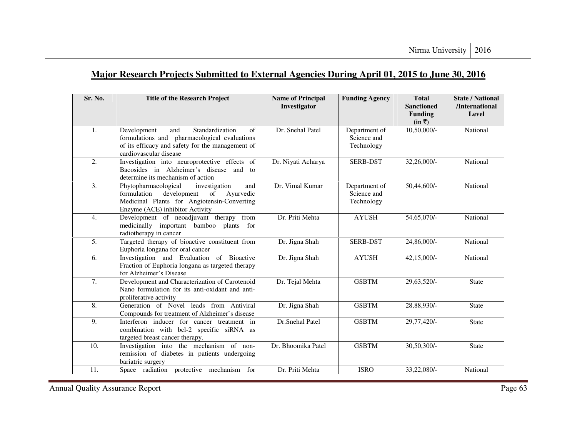# **Major Research Projects Submitted to External Agencies During April 01, 2015 to June 30, 2016**

| Sr. No.          | <b>Title of the Research Project</b>                                                                                                                                              | <b>Name of Principal</b><br>Investigator | <b>Funding Agency</b>                      | <b>Total</b><br><b>Sanctioned</b><br><b>Funding</b><br>$(in \bar{z})$ | <b>State / National</b><br>/International<br>Level |
|------------------|-----------------------------------------------------------------------------------------------------------------------------------------------------------------------------------|------------------------------------------|--------------------------------------------|-----------------------------------------------------------------------|----------------------------------------------------|
| $\mathbf{1}$ .   | Standardization<br>Development<br>and<br>$\sigma$ f<br>formulations and pharmacological evaluations<br>of its efficacy and safety for the management of<br>cardiovascular disease | Dr. Snehal Patel                         | Department of<br>Science and<br>Technology | $10,50,000/$ -                                                        | National                                           |
| $\overline{2}$ . | Investigation into neuroprotective effects of<br>Bacosides in Alzheimer's disease and to<br>determine its mechanism of action                                                     | Dr. Niyati Acharya                       | <b>SERB-DST</b>                            | 32,26,000/-                                                           | National                                           |
| $\overline{3}$ . | Phytopharmacological<br>investigation<br>and<br>development<br>formulation<br>of<br>Ayurvedic<br>Medicinal Plants for Angiotensin-Converting<br>Enzyme (ACE) inhibitor Activity   | Dr. Vimal Kumar                          | Department of<br>Science and<br>Technology | 50,44,600/-                                                           | National                                           |
| $\overline{4}$ . | Development of neoadjuvant therapy from<br>medicinally important bamboo plants for<br>radiotherapy in cancer                                                                      | Dr. Priti Mehta                          | <b>AYUSH</b>                               | 54,65,070/-                                                           | National                                           |
| $\overline{5}$ . | Targeted therapy of bioactive constituent from<br>Euphoria longana for oral cancer                                                                                                | Dr. Jigna Shah                           | <b>SERB-DST</b>                            | 24,86,000/-                                                           | National                                           |
| 6.               | Investigation and Evaluation of Bioactive<br>Fraction of Euphoria longana as targeted therapy<br>for Alzheimer's Disease                                                          | Dr. Jigna Shah                           | <b>AYUSH</b>                               | 42,15,000/-                                                           | National                                           |
| 7.               | Development and Characterization of Carotenoid<br>Nano formulation for its anti-oxidant and anti-<br>proliferative activity                                                       | Dr. Tejal Mehta                          | <b>GSBTM</b>                               | 29,63,520/-                                                           | <b>State</b>                                       |
| $\overline{8}$ . | Generation of Novel leads from Antiviral<br>Compounds for treatment of Alzheimer's disease                                                                                        | Dr. Jigna Shah                           | <b>GSBTM</b>                               | 28,88,930/-                                                           | State                                              |
| 9.               | Interferon inducer for cancer treatment in<br>combination with bcl-2 specific siRNA as<br>targeted breast cancer therapy.                                                         | Dr.Snehal Patel                          | <b>GSBTM</b>                               | 29,77,420/-                                                           | <b>State</b>                                       |
| 10.              | Investigation into the mechanism of non-<br>remission of diabetes in patients undergoing<br>bariatric surgery                                                                     | Dr. Bhoomika Patel                       | <b>GSBTM</b>                               | 30,50,300/-                                                           | <b>State</b>                                       |
| 11.              | Space radiation protective mechanism for                                                                                                                                          | Dr. Priti Mehta                          | <b>ISRO</b>                                | 33,22,080/-                                                           | National                                           |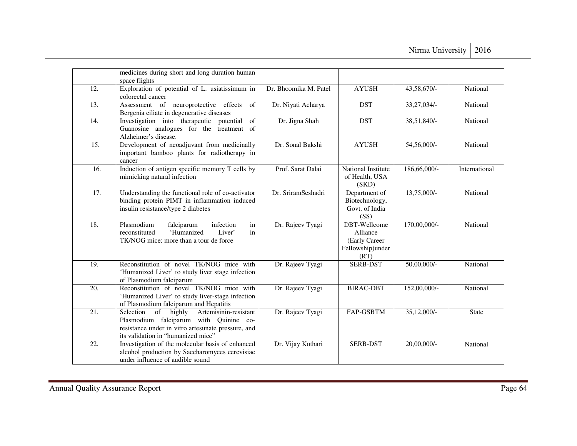|     | medicines during short and long duration human<br>space flights                                                                                                                       |                       |                                                                              |                          |               |
|-----|---------------------------------------------------------------------------------------------------------------------------------------------------------------------------------------|-----------------------|------------------------------------------------------------------------------|--------------------------|---------------|
| 12. | Exploration of potential of L. usiatissimum in<br>colorectal cancer                                                                                                                   | Dr. Bhoomika M. Patel | <b>AYUSH</b>                                                                 | 43,58,670/-              | National      |
| 13. | Assessment of neuroprotective effects<br>of<br>Bergenia ciliate in degenerative diseases                                                                                              | Dr. Niyati Acharya    | <b>DST</b>                                                                   | 33, 27, 034/-            | National      |
| 14. | Investigation into therapeutic potential<br>of<br>Guanosine analogues for the treatment of<br>Alzheimer's disease.                                                                    | Dr. Jigna Shah        | <b>DST</b>                                                                   | 38,51,840/-              | National      |
| 15. | Development of neoadjuvant from medicinally<br>important bamboo plants for radiotherapy in<br>cancer                                                                                  | Dr. Sonal Bakshi      | <b>AYUSH</b>                                                                 | 54,56,000/-              | National      |
| 16. | Induction of antigen specific memory T cells by<br>mimicking natural infection                                                                                                        | Prof. Sarat Dalai     | National Institute<br>of Health, USA<br>(SKD)                                | 186,66,000/-             | International |
| 17. | Understanding the functional role of co-activator<br>binding protein PIMT in inflammation induced<br>insulin resistance/type 2 diabetes                                               | Dr. SriramSeshadri    | Department of<br>Biotechnology,<br>Govt. of India<br>(SS)                    | $13,75,000/-$            | National      |
| 18. | Plasmodium<br>falciparum<br>infection<br>in<br>'Humanized<br>reconstituted<br>Liver'<br>in<br>TK/NOG mice: more than a tour de force                                                  | Dr. Rajeev Tyagi      | <b>DBT-Wellcome</b><br>Alliance<br>(Early Career<br>Fellowship)under<br>(RT) | 170,00,000/-             | National      |
| 19. | Reconstitution of novel TK/NOG mice with<br>'Humanized Liver' to study liver stage infection<br>of Plasmodium falciparum                                                              | Dr. Rajeev Tyagi      | <b>SERB-DST</b>                                                              | $50,00,000$ <sup>-</sup> | National      |
| 20. | Reconstitution of novel TK/NOG mice with<br>'Humanized Liver' to study liver-stage infection<br>of Plasmodium falciparum and Hepatitis                                                | Dr. Rajeev Tyagi      | <b>BIRAC-DBT</b>                                                             | 152,00,000/-             | National      |
| 21. | of highly<br>Artemisinin-resistant<br>Selection<br>Plasmodium falciparum with Quinine co-<br>resistance under in vitro artesunate pressure, and<br>its validation in "humanized mice" | Dr. Rajeev Tyagi      | FAP-GSBTM                                                                    | $35,12,000/-$            | <b>State</b>  |
| 22. | Investigation of the molecular basis of enhanced<br>alcohol production by Saccharomyces cerevisiae<br>under influence of audible sound                                                | Dr. Vijay Kothari     | <b>SERB-DST</b>                                                              | 20,00,000/-              | National      |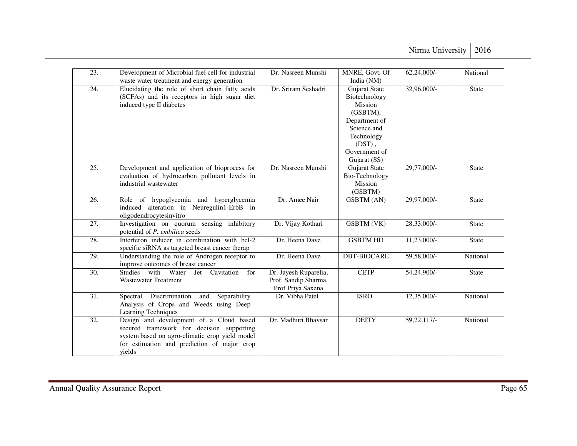| 23.               | Development of Microbial fuel cell for industrial<br>waste water treatment and energy generation                                                                                                | Dr. Nasreen Munshi                                                 | MNRE, Govt. Of<br>India (NM)                                                                                                                      | $62,24,000/-$ | National           |
|-------------------|-------------------------------------------------------------------------------------------------------------------------------------------------------------------------------------------------|--------------------------------------------------------------------|---------------------------------------------------------------------------------------------------------------------------------------------------|---------------|--------------------|
| 24.               | Elucidating the role of short chain fatty acids<br>(SCFAs) and its receptors in high sugar diet<br>induced type II diabetes                                                                     | Dr. Sriram Seshadri                                                | Gujarat State<br>Biotechnology<br>Mission<br>(GSBTM),<br>Department of<br>Science and<br>Technology<br>$(DST)$ ,<br>Government of<br>Gujarat (SS) | 32,96,000/-   | State              |
| $\overline{25}$ . | Development and application of bioprocess for<br>evaluation of hydrocarbon pollutant levels in<br>industrial wastewater                                                                         | Dr. Nasreen Munshi                                                 | Gujarat State<br>Bio-Technology<br>Mission<br>(GSBTM)                                                                                             | 29,77,000/-   | <b>State</b>       |
| 26.               | Role of hypoglycemia and hyperglycemia<br>induced alteration in Neuregulin1-ErbB in<br>oligodendrocytesinvitro                                                                                  | Dr. Amee Nair                                                      | <b>GSBTM</b> (AN)                                                                                                                                 | 29,97,000/-   | <b>State</b>       |
| 27.               | Investigation on quorum sensing inhibitory<br>potential of P. embilica seeds                                                                                                                    | Dr. Vijay Kothari                                                  | <b>GSBTM</b> (VK)                                                                                                                                 | 28,33,000/-   | State              |
| 28.               | Interferon inducer in combination with bcl-2<br>specific siRNA as targeted breast cancer therap                                                                                                 | Dr. Heena Dave                                                     | <b>GSBTM HD</b>                                                                                                                                   | 11,23,000/-   | <b>State</b>       |
| 29.               | Understanding the role of Androgen receptor to<br>improve outcomes of breast cancer                                                                                                             | Dr. Heena Dave                                                     | <b>DBT-BIOCARE</b>                                                                                                                                | 59,58,000/-   | National           |
| 30.               | Studies with Water<br>Jet Cavitation<br>for<br><b>Wastewater Treatment</b>                                                                                                                      | Dr. Jayesh Ruparelia,<br>Prof. Sandip Sharma,<br>Prof Priya Saxena | <b>CETP</b>                                                                                                                                       | 54,24,900/-   | $\overline{State}$ |
| 31.               | Spectral Discrimination and<br>Separability<br>Analysis of Crops and Weeds using Deep<br>Learning Techniques                                                                                    | Dr. Vibha Patel                                                    | <b>ISRO</b>                                                                                                                                       | 12,35,000/-   | National           |
| 32.               | Design and development of a Cloud based<br>secured framework for decision supporting<br>system based on agro-climatic crop yield model<br>for estimation and prediction of major crop<br>yields | Dr. Madhuri Bhavsar                                                | <b>DEITY</b>                                                                                                                                      | 59, 22, 117/- | National           |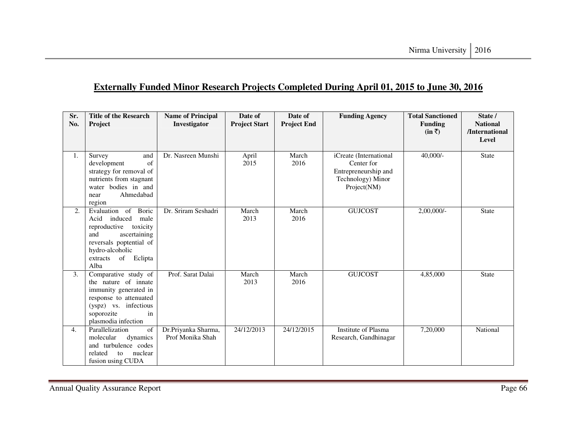# **Externally Funded Minor Research Projects Completed During April 01, 2015 to June 30, 2016**

| Sr.<br>No. | <b>Title of the Research</b><br>Project                                                                                                                                              | <b>Name of Principal</b><br>Investigator | Date of<br><b>Project Start</b> | Date of<br><b>Project End</b> | <b>Funding Agency</b>                                                                            | <b>Total Sanctioned</b><br><b>Funding</b><br>$(in \bar{z})$ | State /<br><b>National</b><br>/International<br>Level |
|------------|--------------------------------------------------------------------------------------------------------------------------------------------------------------------------------------|------------------------------------------|---------------------------------|-------------------------------|--------------------------------------------------------------------------------------------------|-------------------------------------------------------------|-------------------------------------------------------|
|            |                                                                                                                                                                                      |                                          |                                 |                               |                                                                                                  |                                                             |                                                       |
| 1.         | Survey<br>and<br>of<br>development<br>strategy for removal of<br>nutrients from stagnant<br>water bodies in and<br>Ahmedabad<br>near<br>region                                       | Dr. Nasreen Munshi                       | April<br>2015                   | March<br>2016                 | iCreate (International<br>Center for<br>Entrepreneurship and<br>Technology) Minor<br>Project(NM) | $40,000/-$                                                  | <b>State</b>                                          |
| 2.         | Evaluation of<br>Boric<br>Acid induced<br>male<br>reproductive<br>toxicity<br>and<br>ascertaining<br>reversals poptential of<br>hydro-alcoholic<br>of<br>Eclipta<br>extracts<br>Alba | Dr. Sriram Seshadri                      | March<br>2013                   | March<br>2016                 | <b>GUJCOST</b>                                                                                   | 2,00,000/                                                   | <b>State</b>                                          |
| 3.         | Comparative study of<br>the nature of innate<br>immunity generated in<br>response to attenuated<br>(yspz) vs. infectious<br>soporozite<br>in<br>plasmodia infection                  | Prof. Sarat Dalai                        | March<br>2013                   | March<br>2016                 | <b>GUJCOST</b>                                                                                   | 4,85,000                                                    | <b>State</b>                                          |
| 4.         | Parallelization<br>of<br>molecular<br>dynamics<br>and turbulence codes<br>nuclear<br>related<br>to<br>fusion using CUDA                                                              | Dr.Priyanka Sharma,<br>Prof Monika Shah  | 24/12/2013                      | 24/12/2015                    | Institute of Plasma<br>Research, Gandhinagar                                                     | 7,20,000                                                    | National                                              |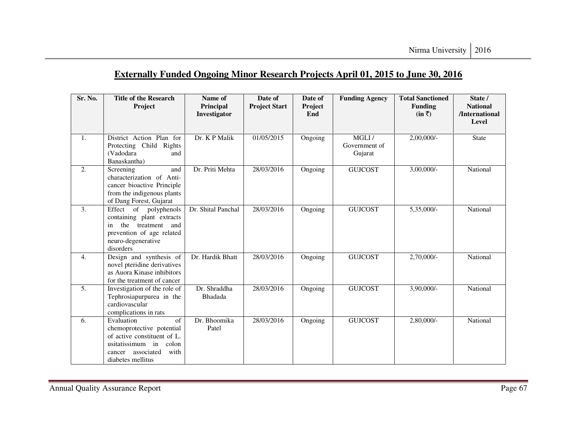# **Externally Funded Ongoing Minor Research Projects April 01, 2015 to June 30, 2016**

| Sr. No. | <b>Title of the Research</b><br>Project                                                                                                                        | Name of<br>Principal<br>Investigator | Date of<br><b>Project Start</b> | Date of<br>Project<br>End | <b>Funding Agency</b>             | <b>Total Sanctioned</b><br><b>Funding</b><br>$(in \bar{z})$ | State /<br><b>National</b><br>/International<br>Level |
|---------|----------------------------------------------------------------------------------------------------------------------------------------------------------------|--------------------------------------|---------------------------------|---------------------------|-----------------------------------|-------------------------------------------------------------|-------------------------------------------------------|
| 1.      | District Action Plan for<br>Protecting Child Rights<br>(Vadodara<br>and<br>Banaskantha)                                                                        | Dr. K P Malik                        | 01/05/2015                      | Ongoing                   | MGLI/<br>Government of<br>Gujarat | 2,00,000/                                                   | <b>State</b>                                          |
| 2.      | and<br>Screening<br>characterization of Anti-<br>cancer bioactive Principle<br>from the indigenous plants<br>of Dang Forest, Gujarat                           | Dr. Priti Mehta                      | 28/03/2016                      | Ongoing                   | <b>GUJCOST</b>                    | $3,00,000/$ -                                               | National                                              |
| 3.      | Effect of polyphenols<br>containing plant extracts<br>the<br>treatment<br>and<br>in<br>prevention of age related<br>neuro-degenerative<br>disorders            | Dr. Shital Panchal                   | 28/03/2016                      | Ongoing                   | <b>GUJCOST</b>                    | 5,35,000/-                                                  | National                                              |
| 4.      | Design and synthesis of<br>novel pteridine derivatives<br>as Auora Kinase inhibitors<br>for the treatment of cancer                                            | Dr. Hardik Bhatt                     | 28/03/2016                      | Ongoing                   | <b>GUJCOST</b>                    | 2,70,000/-                                                  | National                                              |
| 5.      | Investigation of the role of<br>Tephrosiapurpurea in the<br>cardiovascular<br>complications in rats                                                            | Dr. Shraddha<br>Bhadada              | 28/03/2016                      | Ongoing                   | <b>GUJCOST</b>                    | $3,90,000/$ -                                               | National                                              |
| 6.      | Evaluation<br>of<br>chemoprotective potential<br>of active constituent of L.<br>usitatissimum in<br>colon<br>associated<br>with<br>cancer<br>diabetes mellitus | Dr. Bhoomika<br>Patel                | 28/03/2016                      | Ongoing                   | <b>GUJCOST</b>                    | $2,80,000/$ -                                               | National                                              |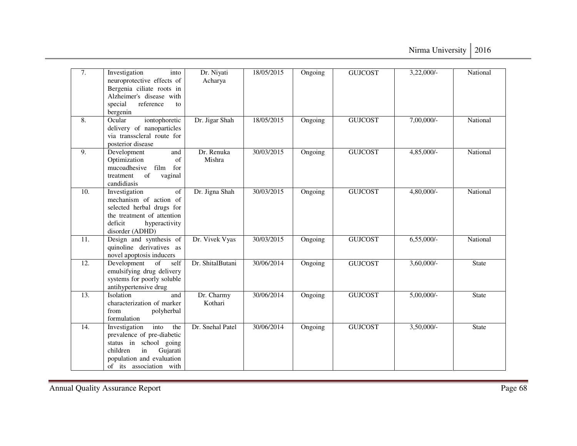| 7.                | Investigation<br>into<br>neuroprotective effects of<br>Bergenia ciliate roots in<br>Alzheimer's disease with<br>special<br>reference<br>to<br>bergenin                     | Dr. Niyati<br>Acharya | 18/05/2015 | Ongoing | <b>GUJCOST</b> | 3,22,000/-    | National     |
|-------------------|----------------------------------------------------------------------------------------------------------------------------------------------------------------------------|-----------------------|------------|---------|----------------|---------------|--------------|
| 8.                | iontophoretic<br>Ocular<br>delivery of nanoparticles<br>via transscleral route for<br>posterior disease                                                                    | Dr. Jigar Shah        | 18/05/2015 | Ongoing | <b>GUJCOST</b> | 7,00,000/-    | National     |
| 9.                | Development<br>and<br>of<br>Optimization<br>mucoadhesive<br>film<br>for<br>of<br>vaginal<br>treatment<br>candidiasis                                                       | Dr. Renuka<br>Mishra  | 30/03/2015 | Ongoing | <b>GUJCOST</b> | 4,85,000/-    | National     |
| 10.               | of<br>Investigation<br>mechanism of action of<br>selected herbal drugs for<br>the treatment of attention<br>deficit<br>hyperactivity<br>disorder (ADHD)                    | Dr. Jigna Shah        | 30/03/2015 | Ongoing | <b>GUJCOST</b> | 4,80,000/-    | National     |
| $\overline{11}$ . | Design and synthesis of<br>quinoline derivatives as<br>novel apoptosis inducers                                                                                            | Dr. Vivek Vyas        | 30/03/2015 | Ongoing | <b>GUJCOST</b> | $6,55,000/-$  | National     |
| 12.               | of<br>self<br>Development<br>emulsifying drug delivery<br>systems for poorly soluble<br>antihypertensive drug                                                              | Dr. ShitalButani      | 30/06/2014 | Ongoing | <b>GUJCOST</b> | $3,60,000/$ - | <b>State</b> |
| 13.               | Isolation<br>and<br>characterization of marker<br>from<br>polyherbal<br>formulation                                                                                        | Dr. Charmy<br>Kothari | 30/06/2014 | Ongoing | <b>GUJCOST</b> | $5,00,000/$ - | <b>State</b> |
| 14.               | into<br>the<br>Investigation<br>prevalence of pre-diabetic<br>status in school going<br>in<br>Gujarati<br>children<br>population and evaluation<br>of its association with | Dr. Snehal Patel      | 30/06/2014 | Ongoing | <b>GUJCOST</b> | $3,50,000/-$  | <b>State</b> |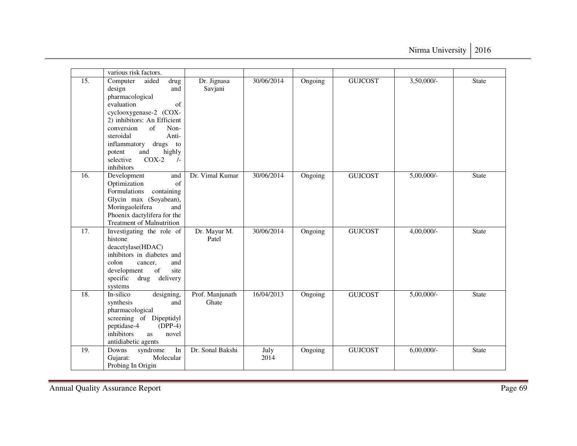|                   | various risk factors.                                                                                                                                                                                                                                                                                   |                          |              |         |                |               |              |
|-------------------|---------------------------------------------------------------------------------------------------------------------------------------------------------------------------------------------------------------------------------------------------------------------------------------------------------|--------------------------|--------------|---------|----------------|---------------|--------------|
| 15.               | Computer<br>aided<br>drug<br>design<br>and<br>pharmacological<br>evaluation<br>of<br>cyclooxygenase-2 (COX-<br>2) inhibitors: An Efficient<br>conversion<br>of<br>Non-<br>steroidal<br>Anti-<br>inflammatory<br>drugs to<br>highly<br>and<br>potent<br>$COX-2$<br>selective<br>$\sqrt{-}$<br>inhibitors | Dr. Jignasa<br>Savjani   | 30/06/2014   | Ongoing | <b>GUJCOST</b> | 3,50,000/-    | <b>State</b> |
| 16.               | Development<br>and<br>of<br>Optimization<br>Formulations<br>containing<br>Glycin max (Soyabean),<br>Moringaoleifera<br>and<br>Phoenix dactylifera for the<br><b>Treatment of Malnutrition</b>                                                                                                           | Dr. Vimal Kumar          | 30/06/2014   | Ongoing | <b>GUJCOST</b> | $5,00,000/$ - | <b>State</b> |
| $\overline{17}$ . | Investigating the role of<br>histone<br>deacetylase(HDAC)<br>inhibitors in diabetes and<br>colon<br>and<br>cancer,<br>of<br>site<br>development<br>specific drug delivery<br>systems                                                                                                                    | Dr. Mayur M.<br>Patel    | 30/06/2014   | Ongoing | <b>GUJCOST</b> | 4,00,000/-    | <b>State</b> |
| 18.               | In-silico<br>designing,<br>synthesis<br>and<br>pharmacological<br>screening of Dipeptidyl<br>peptidase-4<br>$(DPP-4)$<br>inhibitors<br>novel<br>as<br>antidiabetic agents                                                                                                                               | Prof. Manjunath<br>Ghate | 16/04/2013   | Ongoing | <b>GUJCOST</b> | $5,00,000/$ - | <b>State</b> |
| 19.               | In<br>Downs<br>syndrome<br>Gujarat:<br>Molecular<br>Probing In Origin                                                                                                                                                                                                                                   | Dr. Sonal Bakshi         | July<br>2014 | Ongoing | <b>GUJCOST</b> | $6,00,000/$ - | <b>State</b> |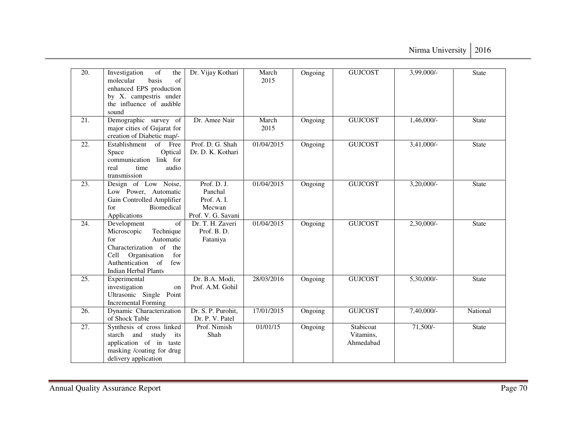| 20. | Investigation<br>of<br>the<br>of<br>basis<br>molecular<br>enhanced EPS production<br>by X. campestris under<br>the influence of audible<br>sound                                          | Dr. Vijay Kothari                                                    | March<br>2015 | Ongoing | <b>GUJCOST</b>                      | $3,99,000$ <sup>-</sup> | <b>State</b> |
|-----|-------------------------------------------------------------------------------------------------------------------------------------------------------------------------------------------|----------------------------------------------------------------------|---------------|---------|-------------------------------------|-------------------------|--------------|
| 21. | Demographic survey of<br>major cities of Gujarat for<br>creation of Diabetic map/-                                                                                                        | Dr. Amee Nair                                                        | March<br>2015 | Ongoing | <b>GUJCOST</b>                      | $1,46,000/-$            | <b>State</b> |
| 22. | Establishment<br>of Free<br>Optical<br>Space<br>communication<br>link for<br>real<br>audio<br>time<br>transmission                                                                        | Prof. D. G. Shah<br>Dr. D. K. Kothari                                | 01/04/2015    | Ongoing | <b>GUJCOST</b>                      | $3,41,000/-$            | <b>State</b> |
| 23. | Design of Low Noise,<br>Low Power, Automatic<br>Gain Controlled Amplifier<br>Biomedical<br>for<br>Applications                                                                            | Prof. D. J.<br>Panchal<br>Prof. A.I.<br>Mecwan<br>Prof. V. G. Savani | 01/04/2015    | Ongoing | <b>GUJCOST</b>                      | $3,20,000/-$            | <b>State</b> |
| 24. | of<br>Development<br>Microscopic<br>Technique<br>Automatic<br>for<br>Characterization of<br>the<br>Cell<br>Organisation<br>for<br>Authentication of<br>few<br><b>Indian Herbal Plants</b> | Dr. T. H. Zaveri<br>Prof. B.D.<br>Fataniya                           | 01/04/2015    | Ongoing | <b>GUJCOST</b>                      | 2,30,000/-              | <b>State</b> |
| 25. | Experimental<br>investigation<br>on<br>Ultrasonic Single Point<br><b>Incremental Forming</b>                                                                                              | Dr. B.A. Modi,<br>Prof. A.M. Gohil                                   | 28/03/2016    | Ongoing | <b>GUJCOST</b>                      | 5,30,000/-              | <b>State</b> |
| 26. | Dynamic Characterization<br>of Shock Table                                                                                                                                                | Dr. S. P. Purohit,<br>Dr. P. V. Patel                                | 17/01/2015    | Ongoing | <b>GUJCOST</b>                      | 7,40,000/-              | National     |
| 27. | Synthesis of cross linked<br>starch and<br>study<br>its<br>application of in taste<br>masking /coating for drug<br>delivery application                                                   | Prof. Nimish<br>Shah                                                 | 01/01/15      | Ongoing | Stabicoat<br>Vitamins,<br>Ahmedabad | $71,500/-$              | <b>State</b> |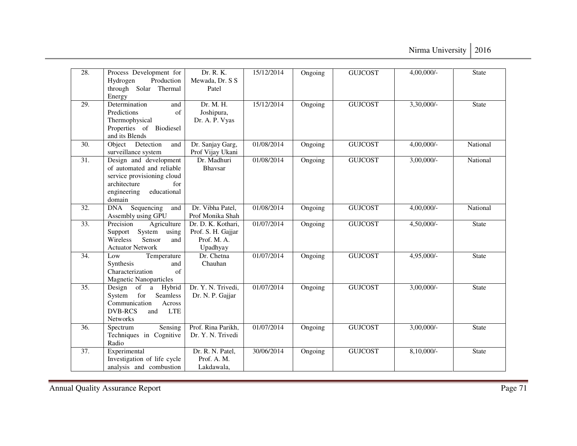| 28.               | Process Development for<br>Hydrogen<br>Production<br>through Solar Thermal<br>Energy                                                             | Dr. R. K.<br>Mewada, Dr. S S<br>Patel                               | 15/12/2014 | Ongoing | <b>GUJCOST</b> | 4,00,000/-    | <b>State</b>    |
|-------------------|--------------------------------------------------------------------------------------------------------------------------------------------------|---------------------------------------------------------------------|------------|---------|----------------|---------------|-----------------|
| $\overline{29}$ . | Determination<br>and<br>Predictions<br>of<br>Thermophysical<br>Properties of Biodiesel<br>and its Blends                                         | Dr. M. H.<br>Joshipura,<br>Dr. A. P. Vyas                           | 15/12/2014 | Ongoing | <b>GUJCOST</b> | $3,30,000/$ - | State           |
| 30.               | Object Detection<br>and<br>surveillance system                                                                                                   | Dr. Sanjay Garg,<br>Prof Vijay Ukani                                | 01/08/2014 | Ongoing | <b>GUJCOST</b> | 4,00,000/-    | National        |
| 31.               | Design and development<br>of automated and reliable<br>service provisioning cloud<br>architecture<br>for<br>educational<br>engineering<br>domain | Dr. Madhuri<br>Bhaysar                                              | 01/08/2014 | Ongoing | <b>GUJCOST</b> | 3,00,000/-    | National        |
| $\overline{32}$ . | Sequencing<br><b>DNA</b><br>and<br>Assembly using GPU                                                                                            | Dr. Vibha Patel,<br>Prof Monika Shah                                | 01/08/2014 | Ongoing | <b>GUJCOST</b> | $4,00,000/$ - | <b>National</b> |
| $\overline{33}$ . | Precision<br>Agriculture<br>System<br>using<br>Support<br><b>Wireless</b><br>Sensor<br>and<br><b>Actuator Network</b>                            | Dr. D. K. Kothari,<br>Prof. S. H. Gajjar<br>Prof. M. A.<br>Upadhyay | 01/07/2014 | Ongoing | <b>GUJCOST</b> | 4,50,000/-    | <b>State</b>    |
| 34.               | Temperature<br>Low<br>Synthesis<br>and<br>Characterization<br>$\sigma$ f<br><b>Magnetic Nanoparticles</b>                                        | Dr. Chetna<br>Chauhan                                               | 01/07/2014 | Ongoing | <b>GUJCOST</b> | 4,95,000/-    | State           |
| 35.               | Design of a<br>Hybrid<br>for<br>Seamless<br>System<br>Communication<br>Across<br><b>DVB-RCS</b><br>and<br><b>LTE</b><br>Networks                 | Dr. Y. N. Trivedi,<br>Dr. N. P. Gajjar                              | 01/07/2014 | Ongoing | <b>GUJCOST</b> | $3,00,000/$ - | <b>State</b>    |
| 36.               | Sensing<br>Spectrum<br>Techniques in Cognitive<br>Radio                                                                                          | Prof. Rina Parikh,<br>Dr. Y. N. Trivedi                             | 01/07/2014 | Ongoing | <b>GUJCOST</b> | $3,00,000/$ - | <b>State</b>    |
| $\overline{37}$ . | Experimental<br>Investigation of life cycle<br>analysis and combustion                                                                           | Dr. R. N. Patel,<br>Prof. A. M.<br>Lakdawala,                       | 30/06/2014 | Ongoing | <b>GUJCOST</b> | $8,10,000/$ - | <b>State</b>    |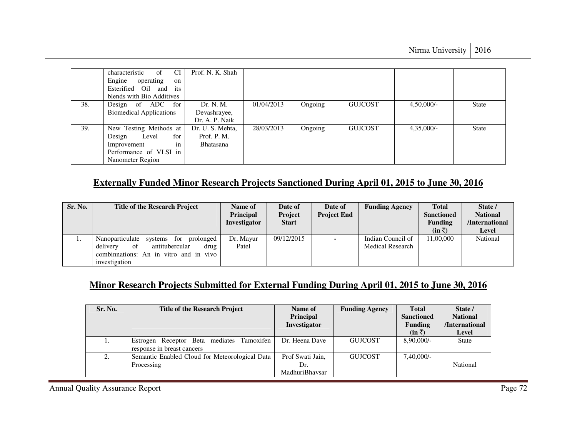|     | characteristic<br><b>CI</b><br>of    | Prof. N. K. Shah |            |         |                |               |              |
|-----|--------------------------------------|------------------|------------|---------|----------------|---------------|--------------|
|     | Engine<br>operating<br><sub>on</sub> |                  |            |         |                |               |              |
|     | Esterified Oil<br>its<br>and         |                  |            |         |                |               |              |
|     | blends with Bio Additives            |                  |            |         |                |               |              |
| 38. | Design of ADC for                    | Dr. N. M.        | 01/04/2013 | Ongoing | <b>GUJCOST</b> | $4,50,000/$ - | <b>State</b> |
|     | <b>Biomedical Applications</b>       | Devashrayee,     |            |         |                |               |              |
|     |                                      | Dr. A. P. Naik   |            |         |                |               |              |
| 39. | New Testing Methods at               | Dr. U. S. Mehta, | 28/03/2013 | Ongoing | <b>GUJCOST</b> | $4,35,000/-$  | <b>State</b> |
|     | Design<br>for<br>Level               | Prof. P. M.      |            |         |                |               |              |
|     | Improvement<br>in                    | Bhatasana        |            |         |                |               |              |
|     | Performance of VLSI in               |                  |            |         |                |               |              |
|     | Nanometer Region                     |                  |            |         |                |               |              |

## **Externally Funded Minor Research Projects Sanctioned During April 01, 2015 to June 30, 2016**

| Sr. No. | <b>Title of the Research Project</b>                                                                                                              | Name of<br><b>Principal</b><br><b>Investigator</b> | Date of<br>Project<br><b>Start</b> | Date of<br><b>Project End</b> | <b>Funding Agency</b>                        | <b>Total</b><br><b>Sanctioned</b><br><b>Funding</b><br>$(in \bar{z})$ | State /<br><b>National</b><br>/International<br>Level |
|---------|---------------------------------------------------------------------------------------------------------------------------------------------------|----------------------------------------------------|------------------------------------|-------------------------------|----------------------------------------------|-----------------------------------------------------------------------|-------------------------------------------------------|
| .,      | prolonged<br>Nanoparticulate<br>systems for<br>antitubercular<br>of<br>delivery<br>drug<br>combinations: An in vitro and in vivo<br>investigation | Dr. Mayur<br>Patel                                 | 09/12/2015                         |                               | Indian Council of<br><b>Medical Research</b> | 11.00.000                                                             | National                                              |

### **Minor Research Projects Submitted for External Funding During April 01, 2015 to June 30, 2016**

| Sr. No. | <b>Title of the Research Project</b>                                    | Name of<br><b>Principal</b><br>Investigator | <b>Funding Agency</b> | <b>Total</b><br><b>Sanctioned</b><br><b>Funding</b><br>$(in \bar{z})$ | State /<br><b>National</b><br>/International<br>Level |
|---------|-------------------------------------------------------------------------|---------------------------------------------|-----------------------|-----------------------------------------------------------------------|-------------------------------------------------------|
|         | Estrogen Receptor Beta mediates Tamoxifen<br>response in breast cancers | Dr. Heena Dave                              | <b>GUJCOST</b>        | $8,90,000/-$                                                          | <b>State</b>                                          |
|         | Semantic Enabled Cloud for Meteorological Data<br>Processing            | Prof Swati Jain,<br>Dr.<br>MadhuriBhaysar   | <b>GUJCOST</b>        | $7,40,000/-$                                                          | National                                              |

Annual Quality Assurance Report Page 72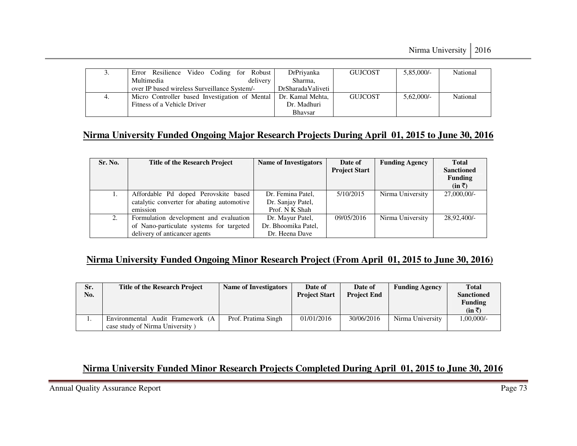| J. | Video Coding for<br>Robust<br>Error Resilience | DrPriyanka        | <b>GUJCOST</b> | $5,85,000/-$ | National |
|----|------------------------------------------------|-------------------|----------------|--------------|----------|
|    | Multimedia<br>delivery                         | Sharma,           |                |              |          |
|    | over IP based wireless Surveillance System/-   | DrSharadaValiveti |                |              |          |
| 4. | Micro Controller based Investigation of Mental | Dr. Kamal Mehta,  | <b>GUJCOST</b> | $5.62,000/-$ | National |
|    | Fitness of a Vehicle Driver                    | Dr. Madhuri       |                |              |          |
|    |                                                | <b>Bhaysar</b>    |                |              |          |

# **Nirma University Funded Ongoing Major Research Projects During April 01, 2015 to June 30, 2016**

| Sr. No. | <b>Title of the Research Project</b>       | <b>Name of Investigators</b> | Date of<br><b>Project Start</b> | <b>Funding Agency</b> | <b>Total</b><br><b>Sanctioned</b> |
|---------|--------------------------------------------|------------------------------|---------------------------------|-----------------------|-----------------------------------|
|         |                                            |                              |                                 |                       | <b>Funding</b><br>$(in \bar{z})$  |
|         | Affordable Pd doped Perovskite based       | Dr. Femina Patel,            | 5/10/2015                       | Nirma University      | 27,000,00/-                       |
|         | catalytic converter for abating automotive | Dr. Sanjay Patel,            |                                 |                       |                                   |
|         | emission                                   | Prof. N K Shah               |                                 |                       |                                   |
| 2.      | Formulation development and evaluation     | Dr. Mayur Patel,             | 09/05/2016                      | Nirma University      | 28,92,400/-                       |
|         | of Nano-particulate systems for targeted   | Dr. Bhoomika Patel,          |                                 |                       |                                   |
|         | delivery of anticancer agents              | Dr. Heena Dave               |                                 |                       |                                   |

## **Nirma University Funded Ongoing Minor Research Project (From April 01, 2015 to June 30, 2016)**

| Sr.<br>No. | <b>Title of the Research Project</b>                                | <b>Name of Investigators</b> | Date of<br><b>Project Start</b> | Date of<br><b>Project End</b> | <b>Funding Agency</b> | <b>Total</b><br><b>Sanctioned</b><br><b>Funding</b><br>$(in \bar{z})$ |
|------------|---------------------------------------------------------------------|------------------------------|---------------------------------|-------------------------------|-----------------------|-----------------------------------------------------------------------|
|            | Environmental Audit Framework (A<br>case study of Nirma University) | Prof. Pratima Singh          | 01/01/2016                      | 30/06/2016                    | Nirma University      | 1,00,000/                                                             |

# **Nirma University Funded Minor Research Projects Completed During April 01, 2015 to June 30, 2016**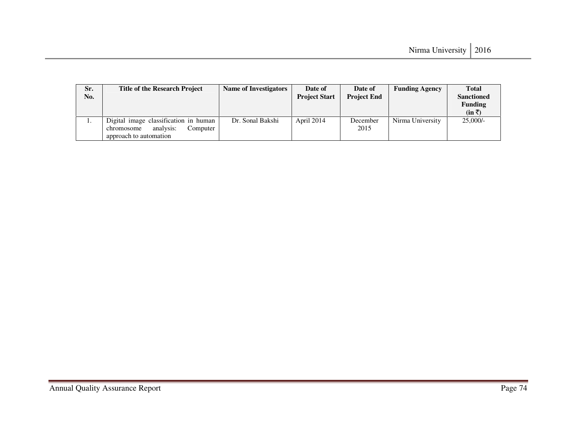| Sr. | <b>Title of the Research Project</b>  | Name of Investigators | Date of              | Date of            | <b>Funding Agency</b> | <b>Total</b>      |
|-----|---------------------------------------|-----------------------|----------------------|--------------------|-----------------------|-------------------|
| No. |                                       |                       | <b>Project Start</b> | <b>Project End</b> |                       | <b>Sanctioned</b> |
|     |                                       |                       |                      |                    |                       | <b>Funding</b>    |
|     |                                       |                       |                      |                    |                       | $(in \bar{z})$    |
| . . | Digital image classification in human | Dr. Sonal Bakshi      | April 2014           | December           | Nirma University      | $25,000/-$        |
|     | analysis:<br>Computer<br>chromosome   |                       |                      | 2015               |                       |                   |
|     | approach to automation                |                       |                      |                    |                       |                   |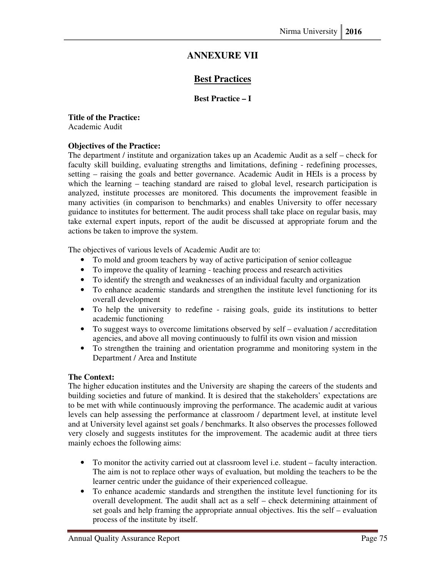# **ANNEXURE VII**

## **Best Practices**

## **Best Practice – I**

#### **Title of the Practice:**

Academic Audit

## **Objectives of the Practice:**

The department / institute and organization takes up an Academic Audit as a self – check for faculty skill building, evaluating strengths and limitations, defining - redefining processes, setting – raising the goals and better governance. Academic Audit in HEIs is a process by which the learning – teaching standard are raised to global level, research participation is analyzed, institute processes are monitored. This documents the improvement feasible in many activities (in comparison to benchmarks) and enables University to offer necessary guidance to institutes for betterment. The audit process shall take place on regular basis, may take external expert inputs, report of the audit be discussed at appropriate forum and the actions be taken to improve the system.

The objectives of various levels of Academic Audit are to:

- To mold and groom teachers by way of active participation of senior colleague
- To improve the quality of learning teaching process and research activities
- To identify the strength and weaknesses of an individual faculty and organization
- To enhance academic standards and strengthen the institute level functioning for its overall development
- To help the university to redefine raising goals, guide its institutions to better academic functioning
- To suggest ways to overcome limitations observed by self evaluation / accreditation agencies, and above all moving continuously to fulfil its own vision and mission
- To strengthen the training and orientation programme and monitoring system in the Department / Area and Institute

## **The Context:**

The higher education institutes and the University are shaping the careers of the students and building societies and future of mankind. It is desired that the stakeholders' expectations are to be met with while continuously improving the performance. The academic audit at various levels can help assessing the performance at classroom / department level, at institute level and at University level against set goals / benchmarks. It also observes the processes followed very closely and suggests institutes for the improvement. The academic audit at three tiers mainly echoes the following aims:

- To monitor the activity carried out at classroom level i.e. student faculty interaction. The aim is not to replace other ways of evaluation, but molding the teachers to be the learner centric under the guidance of their experienced colleague.
- To enhance academic standards and strengthen the institute level functioning for its overall development. The audit shall act as a self – check determining attainment of set goals and help framing the appropriate annual objectives. Itis the self – evaluation process of the institute by itself.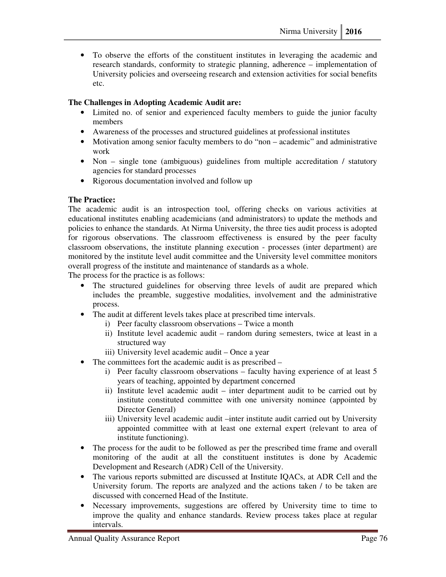• To observe the efforts of the constituent institutes in leveraging the academic and research standards, conformity to strategic planning, adherence – implementation of University policies and overseeing research and extension activities for social benefits etc.

## **The Challenges in Adopting Academic Audit are:**

- Limited no. of senior and experienced faculty members to guide the junior faculty members
- Awareness of the processes and structured guidelines at professional institutes
- Motivation among senior faculty members to do "non academic" and administrative work
- Non single tone (ambiguous) guidelines from multiple accreditation / statutory agencies for standard processes
- Rigorous documentation involved and follow up

## **The Practice:**

The academic audit is an introspection tool, offering checks on various activities at educational institutes enabling academicians (and administrators) to update the methods and policies to enhance the standards. At Nirma University, the three ties audit process is adopted for rigorous observations. The classroom effectiveness is ensured by the peer faculty classroom observations, the institute planning execution - processes (inter department) are monitored by the institute level audit committee and the University level committee monitors overall progress of the institute and maintenance of standards as a whole.

The process for the practice is as follows:

- The structured guidelines for observing three levels of audit are prepared which includes the preamble, suggestive modalities, involvement and the administrative process.
- The audit at different levels takes place at prescribed time intervals.
	- i) Peer faculty classroom observations Twice a month
	- ii) Institute level academic audit random during semesters, twice at least in a structured way
	- iii) University level academic audit Once a year
- The committees fort the academic audit is as prescribed
	- i) Peer faculty classroom observations faculty having experience of at least 5 years of teaching, appointed by department concerned
	- ii) Institute level academic audit inter department audit to be carried out by institute constituted committee with one university nominee (appointed by Director General)
	- iii) University level academic audit –inter institute audit carried out by University appointed committee with at least one external expert (relevant to area of institute functioning).
- The process for the audit to be followed as per the prescribed time frame and overall monitoring of the audit at all the constituent institutes is done by Academic Development and Research (ADR) Cell of the University.
- The various reports submitted are discussed at Institute IQACs, at ADR Cell and the University forum. The reports are analyzed and the actions taken / to be taken are discussed with concerned Head of the Institute.
- Necessary improvements, suggestions are offered by University time to time to improve the quality and enhance standards. Review process takes place at regular intervals.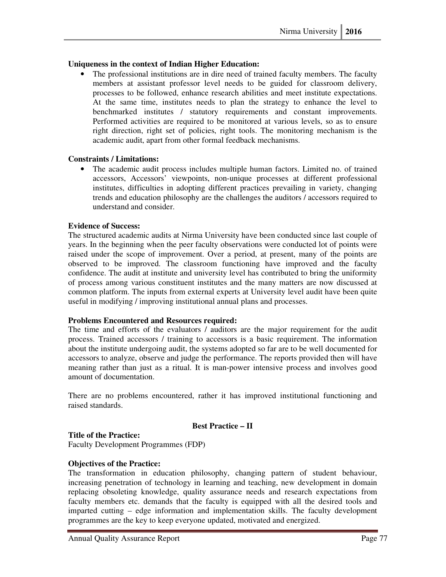## **Uniqueness in the context of Indian Higher Education:**

The professional institutions are in dire need of trained faculty members. The faculty members at assistant professor level needs to be guided for classroom delivery, processes to be followed, enhance research abilities and meet institute expectations. At the same time, institutes needs to plan the strategy to enhance the level to benchmarked institutes / statutory requirements and constant improvements. Performed activities are required to be monitored at various levels, so as to ensure right direction, right set of policies, right tools. The monitoring mechanism is the academic audit, apart from other formal feedback mechanisms.

## **Constraints / Limitations:**

• The academic audit process includes multiple human factors. Limited no. of trained accessors, Accessors' viewpoints, non-unique processes at different professional institutes, difficulties in adopting different practices prevailing in variety, changing trends and education philosophy are the challenges the auditors / accessors required to understand and consider.

## **Evidence of Success:**

The structured academic audits at Nirma University have been conducted since last couple of years. In the beginning when the peer faculty observations were conducted lot of points were raised under the scope of improvement. Over a period, at present, many of the points are observed to be improved. The classroom functioning have improved and the faculty confidence. The audit at institute and university level has contributed to bring the uniformity of process among various constituent institutes and the many matters are now discussed at common platform. The inputs from external experts at University level audit have been quite useful in modifying / improving institutional annual plans and processes.

## **Problems Encountered and Resources required:**

The time and efforts of the evaluators / auditors are the major requirement for the audit process. Trained accessors / training to accessors is a basic requirement. The information about the institute undergoing audit, the systems adopted so far are to be well documented for accessors to analyze, observe and judge the performance. The reports provided then will have meaning rather than just as a ritual. It is man-power intensive process and involves good amount of documentation.

There are no problems encountered, rather it has improved institutional functioning and raised standards.

## **Best Practice – II**

## **Title of the Practice:**

Faculty Development Programmes (FDP)

## **Objectives of the Practice:**

The transformation in education philosophy, changing pattern of student behaviour, increasing penetration of technology in learning and teaching, new development in domain replacing obsoleting knowledge, quality assurance needs and research expectations from faculty members etc. demands that the faculty is equipped with all the desired tools and imparted cutting – edge information and implementation skills. The faculty development programmes are the key to keep everyone updated, motivated and energized.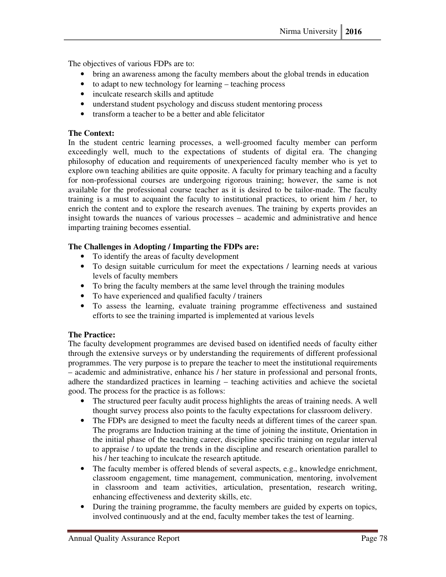The objectives of various FDPs are to:

- bring an awareness among the faculty members about the global trends in education
- to adapt to new technology for learning teaching process
- inculcate research skills and aptitude
- understand student psychology and discuss student mentoring process
- transform a teacher to be a better and able felicitator

## **The Context:**

In the student centric learning processes, a well-groomed faculty member can perform exceedingly well, much to the expectations of students of digital era. The changing philosophy of education and requirements of unexperienced faculty member who is yet to explore own teaching abilities are quite opposite. A faculty for primary teaching and a faculty for non-professional courses are undergoing rigorous training; however, the same is not available for the professional course teacher as it is desired to be tailor-made. The faculty training is a must to acquaint the faculty to institutional practices, to orient him / her, to enrich the content and to explore the research avenues. The training by experts provides an insight towards the nuances of various processes – academic and administrative and hence imparting training becomes essential.

## **The Challenges in Adopting / Imparting the FDPs are:**

- To identify the areas of faculty development
- To design suitable curriculum for meet the expectations / learning needs at various levels of faculty members
- To bring the faculty members at the same level through the training modules
- To have experienced and qualified faculty / trainers
- To assess the learning, evaluate training programme effectiveness and sustained efforts to see the training imparted is implemented at various levels

## **The Practice:**

The faculty development programmes are devised based on identified needs of faculty either through the extensive surveys or by understanding the requirements of different professional programmes. The very purpose is to prepare the teacher to meet the institutional requirements – academic and administrative, enhance his / her stature in professional and personal fronts, adhere the standardized practices in learning – teaching activities and achieve the societal good. The process for the practice is as follows:

- The structured peer faculty audit process highlights the areas of training needs. A well thought survey process also points to the faculty expectations for classroom delivery.
- The FDPs are designed to meet the faculty needs at different times of the career span. The programs are Induction training at the time of joining the institute, Orientation in the initial phase of the teaching career, discipline specific training on regular interval to appraise / to update the trends in the discipline and research orientation parallel to his / her teaching to inculcate the research aptitude.
- The faculty member is offered blends of several aspects, e.g., knowledge enrichment, classroom engagement, time management, communication, mentoring, involvement in classroom and team activities, articulation, presentation, research writing, enhancing effectiveness and dexterity skills, etc.
- During the training programme, the faculty members are guided by experts on topics, involved continuously and at the end, faculty member takes the test of learning.